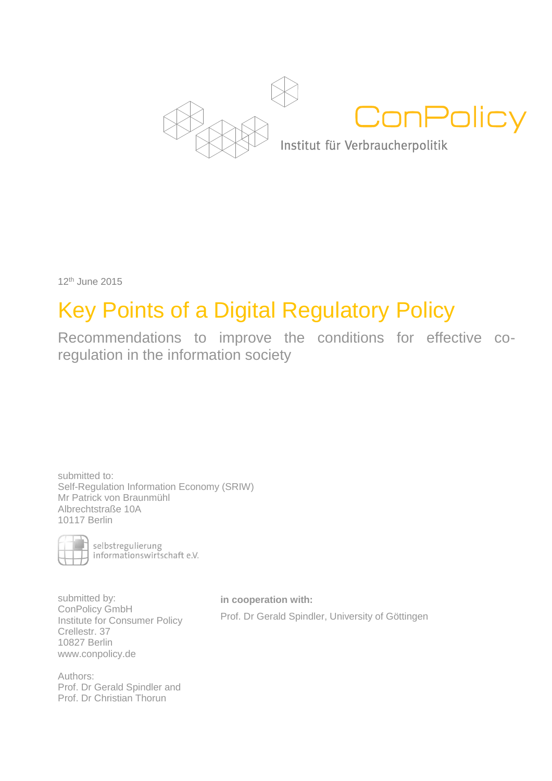

12th June 2015

# Key Points of a Digital Regulatory Policy

Recommendations to improve the conditions for effective coregulation in the information society

submitted to: Self-Regulation Information Economy (SRIW) Mr Patrick von Braunmühl Albrechtstraße 10A 10117 Berlin



selbstregulierung<br>informationswirtschaft e.V.

submitted by: ConPolicy GmbH Institute for Consumer Policy Crellestr. 37 10827 Berlin www.conpolicy.de

**in cooperation with:** Prof. Dr Gerald Spindler, University of Göttingen

Authors: Prof. Dr Gerald Spindler and Prof. Dr Christian Thorun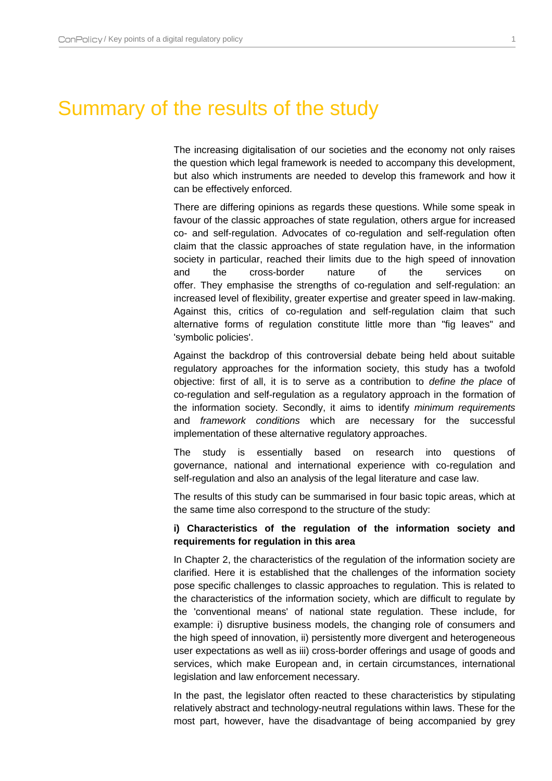## Summary of the results of the study

The increasing digitalisation of our societies and the economy not only raises the question which legal framework is needed to accompany this development, but also which instruments are needed to develop this framework and how it can be effectively enforced.

There are differing opinions as regards these questions. While some speak in favour of the classic approaches of state regulation, others argue for increased co- and self-regulation. Advocates of co-regulation and self-regulation often claim that the classic approaches of state regulation have, in the information society in particular, reached their limits due to the high speed of innovation and the cross-border nature of the services on offer. They emphasise the strengths of co-regulation and self-regulation: an increased level of flexibility, greater expertise and greater speed in law-making. Against this, critics of co-regulation and self-regulation claim that such alternative forms of regulation constitute little more than "fig leaves" and 'symbolic policies'.

Against the backdrop of this controversial debate being held about suitable regulatory approaches for the information society, this study has a twofold objective: first of all, it is to serve as a contribution to *define the place* of co-regulation and self-regulation as a regulatory approach in the formation of the information society. Secondly, it aims to identify *minimum requirements* and *framework conditions* which are necessary for the successful implementation of these alternative regulatory approaches.

The study is essentially based on research into questions of governance, national and international experience with co-regulation and self-regulation and also an analysis of the legal literature and case law.

The results of this study can be summarised in four basic topic areas, which at the same time also correspond to the structure of the study:

#### **i) Characteristics of the regulation of the information society and requirements for regulation in this area**

In Chapter 2, the characteristics of the regulation of the information society are clarified. Here it is established that the challenges of the information society pose specific challenges to classic approaches to regulation. This is related to the characteristics of the information society, which are difficult to regulate by the 'conventional means' of national state regulation. These include, for example: i) disruptive business models, the changing role of consumers and the high speed of innovation, ii) persistently more divergent and heterogeneous user expectations as well as iii) cross-border offerings and usage of goods and services, which make European and, in certain circumstances, international legislation and law enforcement necessary.

In the past, the legislator often reacted to these characteristics by stipulating relatively abstract and technology-neutral regulations within laws. These for the most part, however, have the disadvantage of being accompanied by grey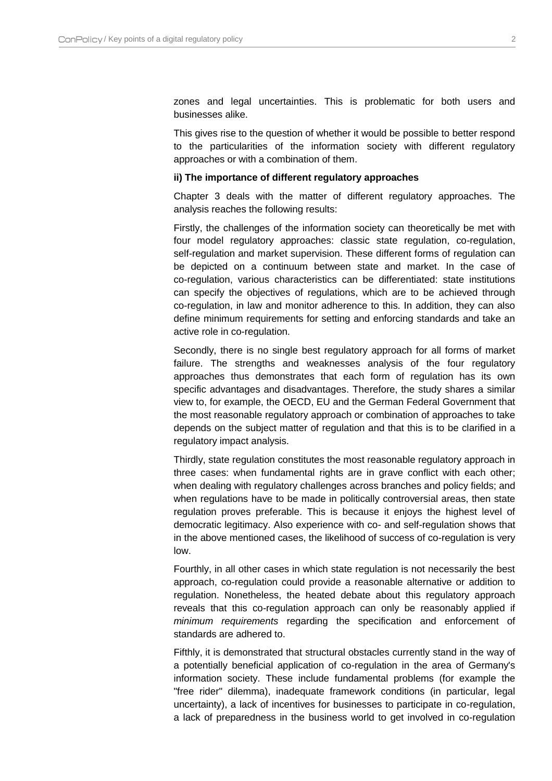zones and legal uncertainties. This is problematic for both users and businesses alike.

This gives rise to the question of whether it would be possible to better respond to the particularities of the information society with different regulatory approaches or with a combination of them.

#### **ii) The importance of different regulatory approaches**

Chapter 3 deals with the matter of different regulatory approaches. The analysis reaches the following results:

Firstly, the challenges of the information society can theoretically be met with four model regulatory approaches: classic state regulation, co-regulation, self-regulation and market supervision. These different forms of regulation can be depicted on a continuum between state and market. In the case of co-regulation, various characteristics can be differentiated: state institutions can specify the objectives of regulations, which are to be achieved through co-regulation, in law and monitor adherence to this. In addition, they can also define minimum requirements for setting and enforcing standards and take an active role in co-regulation.

Secondly, there is no single best regulatory approach for all forms of market failure. The strengths and weaknesses analysis of the four regulatory approaches thus demonstrates that each form of regulation has its own specific advantages and disadvantages. Therefore, the study shares a similar view to, for example, the OECD, EU and the German Federal Government that the most reasonable regulatory approach or combination of approaches to take depends on the subject matter of regulation and that this is to be clarified in a regulatory impact analysis.

Thirdly, state regulation constitutes the most reasonable regulatory approach in three cases: when fundamental rights are in grave conflict with each other; when dealing with regulatory challenges across branches and policy fields; and when regulations have to be made in politically controversial areas, then state regulation proves preferable. This is because it enjoys the highest level of democratic legitimacy. Also experience with co- and self-regulation shows that in the above mentioned cases, the likelihood of success of co-regulation is very low.

Fourthly, in all other cases in which state regulation is not necessarily the best approach, co-regulation could provide a reasonable alternative or addition to regulation. Nonetheless, the heated debate about this regulatory approach reveals that this co-regulation approach can only be reasonably applied if *minimum requirements* regarding the specification and enforcement of standards are adhered to.

Fifthly, it is demonstrated that structural obstacles currently stand in the way of a potentially beneficial application of co-regulation in the area of Germany's information society. These include fundamental problems (for example the "free rider" dilemma), inadequate framework conditions (in particular, legal uncertainty), a lack of incentives for businesses to participate in co-regulation, a lack of preparedness in the business world to get involved in co-regulation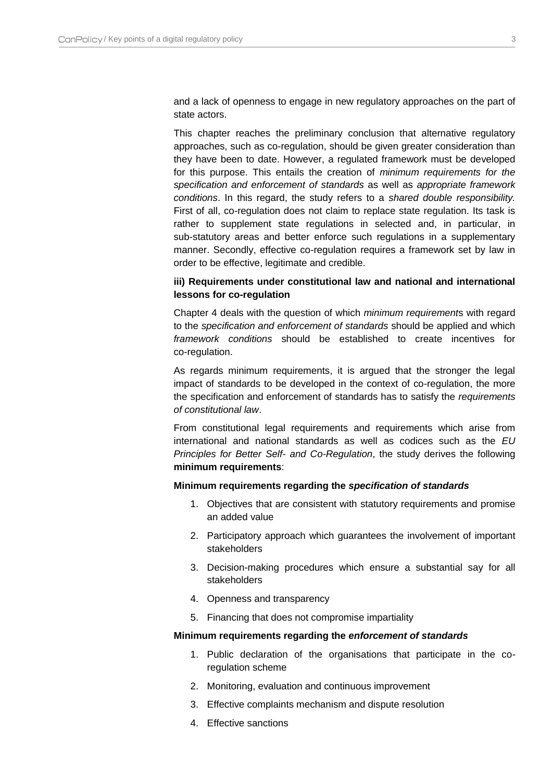and a lack of openness to engage in new regulatory approaches on the part of state actors.

This chapter reaches the preliminary conclusion that alternative regulatory approaches, such as co-regulation, should be given greater consideration than they have been to date. However, a regulated framework must be developed for this purpose. This entails the creation of *minimum requirements for the specification and enforcement of standards* as well as *appropriate framework conditions*. In this regard, the study refers to a *shared double responsibility.* First of all, co-regulation does not claim to replace state regulation. Its task is rather to supplement state regulations in selected and, in particular, in sub-statutory areas and better enforce such regulations in a supplementary manner. Secondly, effective co-regulation requires a framework set by law in order to be effective, legitimate and credible.

#### **iii) Requirements under constitutional law and national and international lessons for co-regulation**

Chapter 4 deals with the question of which *minimum requirement*s with regard to the *specification and enforcement of standards* should be applied and which *framework conditions* should be established to create incentives for co-regulation.

As regards minimum requirements, it is argued that the stronger the legal impact of standards to be developed in the context of co-regulation, the more the specification and enforcement of standards has to satisfy the *requirements of constitutional law*.

From constitutional legal requirements and requirements which arise from international and national standards as well as codices such as the *EU Principles for Better Self- and Co-Regulation*, the study derives the following **minimum requirements**:

#### **Minimum requirements regarding the** *specification of standards*

- 1. Objectives that are consistent with statutory requirements and promise an added value
- 2. Participatory approach which guarantees the involvement of important stakeholders
- 3. Decision-making procedures which ensure a substantial say for all stakeholders
- 4. Openness and transparency
- 5. Financing that does not compromise impartiality

#### **Minimum requirements regarding the** *enforcement of standards*

- 1. Public declaration of the organisations that participate in the coregulation scheme
- 2. Monitoring, evaluation and continuous improvement
- 3. Effective complaints mechanism and dispute resolution
- 4. Effective sanctions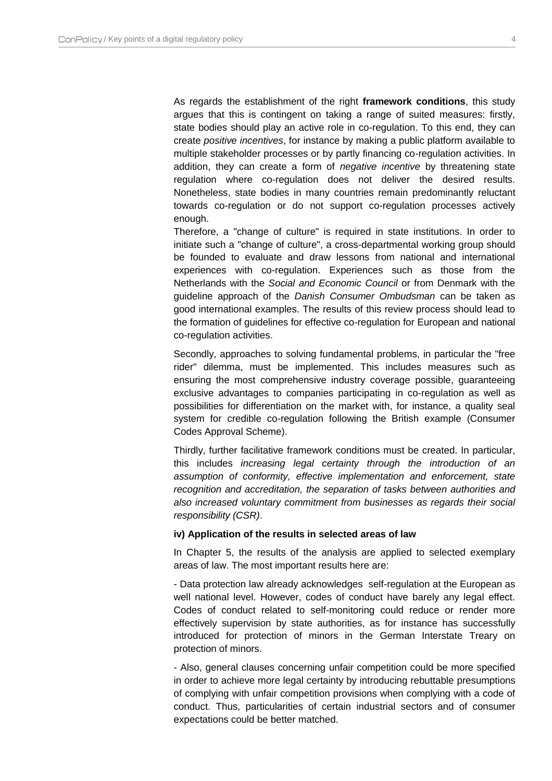As regards the establishment of the right **framework conditions**, this study argues that this is contingent on taking a range of suited measures: firstly, state bodies should play an active role in co-regulation. To this end, they can create *positive incentives*, for instance by making a public platform available to multiple stakeholder processes or by partly financing co-regulation activities. In addition, they can create a form of *negative incentive* by threatening state regulation where co-regulation does not deliver the desired results. Nonetheless, state bodies in many countries remain predominantly reluctant towards co-regulation or do not support co-regulation processes actively enough.

Therefore, a "change of culture" is required in state institutions. In order to initiate such a "change of culture", a cross-departmental working group should be founded to evaluate and draw lessons from national and international experiences with co-regulation. Experiences such as those from the Netherlands with the *Social and Economic Council* or from Denmark with the guideline approach of the *Danish Consumer Ombudsman* can be taken as good international examples. The results of this review process should lead to the formation of guidelines for effective co-regulation for European and national co-regulation activities.

Secondly, approaches to solving fundamental problems, in particular the "free rider" dilemma, must be implemented. This includes measures such as ensuring the most comprehensive industry coverage possible, guaranteeing exclusive advantages to companies participating in co-regulation as well as possibilities for differentiation on the market with, for instance, a quality seal system for credible co-regulation following the British example (Consumer Codes Approval Scheme).

Thirdly, further facilitative framework conditions must be created. In particular, this includes *increasing legal certainty through the introduction of an assumption of conformity, effective implementation and enforcement, state recognition and accreditation, the separation of tasks between authorities and also increased voluntary commitment from businesses as regards their social responsibility (CSR)*.

#### **iv) Application of the results in selected areas of law**

In Chapter 5, the results of the analysis are applied to selected exemplary areas of law. The most important results here are:

- Data protection law already acknowledges self-regulation at the European as well national level. However, codes of conduct have barely any legal effect. Codes of conduct related to self-monitoring could reduce or render more effectively supervision by state authorities, as for instance has successfully introduced for protection of minors in the German Interstate Treary on protection of minors.

- Also, general clauses concerning unfair competition could be more specified in order to achieve more legal certainty by introducing rebuttable presumptions of complying with unfair competition provisions when complying with a code of conduct. Thus, particularities of certain industrial sectors and of consumer expectations could be better matched.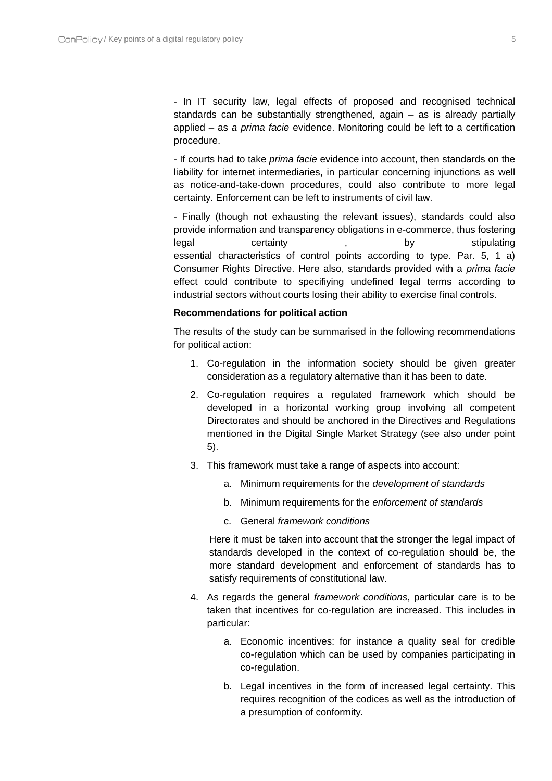- In IT security law, legal effects of proposed and recognised technical standards can be substantially strengthened, again – as is already partially applied – as *a prima facie* evidence. Monitoring could be left to a certification procedure.

- If courts had to take *prima facie* evidence into account, then standards on the liability for internet intermediaries, in particular concerning injunctions as well as notice-and-take-down procedures, could also contribute to more legal certainty. Enforcement can be left to instruments of civil law.

- Finally (though not exhausting the relevant issues), standards could also provide information and transparency obligations in e-commerce, thus fostering legal certainty , by stipulating essential characteristics of control points according to type. Par. 5, 1 a) Consumer Rights Directive. Here also, standards provided with a *prima facie*  effect could contribute to specifiying undefined legal terms according to industrial sectors without courts losing their ability to exercise final controls.

#### **Recommendations for political action**

The results of the study can be summarised in the following recommendations for political action:

- 1. Co-regulation in the information society should be given greater consideration as a regulatory alternative than it has been to date.
- 2. Co-regulation requires a regulated framework which should be developed in a horizontal working group involving all competent Directorates and should be anchored in the Directives and Regulations mentioned in the Digital Single Market Strategy (see also under point 5).
- 3. This framework must take a range of aspects into account:
	- a. Minimum requirements for the *development of standards*
	- b. Minimum requirements for the *enforcement of standards*
	- c. General *framework conditions*

Here it must be taken into account that the stronger the legal impact of standards developed in the context of co-regulation should be, the more standard development and enforcement of standards has to satisfy requirements of constitutional law.

- 4. As regards the general *framework conditions*, particular care is to be taken that incentives for co-regulation are increased. This includes in particular:
	- a. Economic incentives: for instance a quality seal for credible co-regulation which can be used by companies participating in co-regulation.
	- b. Legal incentives in the form of increased legal certainty. This requires recognition of the codices as well as the introduction of a presumption of conformity.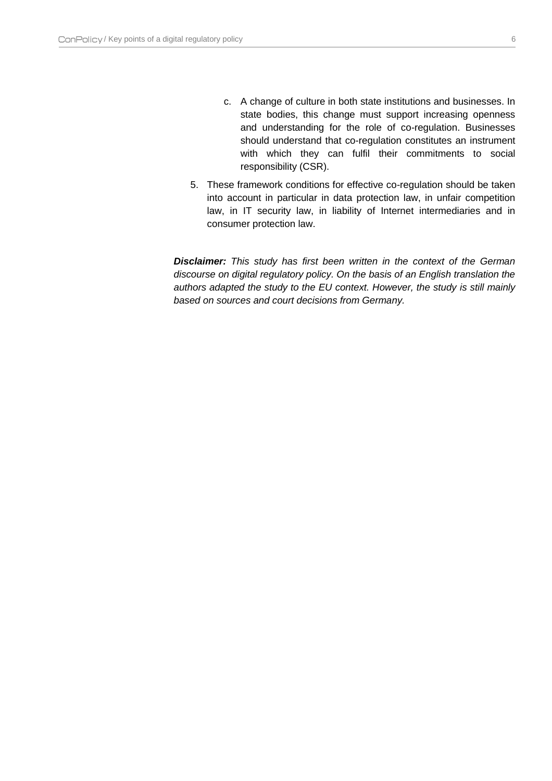- c. A change of culture in both state institutions and businesses. In state bodies, this change must support increasing openness and understanding for the role of co-regulation. Businesses should understand that co-regulation constitutes an instrument with which they can fulfil their commitments to social responsibility (CSR).
- 5. These framework conditions for effective co-regulation should be taken into account in particular in data protection law, in unfair competition law, in IT security law, in liability of Internet intermediaries and in consumer protection law.

*Disclaimer: This study has first been written in the context of the German discourse on digital regulatory policy. On the basis of an English translation the authors adapted the study to the EU context. However, the study is still mainly based on sources and court decisions from Germany.*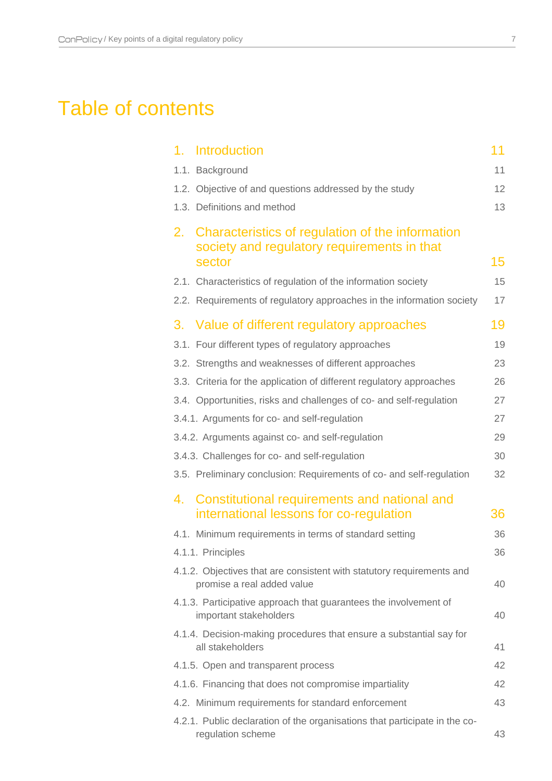## Table of contents

| <b>Introduction</b><br>1.                                                                                       | 11 |
|-----------------------------------------------------------------------------------------------------------------|----|
| 1.1. Background                                                                                                 | 11 |
| 1.2. Objective of and questions addressed by the study                                                          | 12 |
| 1.3. Definitions and method                                                                                     | 13 |
| Characteristics of regulation of the information<br>2.<br>society and regulatory requirements in that<br>sector | 15 |
| 2.1. Characteristics of regulation of the information society                                                   | 15 |
| 2.2. Requirements of regulatory approaches in the information society                                           | 17 |
| 3. Value of different regulatory approaches                                                                     | 19 |
| 3.1. Four different types of regulatory approaches                                                              | 19 |
| 3.2. Strengths and weaknesses of different approaches                                                           | 23 |
| 3.3. Criteria for the application of different regulatory approaches                                            | 26 |
| 3.4. Opportunities, risks and challenges of co- and self-regulation                                             | 27 |
| 3.4.1. Arguments for co- and self-regulation                                                                    | 27 |
| 3.4.2. Arguments against co- and self-regulation                                                                | 29 |
| 3.4.3. Challenges for co- and self-regulation                                                                   | 30 |
| 3.5. Preliminary conclusion: Requirements of co- and self-regulation                                            | 32 |
| 4. Constitutional requirements and national and<br>international lessons for co-regulation                      | 36 |
| 4.1. Minimum requirements in terms of standard setting                                                          | 36 |
| 4.1.1. Principles                                                                                               | 36 |
| 4.1.2. Objectives that are consistent with statutory requirements and<br>promise a real added value             | 40 |
| 4.1.3. Participative approach that guarantees the involvement of<br>important stakeholders                      | 40 |
| 4.1.4. Decision-making procedures that ensure a substantial say for<br>all stakeholders                         | 41 |
| 4.1.5. Open and transparent process                                                                             | 42 |
| 4.1.6. Financing that does not compromise impartiality                                                          | 42 |
| 4.2. Minimum requirements for standard enforcement                                                              | 43 |
| 4.2.1. Public declaration of the organisations that participate in the co-<br>regulation scheme                 | 43 |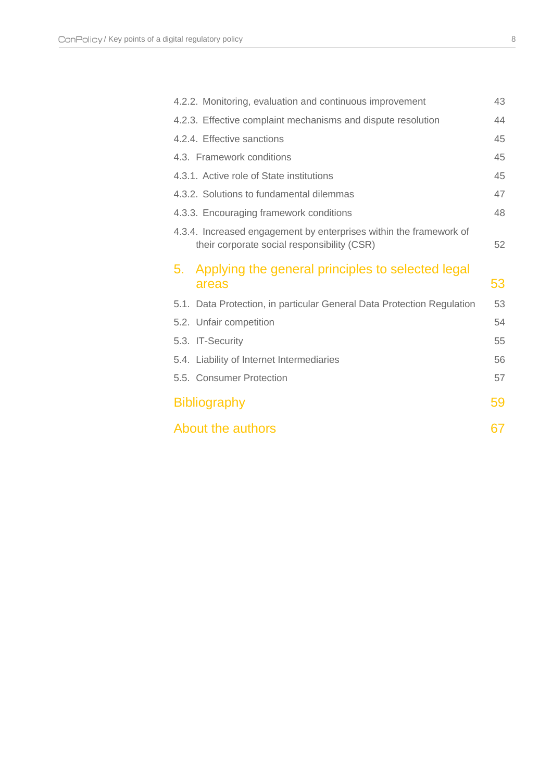| 4.2.2. Monitoring, evaluation and continuous improvement                                                          | 43 |
|-------------------------------------------------------------------------------------------------------------------|----|
| 4.2.3. Effective complaint mechanisms and dispute resolution                                                      | 44 |
| 4.2.4. Effective sanctions                                                                                        | 45 |
| 4.3. Framework conditions                                                                                         | 45 |
| 4.3.1. Active role of State institutions                                                                          | 45 |
| 4.3.2. Solutions to fundamental dilemmas                                                                          | 47 |
| 4.3.3. Encouraging framework conditions                                                                           | 48 |
| 4.3.4. Increased engagement by enterprises within the framework of<br>their corporate social responsibility (CSR) | 52 |
| 5. Applying the general principles to selected legal<br>areas                                                     | 53 |
| 5.1. Data Protection, in particular General Data Protection Regulation                                            | 53 |
| 5.2. Unfair competition                                                                                           | 54 |
| 5.3. IT-Security                                                                                                  | 55 |
| 5.4. Liability of Internet Intermediaries                                                                         | 56 |
| 5.5. Consumer Protection                                                                                          | 57 |
| <b>Bibliography</b>                                                                                               | 59 |
| About the authors                                                                                                 | 67 |
|                                                                                                                   |    |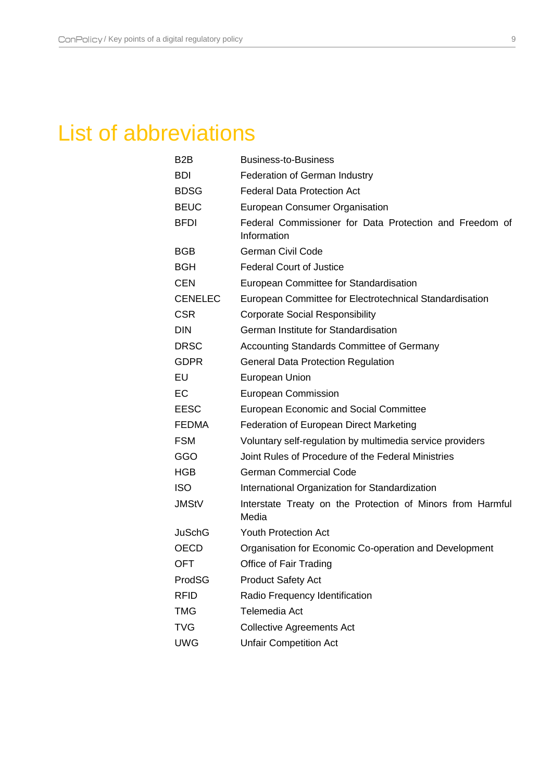# List of abbreviations

| B <sub>2</sub> B | <b>Business-to-Business</b>                                            |
|------------------|------------------------------------------------------------------------|
| <b>BDI</b>       | <b>Federation of German Industry</b>                                   |
| <b>BDSG</b>      | <b>Federal Data Protection Act</b>                                     |
| <b>BEUC</b>      | <b>European Consumer Organisation</b>                                  |
| <b>BFDI</b>      | Federal Commissioner for Data Protection and Freedom of<br>Information |
| BGB              | <b>German Civil Code</b>                                               |
| <b>BGH</b>       | <b>Federal Court of Justice</b>                                        |
| <b>CEN</b>       | European Committee for Standardisation                                 |
| <b>CENELEC</b>   | European Committee for Electrotechnical Standardisation                |
| <b>CSR</b>       | <b>Corporate Social Responsibility</b>                                 |
| <b>DIN</b>       | German Institute for Standardisation                                   |
| <b>DRSC</b>      | <b>Accounting Standards Committee of Germany</b>                       |
| <b>GDPR</b>      | <b>General Data Protection Regulation</b>                              |
| EU               | European Union                                                         |
| EC               | <b>European Commission</b>                                             |
| <b>EESC</b>      | <b>European Economic and Social Committee</b>                          |
| <b>FEDMA</b>     | Federation of European Direct Marketing                                |
| <b>FSM</b>       | Voluntary self-regulation by multimedia service providers              |
| GGO              | Joint Rules of Procedure of the Federal Ministries                     |
| <b>HGB</b>       | <b>German Commercial Code</b>                                          |
| <b>ISO</b>       | International Organization for Standardization                         |
| <b>JMStV</b>     | Interstate Treaty on the Protection of Minors from Harmful<br>Media    |
| JuSchG           | <b>Youth Protection Act</b>                                            |
| <b>OECD</b>      | Organisation for Economic Co-operation and Development                 |
| OFT              | Office of Fair Trading                                                 |
| ProdSG           | <b>Product Safety Act</b>                                              |
| <b>RFID</b>      | Radio Frequency Identification                                         |
| <b>TMG</b>       | Telemedia Act                                                          |
| <b>TVG</b>       | <b>Collective Agreements Act</b>                                       |
| <b>UWG</b>       | <b>Unfair Competition Act</b>                                          |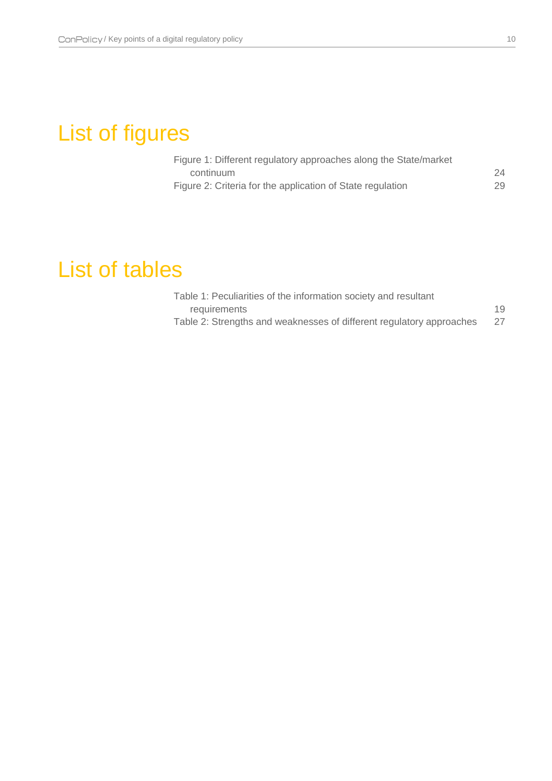# List of figures

| Figure 1: Different regulatory approaches along the State/market |    |
|------------------------------------------------------------------|----|
| continuum                                                        | 24 |
| Figure 2: Criteria for the application of State regulation       | 29 |

# List of tables

| Table 1: Peculiarities of the information society and resultant      |    |
|----------------------------------------------------------------------|----|
| requirements                                                         | 19 |
| Table 2: Strengths and weaknesses of different regulatory approaches | 27 |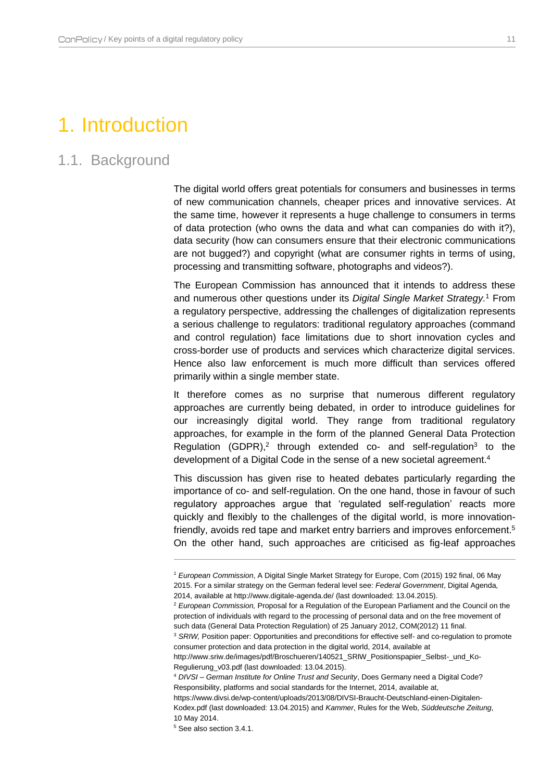## <span id="page-11-0"></span>1. Introduction

## <span id="page-11-1"></span>1.1. Background

The digital world offers great potentials for consumers and businesses in terms of new communication channels, cheaper prices and innovative services. At the same time, however it represents a huge challenge to consumers in terms of data protection (who owns the data and what can companies do with it?), data security (how can consumers ensure that their electronic communications are not bugged?) and copyright (what are consumer rights in terms of using, processing and transmitting software, photographs and videos?).

The European Commission has announced that it intends to address these and numerous other questions under its *Digital Single Market Strategy.* <sup>1</sup> From a regulatory perspective, addressing the challenges of digitalization represents a serious challenge to regulators: traditional regulatory approaches (command and control regulation) face limitations due to short innovation cycles and cross-border use of products and services which characterize digital services. Hence also law enforcement is much more difficult than services offered primarily within a single member state.

It therefore comes as no surprise that numerous different regulatory approaches are currently being debated, in order to introduce guidelines for our increasingly digital world. They range from traditional regulatory approaches, for example in the form of the planned General Data Protection Regulation  $(GDPR)^2$  through extended co- and self-regulation<sup>3</sup> to the development of a Digital Code in the sense of a new societal agreement.<sup>4</sup>

This discussion has given rise to heated debates particularly regarding the importance of co- and self-regulation. On the one hand, those in favour of such regulatory approaches argue that 'regulated self-regulation' reacts more quickly and flexibly to the challenges of the digital world, is more innovationfriendly, avoids red tape and market entry barriers and improves enforcement.<sup>5</sup> On the other hand, such approaches are criticised as fig-leaf approaches

<sup>1</sup> *European Commission*, A Digital Single Market Strategy for Europe, Com (2015) 192 final, 06 May 2015. For a similar strategy on the German federal level see: *Federal Government*, Digital Agenda, 2014, available at http://www.digitale-agenda.de/ (last downloaded: 13.04.2015).

<sup>2</sup> *European Commission,* Proposal for a Regulation of the European Parliament and the Council on the protection of individuals with regard to the processing of personal data and on the free movement of such data (General Data Protection Regulation) of 25 January 2012, COM(2012) 11 final.

<sup>&</sup>lt;sup>3</sup> SRIW, Position paper: Opportunities and preconditions for effective self- and co-regulation to promote consumer protection and data protection in the digital world, 2014, available at

http://www.sriw.de/images/pdf/Broschueren/140521\_SRIW\_Positionspapier\_Selbst-\_und\_Ko-Regulierung\_v03.pdf (last downloaded: 13.04.2015).

<sup>4</sup> *DIVSI – German Institute for Online Trust and Security*, Does Germany need a Digital Code? Responsibility, platforms and social standards for the Internet, 2014, available at, https://www.divsi.de/wp-content/uploads/2013/08/DIVSI-Braucht-Deutschland-einen-Digitalen-Kodex.pdf (last downloaded: 13.04.2015) and *Kammer*, Rules for the Web, *Süddeutsche Zeitung*, 10 May 2014.

<sup>5</sup> See also sectio[n 3.4.1.](#page-27-1)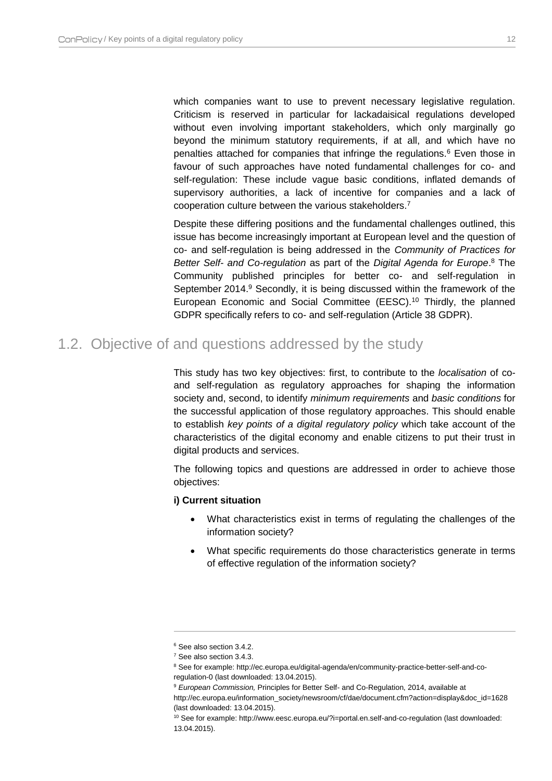which companies want to use to prevent necessary legislative regulation. Criticism is reserved in particular for lackadaisical regulations developed without even involving important stakeholders, which only marginally go beyond the minimum statutory requirements, if at all, and which have no penalties attached for companies that infringe the regulations.<sup>6</sup> Even those in favour of such approaches have noted fundamental challenges for co- and self-regulation: These include vague basic conditions, inflated demands of supervisory authorities, a lack of incentive for companies and a lack of cooperation culture between the various stakeholders.<sup>7</sup>

Despite these differing positions and the fundamental challenges outlined, this issue has become increasingly important at European level and the question of co- and self-regulation is being addressed in the *Community of Practices for Better Self- and Co-regulation* as part of the *Digital Agenda for Europe*. <sup>8</sup> The Community published principles for better co- and self-regulation in September 2014.<sup>9</sup> Secondly, it is being discussed within the framework of the European Economic and Social Committee (EESC).<sup>10</sup> Thirdly, the planned GDPR specifically refers to co- and self-regulation (Article 38 GDPR).

### <span id="page-12-0"></span>1.2. Objective of and questions addressed by the study

This study has two key objectives: first, to contribute to the *localisation* of coand self-regulation as regulatory approaches for shaping the information society and, second, to identify *minimum requirements* and *basic conditions* for the successful application of those regulatory approaches. This should enable to establish *key points of a digital regulatory policy* which take account of the characteristics of the digital economy and enable citizens to put their trust in digital products and services.

The following topics and questions are addressed in order to achieve those objectives:

#### **i) Current situation**

- What characteristics exist in terms of regulating the challenges of the information society?
- What specific requirements do those characteristics generate in terms of effective regulation of the information society?

<sup>6</sup> See also sectio[n 3.4.2.](#page-29-0)

<sup>7</sup> See also sectio[n 3.4.3.](#page-30-0)

<sup>&</sup>lt;sup>8</sup> See for example: http://ec.europa.eu/digital-agenda/en/community-practice-better-self-and-coregulation-0 (last downloaded: 13.04.2015).

<sup>9</sup> *European Commission,* Principles for Better Self- and Co-Regulation, 2014, available at

http://ec.europa.eu/information\_society/newsroom/cf/dae/document.cfm?action=display&doc\_id=1628 (last downloaded: 13.04.2015).

<sup>10</sup> See for example: http://www.eesc.europa.eu/?i=portal.en.self-and-co-regulation (last downloaded: 13.04.2015).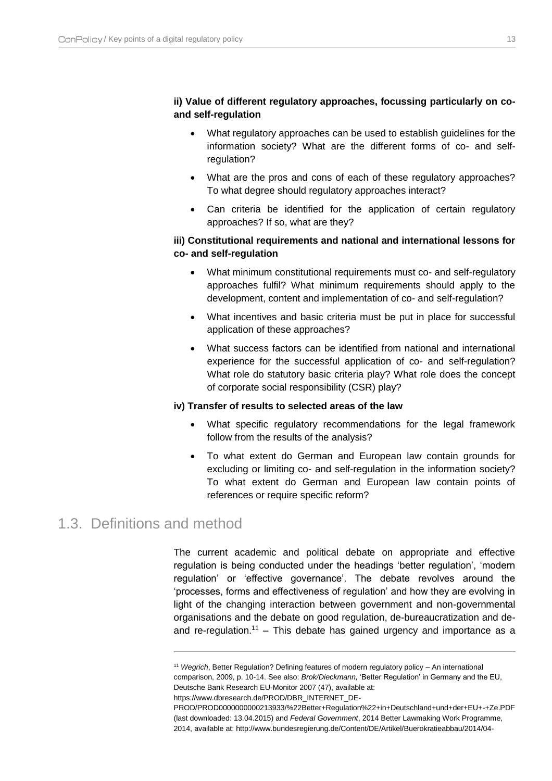#### **ii) Value of different regulatory approaches, focussing particularly on coand self-regulation**

- What regulatory approaches can be used to establish guidelines for the information society? What are the different forms of co- and selfregulation?
- What are the pros and cons of each of these regulatory approaches? To what degree should regulatory approaches interact?
- Can criteria be identified for the application of certain regulatory approaches? If so, what are they?

#### **iii) Constitutional requirements and national and international lessons for co- and self-regulation**

- What minimum constitutional requirements must co- and self-regulatory approaches fulfil? What minimum requirements should apply to the development, content and implementation of co- and self-regulation?
- What incentives and basic criteria must be put in place for successful application of these approaches?
- What success factors can be identified from national and international experience for the successful application of co- and self-regulation? What role do statutory basic criteria play? What role does the concept of corporate social responsibility (CSR) play?

#### **iv) Transfer of results to selected areas of the law**

- What specific regulatory recommendations for the legal framework follow from the results of the analysis?
- To what extent do German and European law contain grounds for excluding or limiting co- and self-regulation in the information society? To what extent do German and European law contain points of references or require specific reform?

## <span id="page-13-0"></span>1.3. Definitions and method

 $\overline{a}$ 

The current academic and political debate on appropriate and effective regulation is being conducted under the headings 'better regulation', 'modern regulation' or 'effective governance'. The debate revolves around the 'processes, forms and effectiveness of regulation' and how they are evolving in light of the changing interaction between government and non-governmental organisations and the debate on good regulation, de-bureaucratization and deand re-regulation.<sup>11</sup> – This debate has gained urgency and importance as a

https://www.dbresearch.de/PROD/DBR\_INTERNET\_DE-

<sup>11</sup> *Wegrich*, Better Regulation? Defining features of modern regulatory policy – An international comparison, 2009, p. 10-14. See also: *Brok/Dieckmann,* 'Better Regulation' in Germany and the EU, Deutsche Bank Research EU-Monitor 2007 (47), available at:

PROD/PROD0000000000213933/%22Better+Regulation%22+in+Deutschland+und+der+EU+-+Ze.PDF (last downloaded: 13.04.2015) and *Federal Government*, 2014 Better Lawmaking Work Programme, 2014, available at: http://www.bundesregierung.de/Content/DE/Artikel/Buerokratieabbau/2014/04-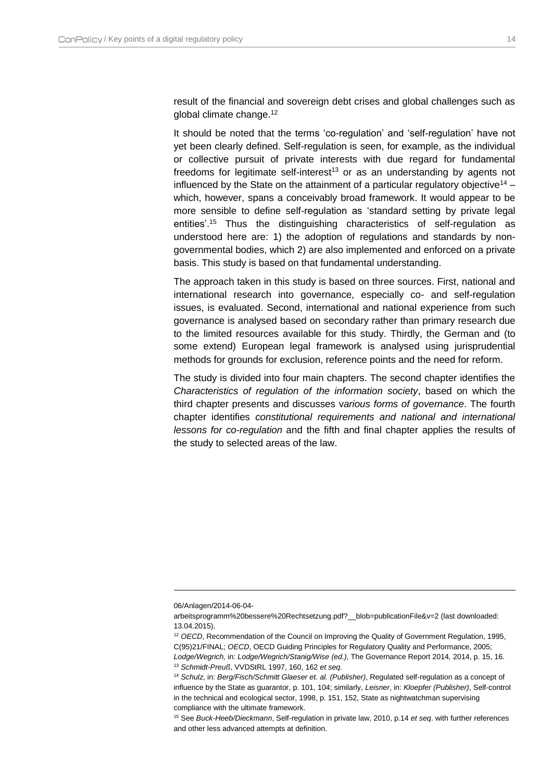result of the financial and sovereign debt crises and global challenges such as global climate change.<sup>12</sup>

It should be noted that the terms 'co-regulation' and 'self-regulation' have not yet been clearly defined. Self-regulation is seen, for example, as the individual or collective pursuit of private interests with due regard for fundamental freedoms for legitimate self-interest<sup>13</sup> or as an understanding by agents not influenced by the State on the attainment of a particular regulatory objective<sup>14</sup> – which, however, spans a conceivably broad framework. It would appear to be more sensible to define self-regulation as 'standard setting by private legal entities'.<sup>15</sup> Thus the distinguishing characteristics of self-regulation as understood here are: 1) the adoption of regulations and standards by nongovernmental bodies, which 2) are also implemented and enforced on a private basis. This study is based on that fundamental understanding.

The approach taken in this study is based on three sources. First, national and international research into governance, especially co- and self-regulation issues, is evaluated. Second, international and national experience from such governance is analysed based on secondary rather than primary research due to the limited resources available for this study. Thirdly, the German and (to some extend) European legal framework is analysed using jurisprudential methods for grounds for exclusion, reference points and the need for reform.

The study is divided into four main chapters. The second chapter identifies the *Characteristics of regulation of the information society*, based on which the third chapter presents and discusses v*arious forms of governance*. The fourth chapter identifies *constitutional requirements and national and international lessons for co-regulation* and the fifth and final chapter applies the results of the study to selected areas of the law.

<sup>06/</sup>Anlagen/2014-06-04-

arbeitsprogramm%20bessere%20Rechtsetzung.pdf?\_\_blob=publicationFile&v=2 (last downloaded: 13.04.2015).

<sup>&</sup>lt;sup>12</sup> OECD, Recommendation of the Council on Improving the Quality of Government Regulation, 1995, C(95)21/FINAL; *OECD*, OECD Guiding Principles for Regulatory Quality and Performance, 2005; *Lodge/Wegrich,* in: *Lodge/Wegrich/Stanig/Wise (ed.)*, The Governance Report 2014*,* 2014, p. 15, 16. <sup>13</sup> *Schmidt-Preuß*, VVDStRL 1997, 160, 162 *et seq*.

<sup>14</sup> *Schulz*, in: *Berg/Fisch/Schmitt Glaeser et. al. (Publisher)*, Regulated self-regulation as a concept of influence by the State as guarantor, p. 101, 104; similarly, *Leisner*, in: *Kloepfer (Publisher)*, Self-control in the technical and ecological sector, 1998, p. 151, 152, State as nightwatchman supervising compliance with the ultimate framework.

<sup>15</sup> See *Buck-Heeb/Dieckmann*, Self-regulation in private law, 2010, p.14 *et seq*. with further references and other less advanced attempts at definition.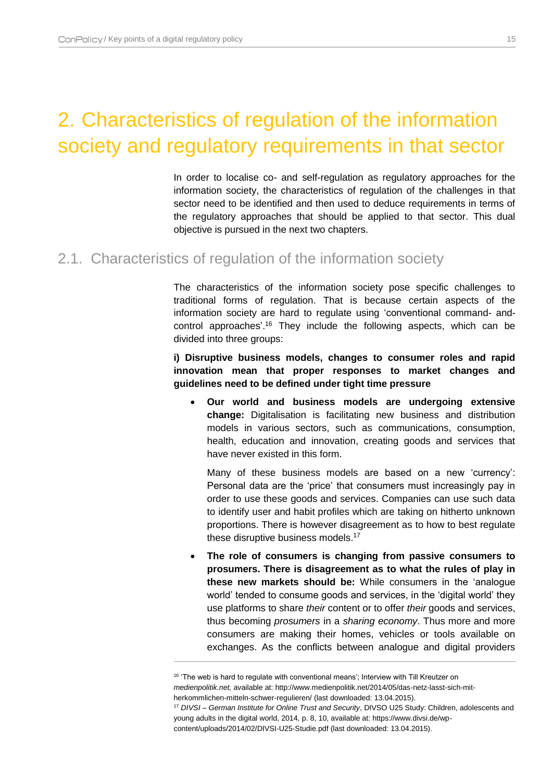# <span id="page-15-0"></span>2. Characteristics of regulation of the information society and regulatory requirements in that sector

In order to localise co- and self-regulation as regulatory approaches for the information society, the characteristics of regulation of the challenges in that sector need to be identified and then used to deduce requirements in terms of the regulatory approaches that should be applied to that sector. This dual objective is pursued in the next two chapters.

### <span id="page-15-1"></span>2.1. Characteristics of regulation of the information society

The characteristics of the information society pose specific challenges to traditional forms of regulation. That is because certain aspects of the information society are hard to regulate using 'conventional command- andcontrol approaches'.<sup>16</sup> They include the following aspects, which can be divided into three groups:

**i) Disruptive business models, changes to consumer roles and rapid innovation mean that proper responses to market changes and guidelines need to be defined under tight time pressure**

 **Our world and business models are undergoing extensive change:** Digitalisation is facilitating new business and distribution models in various sectors, such as communications, consumption, health, education and innovation, creating goods and services that have never existed in this form.

Many of these business models are based on a new 'currency': Personal data are the 'price' that consumers must increasingly pay in order to use these goods and services. Companies can use such data to identify user and habit profiles which are taking on hitherto unknown proportions. There is however disagreement as to how to best regulate these disruptive business models.<sup>17</sup>

 **The role of consumers is changing from passive consumers to prosumers. There is disagreement as to what the rules of play in these new markets should be:** While consumers in the 'analogue world' tended to consume goods and services, in the 'digital world' they use platforms to share *their* content or to offer *their* goods and services, thus becoming *prosumers* in a *sharing economy*. Thus more and more consumers are making their homes, vehicles or tools available on exchanges. As the conflicts between analogue and digital providers

<sup>&</sup>lt;sup>16</sup> 'The web is hard to regulate with conventional means'; Interview with Till Kreutzer on *medienpolitik.net,* available at: http://www.medienpolitik.net/2014/05/das-netz-lasst-sich-mitherkommlichen-mitteln-schwer-regulieren/ (last downloaded: 13.04.2015).

<sup>17</sup> *DIVSI – German Institute for Online Trust and Security*, DIVSO U25 Study: Children, adolescents and young adults in the digital world, 2014, p. 8, 10, available at: https://www.divsi.de/wp-

content/uploads/2014/02/DIVSI-U25-Studie.pdf (last downloaded: 13.04.2015).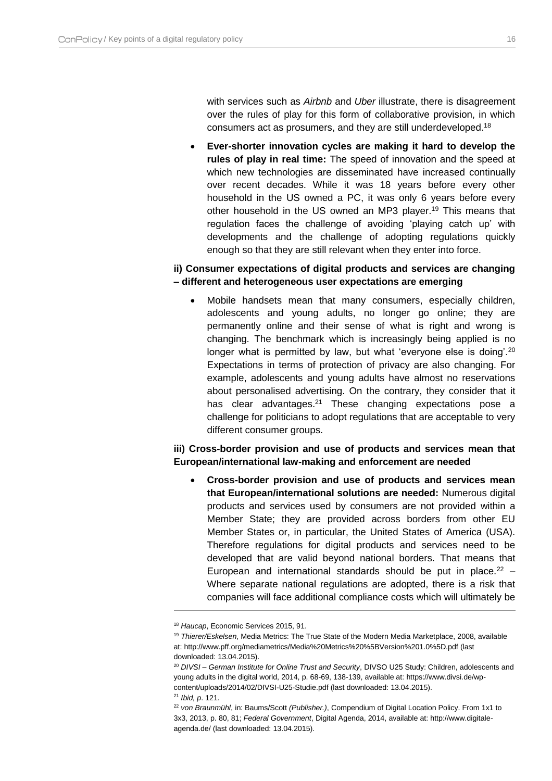with services such as *Airbnb* and *Uber* illustrate, there is disagreement over the rules of play for this form of collaborative provision, in which consumers act as prosumers, and they are still underdeveloped.<sup>18</sup>

 **Ever-shorter innovation cycles are making it hard to develop the rules of play in real time:** The speed of innovation and the speed at which new technologies are disseminated have increased continually over recent decades. While it was 18 years before every other household in the US owned a PC, it was only 6 years before every other household in the US owned an MP3 player.<sup>19</sup> This means that regulation faces the challenge of avoiding 'playing catch up' with developments and the challenge of adopting regulations quickly enough so that they are still relevant when they enter into force.

#### **ii) Consumer expectations of digital products and services are changing – different and heterogeneous user expectations are emerging**

 Mobile handsets mean that many consumers, especially children, adolescents and young adults, no longer go online; they are permanently online and their sense of what is right and wrong is changing. The benchmark which is increasingly being applied is no longer what is permitted by law, but what 'everyone else is doing'.<sup>20</sup> Expectations in terms of protection of privacy are also changing. For example, adolescents and young adults have almost no reservations about personalised advertising. On the contrary, they consider that it has clear advantages.<sup>21</sup> These changing expectations pose a challenge for politicians to adopt regulations that are acceptable to very different consumer groups.

#### **iii) Cross-border provision and use of products and services mean that European/international law-making and enforcement are needed**

 **Cross-border provision and use of products and services mean that European/international solutions are needed:** Numerous digital products and services used by consumers are not provided within a Member State; they are provided across borders from other EU Member States or, in particular, the United States of America (USA). Therefore regulations for digital products and services need to be developed that are valid beyond national borders. That means that European and international standards should be put in place. $22 - 1$ Where separate national regulations are adopted, there is a risk that companies will face additional compliance costs which will ultimately be

<sup>18</sup> *Haucap*, Economic Services 2015, 91.

<sup>19</sup> *Thierer/Eskelsen*, Media Metrics: The True State of the Modern Media Marketplace, 2008, available at: http://www.pff.org/mediametrics/Media%20Metrics%20%5BVersion%201.0%5D.pdf (last downloaded: 13.04.2015).

<sup>20</sup> *DIVSI – German Institute for Online Trust and Security*, DIVSO U25 Study: Children, adolescents and young adults in the digital world, 2014, p. 68-69, 138-139, available at: https://www.divsi.de/wpcontent/uploads/2014/02/DIVSI-U25-Studie.pdf (last downloaded: 13.04.2015).

<sup>21</sup> *Ibid, p*. 121.

<sup>22</sup> *von Braunmühl*, in: Baums/Scott *(Publisher.)*, Compendium of Digital Location Policy. From 1x1 to 3x3, 2013, p. 80, 81; *Federal Government*, Digital Agenda, 2014, available at: http://www.digitaleagenda.de/ (last downloaded: 13.04.2015).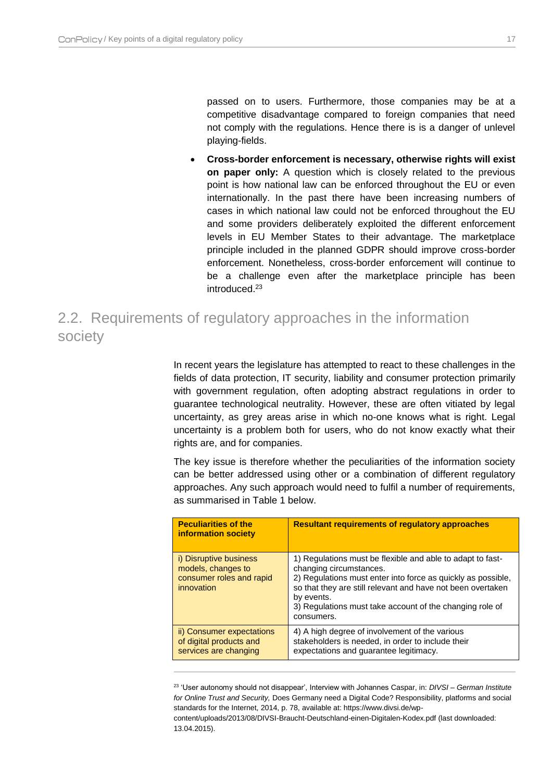$\overline{a}$ 

passed on to users. Furthermore, those companies may be at a competitive disadvantage compared to foreign companies that need not comply with the regulations. Hence there is is a danger of unlevel playing-fields.

 **Cross-border enforcement is necessary, otherwise rights will exist on paper only:** A question which is closely related to the previous point is how national law can be enforced throughout the EU or even internationally. In the past there have been increasing numbers of cases in which national law could not be enforced throughout the EU and some providers deliberately exploited the different enforcement levels in EU Member States to their advantage. The marketplace principle included in the planned GDPR should improve cross-border enforcement. Nonetheless, cross-border enforcement will continue to be a challenge even after the marketplace principle has been introduced.<sup>23</sup>

## <span id="page-17-0"></span>2.2. Requirements of regulatory approaches in the information society

In recent years the legislature has attempted to react to these challenges in the fields of data protection, IT security, liability and consumer protection primarily with government regulation, often adopting abstract regulations in order to guarantee technological neutrality. However, these are often vitiated by legal uncertainty, as grey areas arise in which no-one knows what is right. Legal uncertainty is a problem both for users, who do not know exactly what their rights are, and for companies.

The key issue is therefore whether the peculiarities of the information society can be better addressed using other or a combination of different regulatory approaches. Any such approach would need to fulfil a number of requirements, as summarised in [Table 1](#page-18-0) below.

| <b>Peculiarities of the</b><br><b>information society</b>                                      | <b>Resultant requirements of regulatory approaches</b>                                                                                                                                                                                                                                                       |
|------------------------------------------------------------------------------------------------|--------------------------------------------------------------------------------------------------------------------------------------------------------------------------------------------------------------------------------------------------------------------------------------------------------------|
| <i>i</i> ) Disruptive business<br>models, changes to<br>consumer roles and rapid<br>innovation | 1) Regulations must be flexible and able to adapt to fast-<br>changing circumstances.<br>2) Regulations must enter into force as quickly as possible,<br>so that they are still relevant and have not been overtaken<br>by events.<br>3) Regulations must take account of the changing role of<br>consumers. |
| ii) Consumer expectations<br>of digital products and<br>services are changing                  | 4) A high degree of involvement of the various<br>stakeholders is needed, in order to include their<br>expectations and guarantee legitimacy.                                                                                                                                                                |

<sup>23</sup> 'User autonomy should not disappear', Interview with Johannes Caspar, in: *DIVSI – German Institute for Online Trust and Security,* Does Germany need a Digital Code? Responsibility, platforms and social standards for the Internet, 2014, p. 78, available at: https://www.divsi.de/wp-

content/uploads/2013/08/DIVSI-Braucht-Deutschland-einen-Digitalen-Kodex.pdf (last downloaded: 13.04.2015).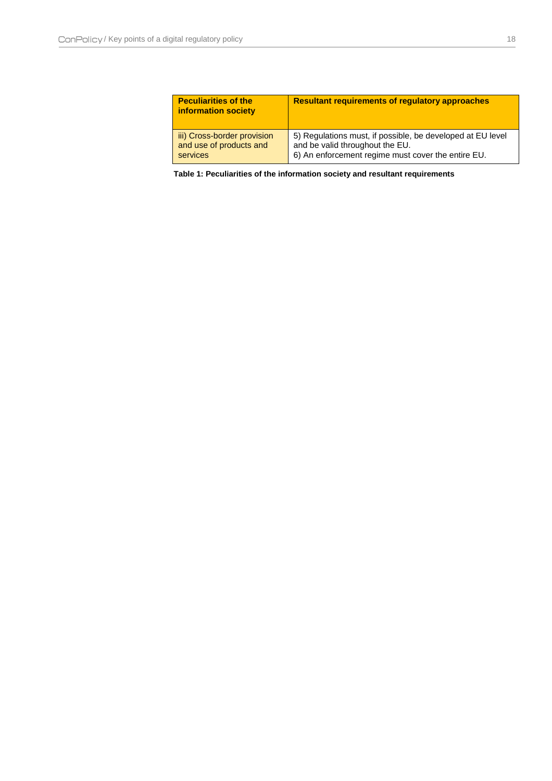| <b>Peculiarities of the</b><br>information society | <b>Resultant requirements of requiatory approaches</b>     |
|----------------------------------------------------|------------------------------------------------------------|
| iii) Cross-border provision                        | 5) Regulations must, if possible, be developed at EU level |
| and use of products and                            | and be valid throughout the EU.                            |
| <b>services</b>                                    | 6) An enforcement regime must cover the entire EU.         |

<span id="page-18-0"></span>**Table 1: Peculiarities of the information society and resultant requirements**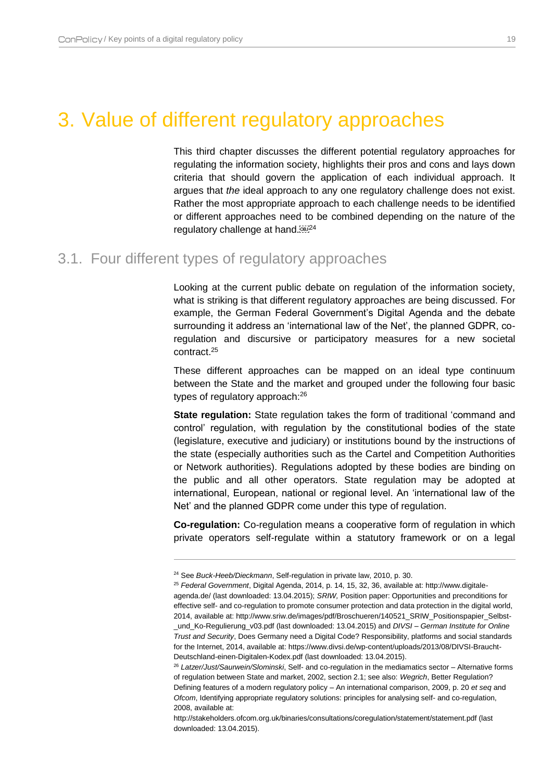## <span id="page-19-0"></span>3. Value of different regulatory approaches

This third chapter discusses the different potential regulatory approaches for regulating the information society, highlights their pros and cons and lays down criteria that should govern the application of each individual approach. It argues that *the* ideal approach to any one regulatory challenge does not exist. Rather the most appropriate approach to each challenge needs to be identified or different approaches need to be combined depending on the nature of the regulatory challenge at hand.<sup>[08]24</sup>

### <span id="page-19-1"></span>3.1. Four different types of regulatory approaches

 $\overline{a}$ 

Looking at the current public debate on regulation of the information society, what is striking is that different regulatory approaches are being discussed. For example, the German Federal Government's Digital Agenda and the debate surrounding it address an 'international law of the Net', the planned GDPR, coregulation and discursive or participatory measures for a new societal contract.<sup>25</sup>

These different approaches can be mapped on an ideal type continuum between the State and the market and grouped under the following four basic types of regulatory approach:<sup>26</sup>

**State regulation:** State regulation takes the form of traditional 'command and control' regulation, with regulation by the constitutional bodies of the state (legislature, executive and judiciary) or institutions bound by the instructions of the state (especially authorities such as the Cartel and Competition Authorities or Network authorities). Regulations adopted by these bodies are binding on the public and all other operators. State regulation may be adopted at international, European, national or regional level. An 'international law of the Net' and the planned GDPR come under this type of regulation.

**Co-regulation:** Co-regulation means a cooperative form of regulation in which private operators self-regulate within a statutory framework or on a legal

<sup>24</sup> See *Buck-Heeb/Dieckmann*, Self-regulation in private law, 2010, p. 30.

<sup>25</sup> *Federal Government*, Digital Agenda, 2014, p. 14, 15, 32, 36, available at: http://www.digitaleagenda.de/ (last downloaded: 13.04.2015); *SRIW,* Position paper: Opportunities and preconditions for effective self- and co-regulation to promote consumer protection and data protection in the digital world, 2014, available at: http://www.sriw.de/images/pdf/Broschueren/140521\_SRIW\_Positionspapier\_Selbst- \_und\_Ko-Regulierung\_v03.pdf (last downloaded: 13.04.2015) and *DIVSI – German Institute for Online Trust and Security*, Does Germany need a Digital Code? Responsibility, platforms and social standards for the Internet, 2014, available at: https://www.divsi.de/wp-content/uploads/2013/08/DIVSI-Braucht-Deutschland-einen-Digitalen-Kodex.pdf (last downloaded: 13.04.2015).

<sup>26</sup> *Latzer/Just/Saurwein/Slominski*, Self- and co-regulation in the mediamatics sector – Alternative forms of regulation between State and market, 2002, section 2.1; see also: *Wegrich*, Better Regulation? Defining features of a modern regulatory policy – An international comparison, 2009, p. 20 *et seq* and *Ofcom*, Identifying appropriate regulatory solutions: principles for analysing self- and co-regulation, 2008, available at:

http://stakeholders.ofcom.org.uk/binaries/consultations/coregulation/statement/statement.pdf (last downloaded: 13.04.2015).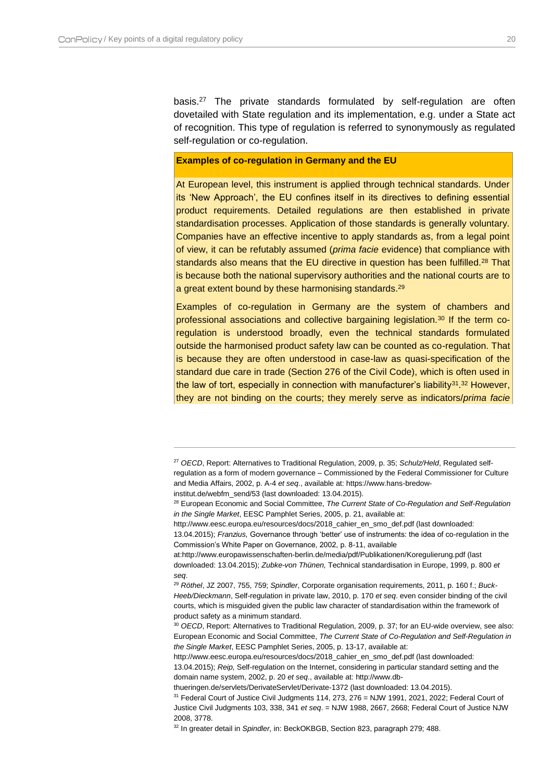$\overline{a}$ 

basis.<sup>27</sup> The private standards formulated by self-regulation are often dovetailed with State regulation and its implementation, e.g. under a State act of recognition. This type of regulation is referred to synonymously as regulated self-regulation or co-regulation.

#### **Examples of co-regulation in Germany and the EU**

At European level, this instrument is applied through technical standards. Under its 'New Approach', the EU confines itself in its directives to defining essential product requirements. Detailed regulations are then established in private standardisation processes. Application of those standards is generally voluntary. Companies have an effective incentive to apply standards as, from a legal point of view, it can be refutably assumed (*prima facie* evidence) that compliance with standards also means that the EU directive in question has been fulfilled.<sup>28</sup> That is because both the national supervisory authorities and the national courts are to a great extent bound by these harmonising standards.<sup>29</sup>

Examples of co-regulation in Germany are the system of chambers and professional associations and collective bargaining legislation.<sup>30</sup> If the term coregulation is understood broadly, even the technical standards formulated outside the harmonised product safety law can be counted as co-regulation. That is because they are often understood in case-law as quasi-specification of the standard due care in trade (Section 276 of the Civil Code), which is often used in the law of tort, especially in connection with manufacturer's liability<sup>31</sup>.<sup>32</sup> However, they are not binding on the courts; they merely serve as indicators/*prima facie* 

<sup>32</sup> In greater detail in *Spindler,* in: BeckOKBGB, Section 823, paragraph 279; 488.

<sup>27</sup> *OECD*, Report: Alternatives to Traditional Regulation, 2009, p. 35; *Schulz/Held*, Regulated selfregulation as a form of modern governance – Commissioned by the Federal Commissioner for Culture and Media Affairs, 2002, p. A-4 *et seq*., available at: https://www.hans-bredow-

institut.de/webfm\_send/53 (last downloaded: 13.04.2015).

<sup>28</sup> European Economic and Social Committee, *The Current State of Co-Regulation and Self-Regulation in the Single Market*, EESC Pamphlet Series, 2005, p. 21, available at:

http://www.eesc.europa.eu/resources/docs/2018\_cahier\_en\_smo\_def.pdf (last downloaded:

<sup>13.04.2015);</sup> *Franzius,* Governance through 'better' use of instruments: the idea of co-regulation in the Commission's White Paper on Governance, 2002, p. 8-11, available

at:http://www.europawissenschaften-berlin.de/media/pdf/Publikationen/Koregulierung.pdf (last downloaded: 13.04.2015); *Zubke-von Thünen,* Technical standardisation in Europe, 1999, p. 800 *et seq*.

<sup>29</sup> *Röthel*, JZ 2007, 755, 759; *Spindler*, Corporate organisation requirements, 2011, p. 160 f.; *Buck-Heeb/Dieckmann*, Self-regulation in private law, 2010, p. 170 *et seq*. even consider binding of the civil courts, which is misguided given the public law character of standardisation within the framework of product safety as a minimum standard.

<sup>30</sup> *OECD*, Report: Alternatives to Traditional Regulation, 2009, p. 37; for an EU-wide overview, see also: European Economic and Social Committee, *The Current State of Co-Regulation and Self-Regulation in the Single Market*, EESC Pamphlet Series, 2005, p. 13-17, available at:

http://www.eesc.europa.eu/resources/docs/2018\_cahier\_en\_smo\_def.pdf (last downloaded: 13.04.2015); *Reip,* Self-regulation on the Internet, considering in particular standard setting and the domain name system, 2002, p. 20 *et seq*., available at: http://www.db-

thueringen.de/servlets/DerivateServlet/Derivate-1372 (last downloaded: 13.04.2015).

 $31$  Federal Court of Justice Civil Judgments 114, 273, 276 = NJW 1991, 2021, 2022; Federal Court of Justice Civil Judgments 103, 338, 341 *et seq*. = NJW 1988, 2667, 2668; Federal Court of Justice NJW 2008, 3778.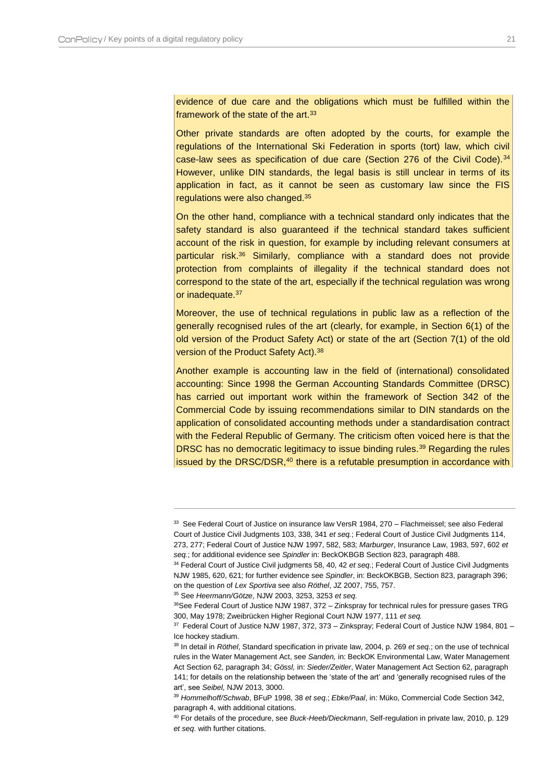evidence of due care and the obligations which must be fulfilled within the framework of the state of the art.<sup>33</sup>

Other private standards are often adopted by the courts, for example the regulations of the International Ski Federation in sports (tort) law, which civil case-law sees as specification of due care (Section 276 of the Civil Code).<sup>34</sup> However, unlike DIN standards, the legal basis is still unclear in terms of its application in fact, as it cannot be seen as customary law since the FIS regulations were also changed.<sup>35</sup>

On the other hand, compliance with a technical standard only indicates that the safety standard is also guaranteed if the technical standard takes sufficient account of the risk in question, for example by including relevant consumers at particular risk.<sup>36</sup> Similarly, compliance with a standard does not provide protection from complaints of illegality if the technical standard does not correspond to the state of the art, especially if the technical regulation was wrong or inadequate.<sup>37</sup>

Moreover, the use of technical regulations in public law as a reflection of the generally recognised rules of the art (clearly, for example, in Section 6(1) of the old version of the Product Safety Act) or state of the art (Section 7(1) of the old version of the Product Safety Act).<sup>38</sup>

Another example is accounting law in the field of (international) consolidated accounting: Since 1998 the German Accounting Standards Committee (DRSC) has carried out important work within the framework of Section 342 of the Commercial Code by issuing recommendations similar to DIN standards on the application of consolidated accounting methods under a standardisation contract with the Federal Republic of Germany. The criticism often voiced here is that the DRSC has no democratic legitimacy to issue binding rules.<sup>39</sup> Regarding the rules issued by the DRSC/DSR,<sup>40</sup> there is a refutable presumption in accordance with

<sup>35</sup> See *Heermann/Götze*, NJW 2003, 3253, 3253 *et seq*.

 $\overline{a}$ 

<sup>37</sup> Federal Court of Justice NJW 1987, 372, 373 - Zinkspray; Federal Court of Justice NJW 1984, 801 -Ice hockey stadium.

<sup>&</sup>lt;sup>33</sup> See Federal Court of Justice on insurance law VersR 1984, 270 - Flachmeissel; see also Federal Court of Justice Civil Judgments 103, 338, 341 *et seq.*; Federal Court of Justice Civil Judgments 114, 273, 277; Federal Court of Justice NJW 1997, 582, 583; *Marburger*, Insurance Law, 1983, 597, 602 *et seq.*; for additional evidence see *Spindler* in: BeckOKBGB Section 823, paragraph 488.

<sup>34</sup> Federal Court of Justice Civil judgments 58, 40, 42 *et seq*.; Federal Court of Justice Civil Judgments NJW 1985, 620, 621; for further evidence see *Spindler*, in: BeckOKBGB, Section 823, paragraph 396; on the question of *Lex Sportiva* see also *Röthel*, JZ 2007, 755, 757.

<sup>36</sup>See Federal Court of Justice NJW 1987, 372 - Zinkspray for technical rules for pressure gases TRG 300, May 1978; Zweibrücken Higher Regional Court NJW 1977, 111 *et seq.*

<sup>38</sup> In detail in *Röthel*, Standard specification in private law, 2004, p. 269 *et seq.*; on the use of technical rules in the Water Management Act, see *Sanden,* in: BeckOK Environmental Law, Water Management Act Section 62, paragraph 34; *Gössl,* in: *Sieder/Zeitler*, Water Management Act Section 62, paragraph 141; for details on the relationship between the 'state of the art' and 'generally recognised rules of the art', see *Seibel,* NJW 2013, 3000.

<sup>39</sup> *Hommelhoff/Schwab*, BFuP 1998, 38 *et seq*.; *Ebke/Paal*, in: Müko, Commercial Code Section 342, paragraph 4, with additional citations.

<sup>40</sup> For details of the procedure, see *Buck-Heeb/Dieckmann*, Self-regulation in private law, 2010, p. 129 *et seq*. with further citations.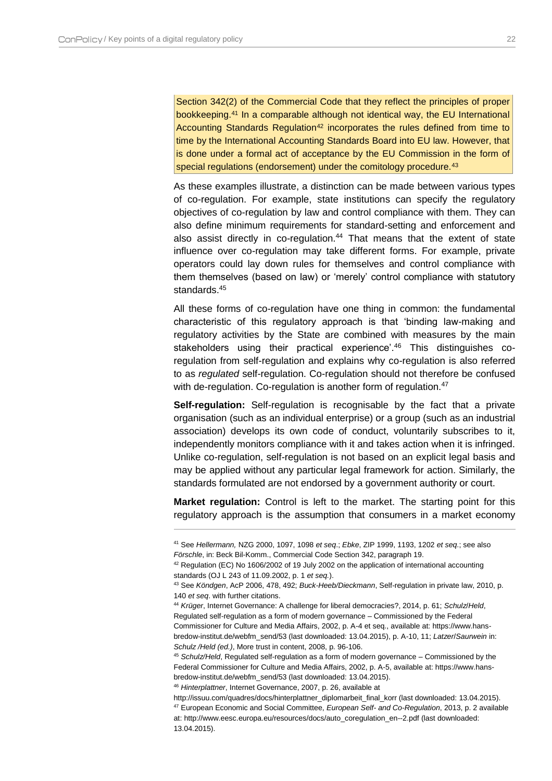$\overline{a}$ 

Section 342(2) of the Commercial Code that they reflect the principles of proper bookkeeping.<sup>41</sup> In a comparable although not identical way, the EU International Accounting Standards Regulation<sup>42</sup> incorporates the rules defined from time to time by the International Accounting Standards Board into EU law. However, that is done under a formal act of acceptance by the EU Commission in the form of special regulations (endorsement) under the comitology procedure.<sup>43</sup>

As these examples illustrate, a distinction can be made between various types of co-regulation. For example, state institutions can specify the regulatory objectives of co-regulation by law and control compliance with them. They can also define minimum requirements for standard-setting and enforcement and also assist directly in co-regulation.<sup>44</sup> That means that the extent of state influence over co-regulation may take different forms. For example, private operators could lay down rules for themselves and control compliance with them themselves (based on law) or 'merely' control compliance with statutory standards.<sup>45</sup>

All these forms of co-regulation have one thing in common: the fundamental characteristic of this regulatory approach is that 'binding law-making and regulatory activities by the State are combined with measures by the main stakeholders using their practical experience'.<sup>46</sup> This distinguishes coregulation from self-regulation and explains why co-regulation is also referred to as *regulated* self-regulation. Co-regulation should not therefore be confused with de-regulation. Co-regulation is another form of regulation.<sup>47</sup>

**Self-regulation:** Self-regulation is recognisable by the fact that a private organisation (such as an individual enterprise) or a group (such as an industrial association) develops its own code of conduct, voluntarily subscribes to it, independently monitors compliance with it and takes action when it is infringed. Unlike co-regulation, self-regulation is not based on an explicit legal basis and may be applied without any particular legal framework for action. Similarly, the standards formulated are not endorsed by a government authority or court.

**Market regulation:** Control is left to the market. The starting point for this regulatory approach is the assumption that consumers in a market economy

<sup>46</sup> *Hinterplattner*, Internet Governance, 2007, p. 26, available at

<sup>41</sup> See *Hellermann,* NZG 2000, 1097, 1098 *et seq*.; *Ebke*, ZIP 1999, 1193, 1202 *et seq*.; see also *Förschle*, in: Beck Bil-Komm., Commercial Code Section 342, paragraph 19.

<sup>&</sup>lt;sup>42</sup> Regulation (EC) No 1606/2002 of 19 July 2002 on the application of international accounting standards (OJ L 243 of 11.09.2002, p. 1 *et seq.*).

<sup>43</sup> See *Köndgen*, AcP 2006, 478, 492; *Buck-Heeb/Dieckmann*, Self-regulation in private law, 2010, p. 140 *et seq*. with further citations.

<sup>44</sup> *Krüger*, Internet Governance: A challenge for liberal democracies?, 2014, p. 61; *Schulz*/*Held*, Regulated self-regulation as a form of modern governance – Commissioned by the Federal Commissioner for Culture and Media Affairs, 2002, p. A-4 et seq., available at: https://www.hansbredow-institut.de/webfm\_send/53 (last downloaded: 13.04.2015), p. A-10, 11; *Latzer*/*Saurwein* in: *Schulz /Held (ed.)*, More trust in content, 2008, p. 96-106.

<sup>45</sup> *Schulz/Held*, Regulated self-regulation as a form of modern governance – Commissioned by the Federal Commissioner for Culture and Media Affairs, 2002, p. A-5, available at: https://www.hansbredow-institut.de/webfm\_send/53 (last downloaded: 13.04.2015).

http://issuu.com/quadres/docs/hinterplattner\_diplomarbeit\_final\_korr (last downloaded: 13.04.2015). <sup>47</sup> European Economic and Social Committee, *European Self- and Co-Regulation*, 2013, p. 2 available at: http://www.eesc.europa.eu/resources/docs/auto\_coregulation\_en--2.pdf (last downloaded: 13.04.2015).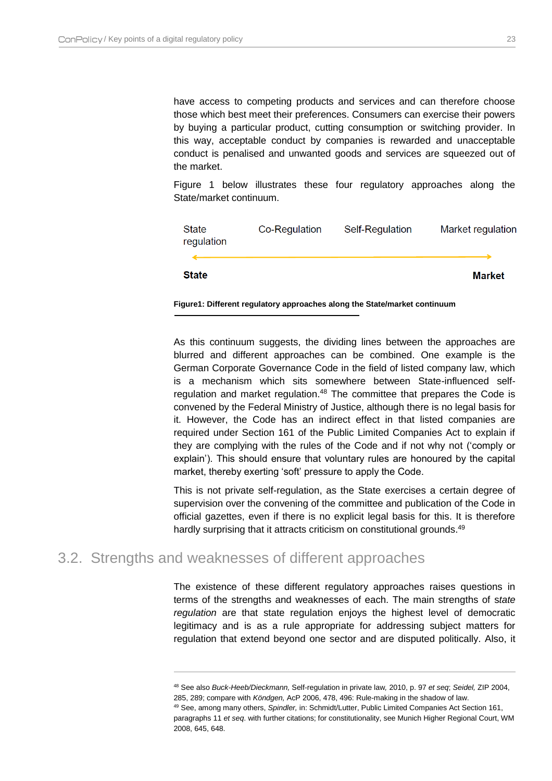have access to competing products and services and can therefore choose those which best meet their preferences. Consumers can exercise their powers by buying a particular product, cutting consumption or switching provider. In this way, acceptable conduct by companies is rewarded and unacceptable conduct is penalised and unwanted goods and services are squeezed out of the market.

[Figure 1](#page-23-1) below illustrates these four regulatory approaches along the State/market continuum.

| State<br>regulation | Co-Regulation | Self-Regulation | Market regulation |
|---------------------|---------------|-----------------|-------------------|
|                     |               |                 |                   |
| <b>State</b>        |               |                 | Market            |

<span id="page-23-1"></span>**Figure1: Different regulatory approaches along the State/market continuum**

As this continuum suggests, the dividing lines between the approaches are blurred and different approaches can be combined. One example is the German Corporate Governance Code in the field of listed company law, which is a mechanism which sits somewhere between State-influenced selfregulation and market regulation.<sup>48</sup> The committee that prepares the Code is convened by the Federal Ministry of Justice, although there is no legal basis for it. However, the Code has an indirect effect in that listed companies are required under Section 161 of the Public Limited Companies Act to explain if they are complying with the rules of the Code and if not why not ('comply or explain'). This should ensure that voluntary rules are honoured by the capital market, thereby exerting 'soft' pressure to apply the Code.

This is not private self-regulation, as the State exercises a certain degree of supervision over the convening of the committee and publication of the Code in official gazettes, even if there is no explicit legal basis for this. It is therefore hardly surprising that it attracts criticism on constitutional grounds.<sup>49</sup>

### <span id="page-23-0"></span>3.2. Strengths and weaknesses of different approaches

 $\overline{a}$ 

The existence of these different regulatory approaches raises questions in terms of the strengths and weaknesses of each. The main strengths of s*tate regulation* are that state regulation enjoys the highest level of democratic legitimacy and is as a rule appropriate for addressing subject matters for regulation that extend beyond one sector and are disputed politically. Also, it

<sup>48</sup> See also *Buck-Heeb/Dieckmann,* Self-regulation in private law*,* 2010, p. 97 *et seq*; *Seidel,* ZIP 2004, 285, 289; compare with *Köndgen,* AcP 2006, 478, 496: Rule-making in the shadow of law. <sup>49</sup> See, among many others, *Spindler,* in: Schmidt/Lutter, Public Limited Companies Act Section 161, paragraphs 11 *et seq*. with further citations; for constitutionality, see Munich Higher Regional Court, WM 2008, 645, 648.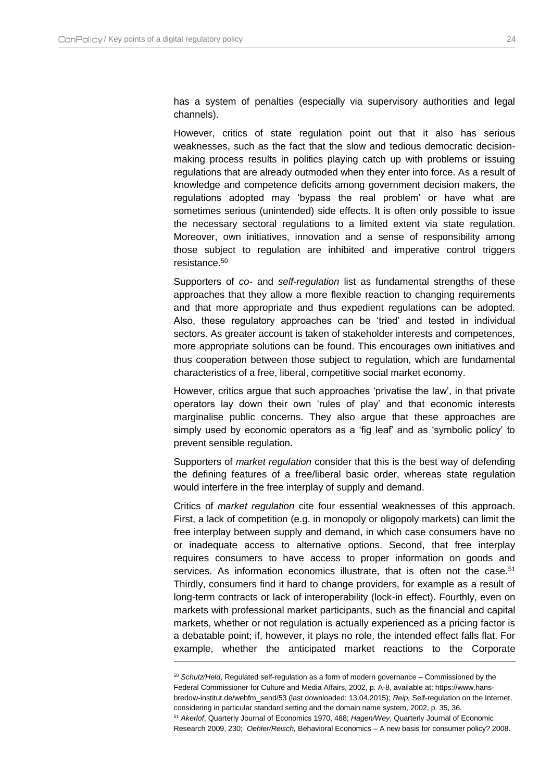$\overline{a}$ 

has a system of penalties (especially via supervisory authorities and legal channels).

However, critics of state regulation point out that it also has serious weaknesses, such as the fact that the slow and tedious democratic decisionmaking process results in politics playing catch up with problems or issuing regulations that are already outmoded when they enter into force. As a result of knowledge and competence deficits among government decision makers, the regulations adopted may 'bypass the real problem' or have what are sometimes serious (unintended) side effects. It is often only possible to issue the necessary sectoral regulations to a limited extent via state regulation. Moreover, own initiatives, innovation and a sense of responsibility among those subject to regulation are inhibited and imperative control triggers resistance.<sup>50</sup>

Supporters of *co-* and *self-regulation* list as fundamental strengths of these approaches that they allow a more flexible reaction to changing requirements and that more appropriate and thus expedient regulations can be adopted. Also, these regulatory approaches can be 'tried' and tested in individual sectors. As greater account is taken of stakeholder interests and competences, more appropriate solutions can be found. This encourages own initiatives and thus cooperation between those subject to regulation, which are fundamental characteristics of a free, liberal, competitive social market economy.

However, critics argue that such approaches 'privatise the law', in that private operators lay down their own 'rules of play' and that economic interests marginalise public concerns. They also argue that these approaches are simply used by economic operators as a 'fig leaf' and as 'symbolic policy' to prevent sensible regulation.

Supporters of *market regulation* consider that this is the best way of defending the defining features of a free/liberal basic order, whereas state regulation would interfere in the free interplay of supply and demand.

Critics of *market regulation* cite four essential weaknesses of this approach. First, a lack of competition (e.g. in monopoly or oligopoly markets) can limit the free interplay between supply and demand, in which case consumers have no or inadequate access to alternative options. Second, that free interplay requires consumers to have access to proper information on goods and services. As information economics illustrate, that is often not the case.<sup>51</sup> Thirdly, consumers find it hard to change providers, for example as a result of long-term contracts or lack of interoperability (lock-in effect). Fourthly, even on markets with professional market participants, such as the financial and capital markets, whether or not regulation is actually experienced as a pricing factor is a debatable point; if, however, it plays no role, the intended effect falls flat. For example, whether the anticipated market reactions to the Corporate

<sup>50</sup> *Schulz/Held*, Regulated self-regulation as a form of modern governance – Commissioned by the Federal Commissioner for Culture and Media Affairs, 2002, p. A-8, available at: https://www.hansbredow-institut.de/webfm\_send/53 (last downloaded: 13.04.2015); *Reip,* Self-regulation on the Internet, considering in particular standard setting and the domain name system, 2002, p. 35, 36. <sup>51</sup> *Akerlof*, Quarterly Journal of Economics 1970, 488; *Hagen/Wey*, Quarterly Journal of Economic Research 2009, 230; *Oehler/Reisch,* Behavioral Economics – A new basis for consumer policy? 2008.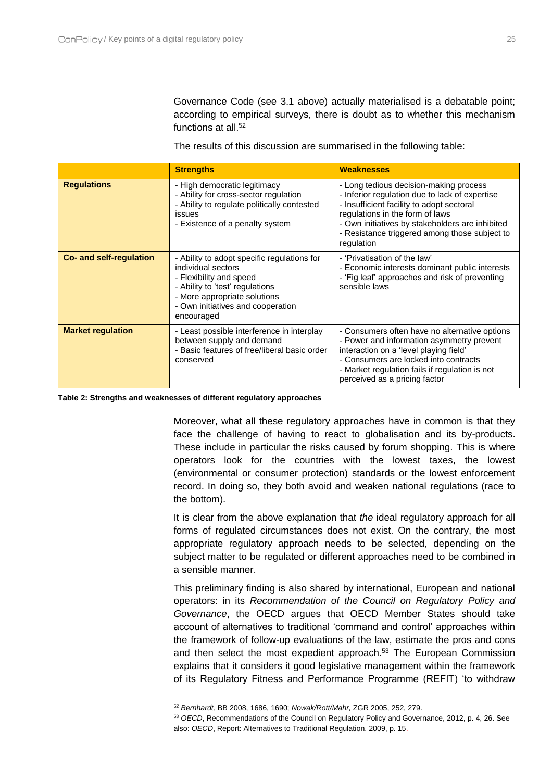Governance Code (see [3.1](#page-19-1) above) actually materialised is a debatable point; according to empirical surveys, there is doubt as to whether this mechanism functions at all.<sup>52</sup>

The results of this discussion are summarised in the following table:

|                          | <b>Strengths</b>                                                                                                                                                                                                                                                                                                                                                                                                                                                | <b>Weaknesses</b>                                                                                                                                                                                                                                                |
|--------------------------|-----------------------------------------------------------------------------------------------------------------------------------------------------------------------------------------------------------------------------------------------------------------------------------------------------------------------------------------------------------------------------------------------------------------------------------------------------------------|------------------------------------------------------------------------------------------------------------------------------------------------------------------------------------------------------------------------------------------------------------------|
| <b>Regulations</b>       | - High democratic legitimacy<br>- Long tedious decision-making process<br>- Ability for cross-sector regulation<br>- Inferior regulation due to lack of expertise<br>- Ability to regulate politically contested<br>- Insufficient facility to adopt sectoral<br>regulations in the form of laws<br>issues<br>- Own initiatives by stakeholders are inhibited<br>- Existence of a penalty system<br>- Resistance triggered among those subject to<br>regulation |                                                                                                                                                                                                                                                                  |
| Co- and self-regulation  | - Ability to adopt specific regulations for<br>individual sectors<br>- Flexibility and speed<br>- Ability to 'test' regulations<br>- More appropriate solutions<br>- Own initiatives and cooperation<br>encouraged                                                                                                                                                                                                                                              | - 'Privatisation of the law'<br>- Economic interests dominant public interests<br>- 'Fig leaf' approaches and risk of preventing<br>sensible laws                                                                                                                |
| <b>Market regulation</b> | - Least possible interference in interplay<br>between supply and demand<br>- Basic features of free/liberal basic order<br>conserved                                                                                                                                                                                                                                                                                                                            | - Consumers often have no alternative options<br>- Power and information asymmetry prevent<br>interaction on a 'level playing field'<br>- Consumers are locked into contracts<br>- Market regulation fails if regulation is not<br>perceived as a pricing factor |

**Table 2: Strengths and weaknesses of different regulatory approaches**

 $\overline{a}$ 

Moreover, what all these regulatory approaches have in common is that they face the challenge of having to react to globalisation and its by-products. These include in particular the risks caused by forum shopping. This is where operators look for the countries with the lowest taxes, the lowest (environmental or consumer protection) standards or the lowest enforcement record. In doing so, they both avoid and weaken national regulations (race to the bottom).

It is clear from the above explanation that *the* ideal regulatory approach for all forms of regulated circumstances does not exist. On the contrary, the most appropriate regulatory approach needs to be selected, depending on the subject matter to be regulated or different approaches need to be combined in a sensible manner.

This preliminary finding is also shared by international, European and national operators: in its *Recommendation of the Council on Regulatory Policy and Governance*, the OECD argues that OECD Member States should take account of alternatives to traditional 'command and control' approaches within the framework of follow-up evaluations of the law, estimate the pros and cons and then select the most expedient approach.<sup>53</sup> The European Commission explains that it considers it good legislative management within the framework of its Regulatory Fitness and Performance Programme (REFIT) 'to withdraw

<sup>52</sup> *Bernhardt*, BB 2008, 1686, 1690; *Nowak/Rott/Mahr,* ZGR 2005, 252, 279.

<sup>53</sup> *OECD*, Recommendations of the Council on Regulatory Policy and Governance, 2012, p. 4, 26. See also: *OECD*, Report: Alternatives to Traditional Regulation, 2009, p. 15.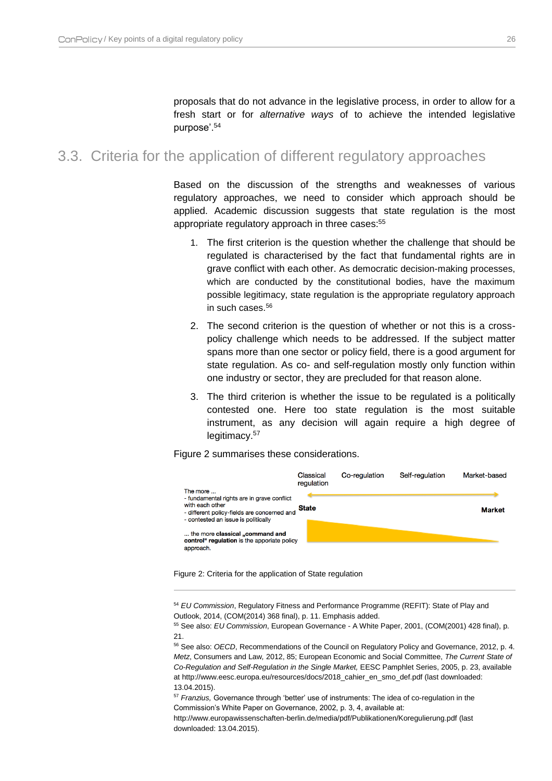proposals that do not advance in the legislative process, in order to allow for a fresh start or for *alternative ways* of to achieve the intended legislative purpose'.<sup>54</sup>

### <span id="page-26-0"></span>3.3. Criteria for the application of different regulatory approaches

Based on the discussion of the strengths and weaknesses of various regulatory approaches, we need to consider which approach should be applied. Academic discussion suggests that state regulation is the most appropriate regulatory approach in three cases:<sup>55</sup>

- 1. The first criterion is the question whether the challenge that should be regulated is characterised by the fact that fundamental rights are in grave conflict with each other. As democratic decision-making processes, which are conducted by the constitutional bodies, have the maximum possible legitimacy, state regulation is the appropriate regulatory approach in such cases.<sup>56</sup>
- 2. The second criterion is the question of whether or not this is a crosspolicy challenge which needs to be addressed. If the subject matter spans more than one sector or policy field, there is a good argument for state regulation. As co- and self-regulation mostly only function within one industry or sector, they are precluded for that reason alone.
- 3. The third criterion is whether the issue to be regulated is a politically contested one. Here too state regulation is the most suitable instrument, as any decision will again require a high degree of legitimacy.<sup>57</sup>

[Figure 2](#page-26-1) summarises these considerations.



<span id="page-26-1"></span>Figure 2: Criteria for the application of State regulation

 $\overline{a}$ 

<sup>54</sup> *EU Commission*, Regulatory Fitness and Performance Programme (REFIT): State of Play and Outlook, 2014, (COM(2014) 368 final), p. 11. Emphasis added.

<sup>55</sup> See also: *EU Commission*, European Governance - A White Paper, 2001, (COM(2001) 428 final), p. 21.

<sup>56</sup> See also: *OECD*, Recommendations of the Council on Regulatory Policy and Governance, 2012, p. 4. *Metz*, Consumers and Law*,* 2012, 85; European Economic and Social Committee, *The Current State of Co-Regulation and Self-Regulation in the Single Market,* EESC Pamphlet Series, 2005, p. 23, available at http://www.eesc.europa.eu/resources/docs/2018\_cahier\_en\_smo\_def.pdf (last downloaded: 13.04.2015).

<sup>57</sup> *Franzius,* Governance through 'better' use of instruments: The idea of co-regulation in the Commission's White Paper on Governance, 2002, p. 3, 4, available at:

http://www.europawissenschaften-berlin.de/media/pdf/Publikationen/Koregulierung.pdf (last downloaded: 13.04.2015).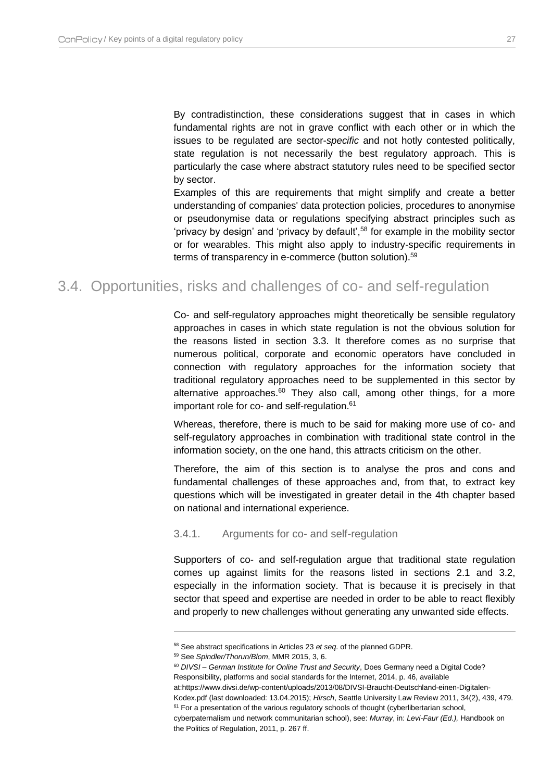By contradistinction, these considerations suggest that in cases in which fundamental rights are not in grave conflict with each other or in which the issues to be regulated are sector-*specific* and not hotly contested politically, state regulation is not necessarily the best regulatory approach. This is particularly the case where abstract statutory rules need to be specified sector by sector.

Examples of this are requirements that might simplify and create a better understanding of companies' data protection policies, procedures to anonymise or pseudonymise data or regulations specifying abstract principles such as 'privacy by design' and 'privacy by default',<sup>58</sup> for example in the mobility sector or for wearables. This might also apply to industry-specific requirements in terms of transparency in e-commerce (button solution).<sup>59</sup>

## <span id="page-27-0"></span>3.4. Opportunities, risks and challenges of co- and self-regulation

Co- and self-regulatory approaches might theoretically be sensible regulatory approaches in cases in which state regulation is not the obvious solution for the reasons listed in section [3.3.](#page-26-0) It therefore comes as no surprise that numerous political, corporate and economic operators have concluded in connection with regulatory approaches for the information society that traditional regulatory approaches need to be supplemented in this sector by alternative approaches.<sup>60</sup> They also call, among other things, for a more important role for co- and self-regulation.<sup>61</sup>

Whereas, therefore, there is much to be said for making more use of co- and self-regulatory approaches in combination with traditional state control in the information society, on the one hand, this attracts criticism on the other.

Therefore, the aim of this section is to analyse the pros and cons and fundamental challenges of these approaches and, from that, to extract key questions which will be investigated in greater detail in the 4th chapter based on national and international experience.

#### <span id="page-27-1"></span>3.4.1. Arguments for co- and self-regulation

Supporters of co- and self-regulation argue that traditional state regulation comes up against limits for the reasons listed in sections [2.1](#page-15-1) and [3.2,](#page-23-0) especially in the information society. That is because it is precisely in that sector that speed and expertise are needed in order to be able to react flexibly and properly to new challenges without generating any unwanted side effects.

<sup>58</sup> See abstract specifications in Articles 23 *et seq*. of the planned GDPR.

<sup>59</sup> See *Spindler/Thorun/Blom*, MMR 2015, 3, 6.

<sup>60</sup> *DIVSI – German Institute for Online Trust and Security*, Does Germany need a Digital Code? Responsibility, platforms and social standards for the Internet, 2014, p. 46, available at:https://www.divsi.de/wp-content/uploads/2013/08/DIVSI-Braucht-Deutschland-einen-Digitalen-

Kodex.pdf (last downloaded: 13.04.2015); *Hirsch*, Seattle University Law Review 2011, 34(2), 439, 479.  $61$  For a presentation of the various regulatory schools of thought (cyberlibertarian school,

cyberpaternalism und network communitarian school), see: *Murray*, in: *Levi-Faur (Ed.),* Handbook on the Politics of Regulation, 2011, p. 267 ff.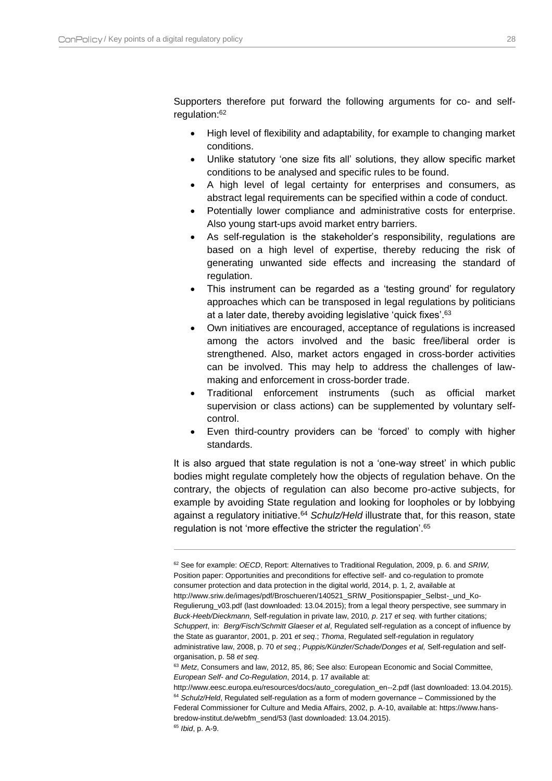Supporters therefore put forward the following arguments for co- and selfregulation:<sup>62</sup>

- High level of flexibility and adaptability, for example to changing market conditions.
- Unlike statutory 'one size fits all' solutions, they allow specific market conditions to be analysed and specific rules to be found.
- A high level of legal certainty for enterprises and consumers, as abstract legal requirements can be specified within a code of conduct.
- Potentially lower compliance and administrative costs for enterprise. Also young start-ups avoid market entry barriers.
- As self-regulation is the stakeholder's responsibility, regulations are based on a high level of expertise, thereby reducing the risk of generating unwanted side effects and increasing the standard of regulation.
- This instrument can be regarded as a 'testing ground' for regulatory approaches which can be transposed in legal regulations by politicians at a later date, thereby avoiding legislative 'quick fixes'.<sup>63</sup>
- Own initiatives are encouraged, acceptance of regulations is increased among the actors involved and the basic free/liberal order is strengthened. Also, market actors engaged in cross-border activities can be involved. This may help to address the challenges of lawmaking and enforcement in cross-border trade.
- Traditional enforcement instruments (such as official market supervision or class actions) can be supplemented by voluntary selfcontrol.
- Even third-country providers can be 'forced' to comply with higher standards.

It is also argued that state regulation is not a 'one-way street' in which public bodies might regulate completely how the objects of regulation behave. On the contrary, the objects of regulation can also become pro-active subjects, for example by avoiding State regulation and looking for loopholes or by lobbying against a regulatory initiative.<sup>64</sup> *Schulz/Held* illustrate that, for this reason, state regulation is not 'more effective the stricter the regulation'.<sup>65</sup>

<sup>62</sup> See for example: *OECD*, Report: Alternatives to Traditional Regulation, 2009, p. 6. and *SRIW,* Position paper: Opportunities and preconditions for effective self- and co-regulation to promote consumer protection and data protection in the digital world, 2014, p. 1, 2, available at http://www.sriw.de/images/pdf/Broschueren/140521\_SRIW\_Positionspapier\_Selbst-\_und\_Ko-Regulierung\_v03.pdf (last downloaded: 13.04.2015); from a legal theory perspective, see summary in *Buck-Heeb/Dieckmann,* Self-regulation in private law, 2010*, p*. 217 *et seq*. with further citations; *Schuppert*, in: *Berg/Fisch/Schmitt Glaeser et al*, Regulated self-regulation as a concept of influence by the State as guarantor, 2001, p. 201 *et seq*.; *Thoma*, Regulated self-regulation in regulatory administrative law, 2008, p. 70 *et seq*.; *Puppis/Künzler/Schade/Donges et al,* Self-regulation and selforganisation, p. 58 *et seq*.

<sup>&</sup>lt;sup>63</sup> Metz, Consumers and law, 2012, 85, 86; See also: European Economic and Social Committee, *European Self- and Co-Regulation*, 2014, p. 17 available at:

http://www.eesc.europa.eu/resources/docs/auto\_coregulation\_en--2.pdf (last downloaded: 13.04.2015). <sup>64</sup> Schulz/Held, Regulated self-regulation as a form of modern governance – Commissioned by the Federal Commissioner for Culture and Media Affairs, 2002, p. A-10, available at: https://www.hansbredow-institut.de/webfm\_send/53 (last downloaded: 13.04.2015).

<sup>65</sup> *Ibid*, p. A-9.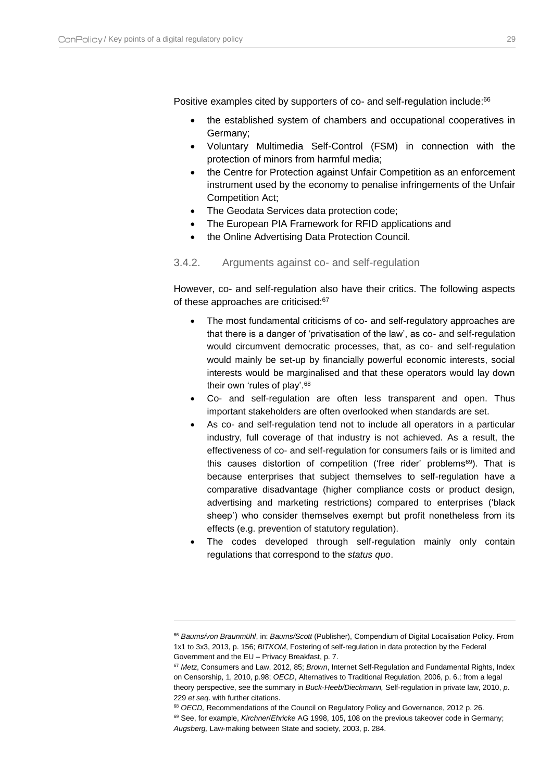$\overline{a}$ 

Positive examples cited by supporters of co- and self-regulation include:<sup>66</sup>

- the established system of chambers and occupational cooperatives in Germany;
- Voluntary Multimedia Self-Control (FSM) in connection with the protection of minors from harmful media;
- the Centre for Protection against Unfair Competition as an enforcement instrument used by the economy to penalise infringements of the Unfair Competition Act;
- The Geodata Services data protection code;
- The European PIA Framework for RFID applications and
- the Online Advertising Data Protection Council.
- <span id="page-29-0"></span>3.4.2. Arguments against co- and self-regulation

However, co- and self-regulation also have their critics. The following aspects of these approaches are criticised:<sup>67</sup>

- The most fundamental criticisms of co- and self-regulatory approaches are that there is a danger of 'privatisation of the law', as co- and self-regulation would circumvent democratic processes, that, as co- and self-regulation would mainly be set-up by financially powerful economic interests, social interests would be marginalised and that these operators would lay down their own 'rules of play'.<sup>68</sup>
- Co- and self-regulation are often less transparent and open. Thus important stakeholders are often overlooked when standards are set.
- As co- and self-regulation tend not to include all operators in a particular industry, full coverage of that industry is not achieved. As a result, the effectiveness of co- and self-regulation for consumers fails or is limited and this causes distortion of competition ('free rider' problems<sup>69</sup>). That is because enterprises that subject themselves to self-regulation have a comparative disadvantage (higher compliance costs or product design, advertising and marketing restrictions) compared to enterprises ('black sheep') who consider themselves exempt but profit nonetheless from its effects (e.g. prevention of statutory regulation).
- The codes developed through self-regulation mainly only contain regulations that correspond to the *status quo*.

<sup>66</sup> *Baums/von Braunmühl*, in: *Baums/Scott* (Publisher), Compendium of Digital Localisation Policy. From 1x1 to 3x3, 2013, p. 156; *BITKOM*, Fostering of self-regulation in data protection by the Federal Government and the EU – Privacy Breakfast, p. 7.

<sup>67</sup> *Metz*, Consumers and Law, 2012, 85; *Brown*, Internet Self-Regulation and Fundamental Rights, Index on Censorship, 1, 2010, p.98; *OECD*, Alternatives to Traditional Regulation, 2006, p. 6.; from a legal theory perspective, see the summary in *Buck-Heeb/Dieckmann,* Self-regulation in private law, 2010, *p*. 229 *et seq*. with further citations.

<sup>68</sup> *OECD,* Recommendations of the Council on Regulatory Policy and Governance, 2012 p. 26. <sup>69</sup> See, for example, *Kirchner*/*Ehricke* AG 1998, 105, 108 on the previous takeover code in Germany; *Augsberg,* Law-making between State and society, 2003, p. 284.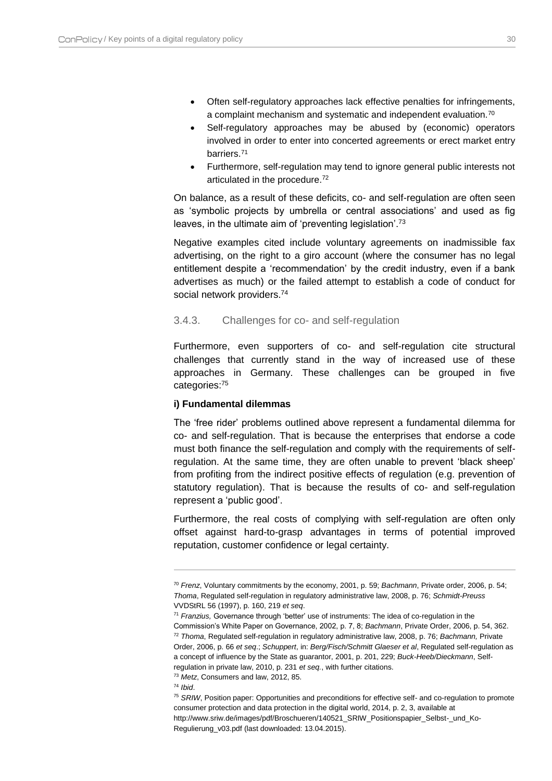- Often self-regulatory approaches lack effective penalties for infringements, a complaint mechanism and systematic and independent evaluation.<sup>70</sup>
- Self-regulatory approaches may be abused by (economic) operators involved in order to enter into concerted agreements or erect market entry barriers.<sup>71</sup>
- Furthermore, self-regulation may tend to ignore general public interests not articulated in the procedure.<sup>72</sup>

On balance, as a result of these deficits, co- and self-regulation are often seen as 'symbolic projects by umbrella or central associations' and used as fig leaves, in the ultimate aim of 'preventing legislation'.<sup>73</sup>

Negative examples cited include voluntary agreements on inadmissible fax advertising, on the right to a giro account (where the consumer has no legal entitlement despite a 'recommendation' by the credit industry, even if a bank advertises as much) or the failed attempt to establish a code of conduct for social network providers.<sup>74</sup>

#### <span id="page-30-0"></span>3.4.3. Challenges for co- and self-regulation

Furthermore, even supporters of co- and self-regulation cite structural challenges that currently stand in the way of increased use of these approaches in Germany. These challenges can be grouped in five categories:<sup>75</sup>

#### **i) Fundamental dilemmas**

The 'free rider' problems outlined above represent a fundamental dilemma for co- and self-regulation. That is because the enterprises that endorse a code must both finance the self-regulation and comply with the requirements of selfregulation. At the same time, they are often unable to prevent 'black sheep' from profiting from the indirect positive effects of regulation (e.g. prevention of statutory regulation). That is because the results of co- and self-regulation represent a 'public good'.

Furthermore, the real costs of complying with self-regulation are often only offset against hard-to-grasp advantages in terms of potential improved reputation, customer confidence or legal certainty.

<sup>74</sup> *Ibid*.

<sup>70</sup> *Frenz*, Voluntary commitments by the economy, 2001, p. 59; *Bachmann*, Private order, 2006, p. 54; *Thoma*, Regulated self-regulation in regulatory administrative law, 2008, p. 76; *Schmidt-Preuss*  VVDStRL 56 (1997), p. 160, 219 *et seq*.

<sup>71</sup> *Franzius,* Governance through 'better' use of instruments: The idea of co-regulation in the Commission's White Paper on Governance, 2002, p. 7, 8; *Bachmann*, Private Order, 2006, p. 54, 362. <sup>72</sup> *Thoma*, Regulated self-regulation in regulatory administrative law, 2008, p. 76; *Bachmann,* Private Order, 2006, p. 66 *et seq*.; *Schuppert*, in: *Berg/Fisch/Schmitt Glaeser et al*, Regulated self-regulation as a concept of influence by the State as guarantor, 2001, p. 201, 229; *Buck-Heeb/Dieckmann*, Selfregulation in private law, 2010, p. 231 *et seq.*, with further citations.

<sup>73</sup> *Metz*, Consumers and law, 2012, 85.

<sup>&</sup>lt;sup>75</sup> SRIW, Position paper: Opportunities and preconditions for effective self- and co-regulation to promote consumer protection and data protection in the digital world, 2014, p. 2, 3, available at http://www.sriw.de/images/pdf/Broschueren/140521\_SRIW\_Positionspapier\_Selbst-\_und\_Ko-Regulierung\_v03.pdf (last downloaded: 13.04.2015).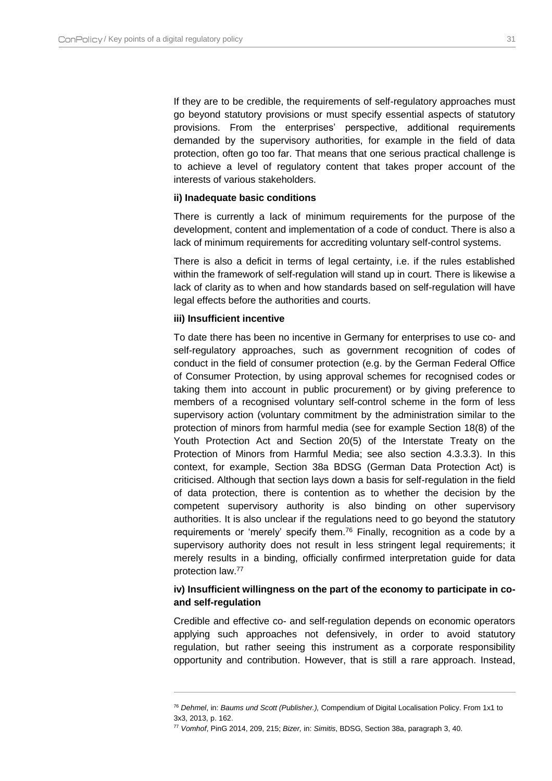If they are to be credible, the requirements of self-regulatory approaches must go beyond statutory provisions or must specify essential aspects of statutory provisions. From the enterprises' perspective, additional requirements demanded by the supervisory authorities, for example in the field of data protection, often go too far. That means that one serious practical challenge is to achieve a level of regulatory content that takes proper account of the interests of various stakeholders.

#### **ii) Inadequate basic conditions**

There is currently a lack of minimum requirements for the purpose of the development, content and implementation of a code of conduct. There is also a lack of minimum requirements for accrediting voluntary self-control systems.

There is also a deficit in terms of legal certainty, i.e. if the rules established within the framework of self-regulation will stand up in court. There is likewise a lack of clarity as to when and how standards based on self-regulation will have legal effects before the authorities and courts.

#### **iii) Insufficient incentive**

 $\overline{a}$ 

To date there has been no incentive in Germany for enterprises to use co- and self-regulatory approaches, such as government recognition of codes of conduct in the field of consumer protection (e.g. by the German Federal Office of Consumer Protection, by using approval schemes for recognised codes or taking them into account in public procurement) or by giving preference to members of a recognised voluntary self-control scheme in the form of less supervisory action (voluntary commitment by the administration similar to the protection of minors from harmful media (see for example Section 18(8) of the Youth Protection Act and Section 20(5) of the Interstate Treaty on the Protection of Minors from Harmful Media; see also section [4.3.3.3\)](#page-49-0). In this context, for example, Section 38a BDSG (German Data Protection Act) is criticised. Although that section lays down a basis for self-regulation in the field of data protection, there is contention as to whether the decision by the competent supervisory authority is also binding on other supervisory authorities. It is also unclear if the regulations need to go beyond the statutory requirements or 'merely' specify them.<sup>76</sup> Finally, recognition as a code by a supervisory authority does not result in less stringent legal requirements; it merely results in a binding, officially confirmed interpretation guide for data protection law.<sup>77</sup>

#### **iv) Insufficient willingness on the part of the economy to participate in coand self-regulation**

Credible and effective co- and self-regulation depends on economic operators applying such approaches not defensively, in order to avoid statutory regulation, but rather seeing this instrument as a corporate responsibility opportunity and contribution. However, that is still a rare approach. Instead,

<sup>76</sup> *Dehmel*, in: *Baums und Scott (Publisher.),* Compendium of Digital Localisation Policy. From 1x1 to 3x3, 2013, p. 162.

<sup>77</sup> *Vomhof*, PinG 2014, 209, 215; *Bizer,* in: *Simitis*, BDSG, Section 38a, paragraph 3, 40.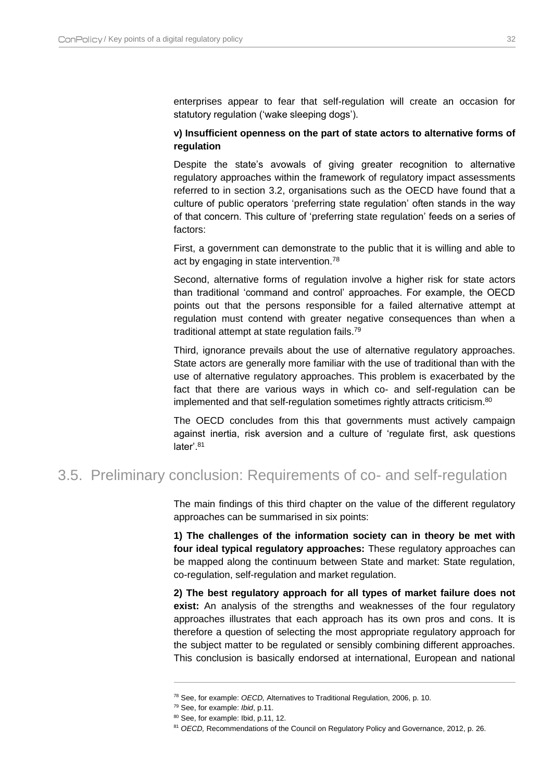enterprises appear to fear that self-regulation will create an occasion for statutory regulation ('wake sleeping dogs').

#### **v) Insufficient openness on the part of state actors to alternative forms of regulation**

Despite the state's avowals of giving greater recognition to alternative regulatory approaches within the framework of regulatory impact assessments referred to in section [3.2,](#page-23-0) organisations such as the OECD have found that a culture of public operators 'preferring state regulation' often stands in the way of that concern. This culture of 'preferring state regulation' feeds on a series of factors:

First, a government can demonstrate to the public that it is willing and able to act by engaging in state intervention.<sup>78</sup>

Second, alternative forms of regulation involve a higher risk for state actors than traditional 'command and control' approaches. For example, the OECD points out that the persons responsible for a failed alternative attempt at regulation must contend with greater negative consequences than when a traditional attempt at state regulation fails.<sup>79</sup>

Third, ignorance prevails about the use of alternative regulatory approaches. State actors are generally more familiar with the use of traditional than with the use of alternative regulatory approaches. This problem is exacerbated by the fact that there are various ways in which co- and self-regulation can be implemented and that self-regulation sometimes rightly attracts criticism.<sup>80</sup>

The OECD concludes from this that governments must actively campaign against inertia, risk aversion and a culture of 'regulate first, ask questions later'.<sup>81</sup>

## <span id="page-32-0"></span>3.5. Preliminary conclusion: Requirements of co- and self-regulation

The main findings of this third chapter on the value of the different regulatory approaches can be summarised in six points:

**1) The challenges of the information society can in theory be met with four ideal typical regulatory approaches:** These regulatory approaches can be mapped along the continuum between State and market: State regulation, co-regulation, self-regulation and market regulation.

**2) The best regulatory approach for all types of market failure does not exist:** An analysis of the strengths and weaknesses of the four regulatory approaches illustrates that each approach has its own pros and cons. It is therefore a question of selecting the most appropriate regulatory approach for the subject matter to be regulated or sensibly combining different approaches. This conclusion is basically endorsed at international, European and national

<sup>78</sup> See, for example: *OECD,* Alternatives to Traditional Regulation, 2006, p. 10.

<sup>79</sup> See, for example: *Ibid*, p.11.

<sup>80</sup> See, for example: Ibid, p.11, 12.

<sup>81</sup> *OECD,* Recommendations of the Council on Regulatory Policy and Governance, 2012, p. 26.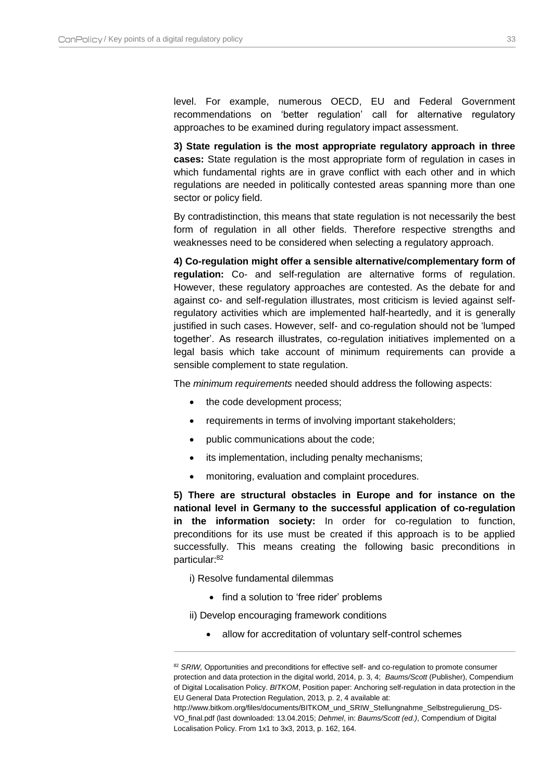level. For example, numerous OECD, EU and Federal Government recommendations on 'better regulation' call for alternative regulatory approaches to be examined during regulatory impact assessment.

**3) State regulation is the most appropriate regulatory approach in three cases:** State regulation is the most appropriate form of regulation in cases in which fundamental rights are in grave conflict with each other and in which regulations are needed in politically contested areas spanning more than one sector or policy field.

By contradistinction, this means that state regulation is not necessarily the best form of regulation in all other fields. Therefore respective strengths and weaknesses need to be considered when selecting a regulatory approach.

**4) Co-regulation might offer a sensible alternative/complementary form of regulation:** Co- and self-regulation are alternative forms of regulation. However, these regulatory approaches are contested. As the debate for and against co- and self-regulation illustrates, most criticism is levied against selfregulatory activities which are implemented half-heartedly, and it is generally justified in such cases. However, self- and co-regulation should not be 'lumped together'. As research illustrates, co-regulation initiatives implemented on a legal basis which take account of minimum requirements can provide a sensible complement to state regulation.

The *minimum requirements* needed should address the following aspects:

- the code development process;
- requirements in terms of involving important stakeholders;
- public communications about the code;
- its implementation, including penalty mechanisms;
- monitoring, evaluation and complaint procedures.

**5) There are structural obstacles in Europe and for instance on the national level in Germany to the successful application of co-regulation in the information society:** In order for co-regulation to function, preconditions for its use must be created if this approach is to be applied successfully. This means creating the following basic preconditions in particular:<sup>82</sup>

i) Resolve fundamental dilemmas

 $\overline{a}$ 

• find a solution to 'free rider' problems

ii) Develop encouraging framework conditions

allow for accreditation of voluntary self-control schemes

<sup>82</sup> SRIW, Opportunities and preconditions for effective self- and co-regulation to promote consumer protection and data protection in the digital world, 2014, p. 3, 4; *Baums/Scott* (Publisher), Compendium of Digital Localisation Policy. *BITKOM*, Position paper: Anchoring self-regulation in data protection in the EU General Data Protection Regulation, 2013, p. 2, 4 available at:

http://www.bitkom.org/files/documents/BITKOM\_und\_SRIW\_Stellungnahme\_Selbstregulierung\_DS-VO\_final.pdf (last downloaded: 13.04.2015; *Dehmel*, in: *Baums/Scott (ed.)*, Compendium of Digital Localisation Policy. From 1x1 to 3x3, 2013, p. 162, 164.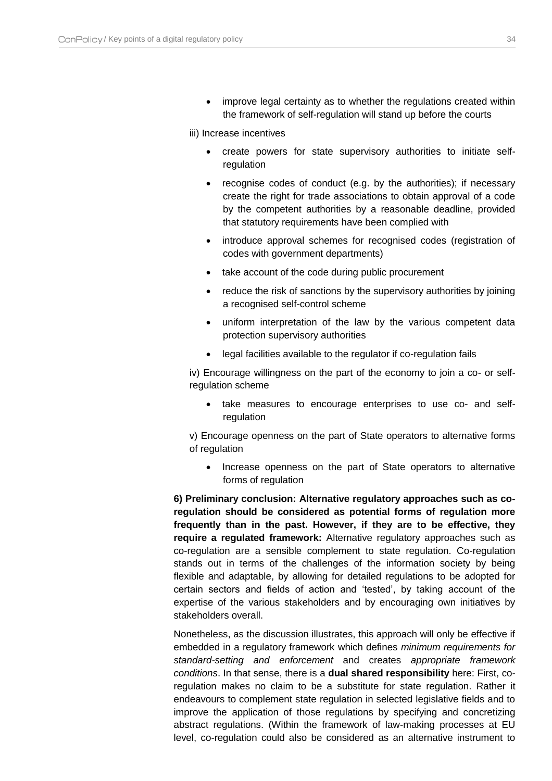improve legal certainty as to whether the regulations created within the framework of self-regulation will stand up before the courts

iii) Increase incentives

- create powers for state supervisory authorities to initiate selfregulation
- recognise codes of conduct (e.g. by the authorities); if necessary create the right for trade associations to obtain approval of a code by the competent authorities by a reasonable deadline, provided that statutory requirements have been complied with
- introduce approval schemes for recognised codes (registration of codes with government departments)
- take account of the code during public procurement
- reduce the risk of sanctions by the supervisory authorities by joining a recognised self-control scheme
- uniform interpretation of the law by the various competent data protection supervisory authorities
- legal facilities available to the regulator if co-regulation fails

iv) Encourage willingness on the part of the economy to join a co- or selfregulation scheme

 take measures to encourage enterprises to use co- and selfregulation

v) Encourage openness on the part of State operators to alternative forms of regulation

• Increase openness on the part of State operators to alternative forms of regulation

**6) Preliminary conclusion: Alternative regulatory approaches such as coregulation should be considered as potential forms of regulation more frequently than in the past. However, if they are to be effective, they require a regulated framework:** Alternative regulatory approaches such as co-regulation are a sensible complement to state regulation. Co-regulation stands out in terms of the challenges of the information society by being flexible and adaptable, by allowing for detailed regulations to be adopted for certain sectors and fields of action and 'tested', by taking account of the expertise of the various stakeholders and by encouraging own initiatives by stakeholders overall.

Nonetheless, as the discussion illustrates, this approach will only be effective if embedded in a regulatory framework which defines *minimum requirements for standard-setting and enforcement* and creates *appropriate framework conditions*. In that sense, there is a **dual shared responsibility** here: First, coregulation makes no claim to be a substitute for state regulation. Rather it endeavours to complement state regulation in selected legislative fields and to improve the application of those regulations by specifying and concretizing abstract regulations. (Within the framework of law-making processes at EU level, co-regulation could also be considered as an alternative instrument to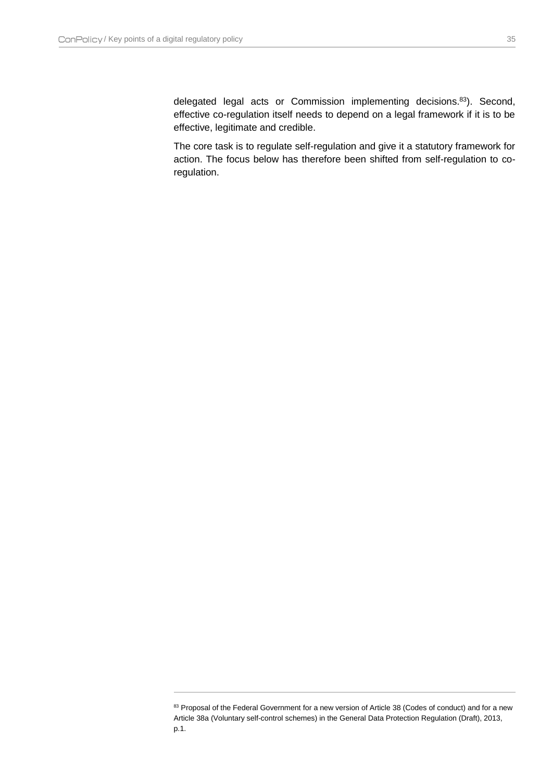$\overline{a}$ 

delegated legal acts or Commission implementing decisions.<sup>83</sup>). Second, effective co-regulation itself needs to depend on a legal framework if it is to be effective, legitimate and credible.

The core task is to regulate self-regulation and give it a statutory framework for action. The focus below has therefore been shifted from self-regulation to coregulation.

<sup>83</sup> Proposal of the Federal Government for a new version of Article 38 (Codes of conduct) and for a new Article 38a (Voluntary self-control schemes) in the General Data Protection Regulation (Draft), 2013, p.1.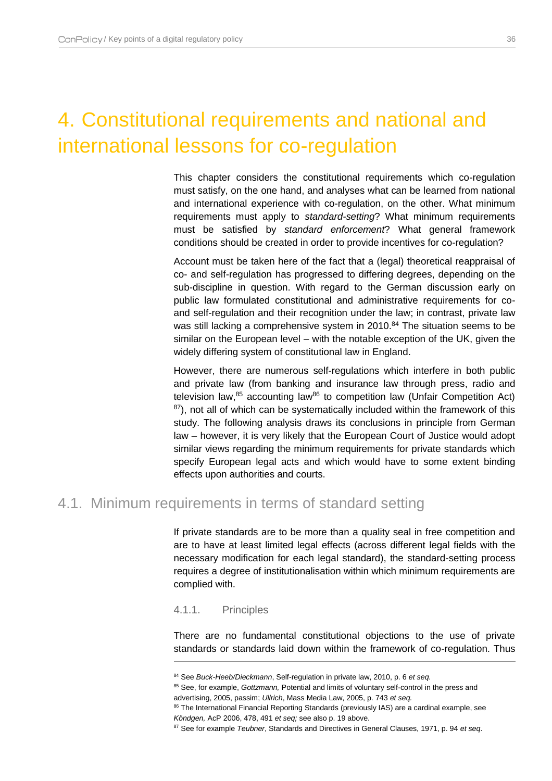# <span id="page-36-0"></span>4. Constitutional requirements and national and international lessons for co-regulation

This chapter considers the constitutional requirements which co-regulation must satisfy, on the one hand, and analyses what can be learned from national and international experience with co-regulation, on the other. What minimum requirements must apply to *standard-setting*? What minimum requirements must be satisfied by *standard enforcement*? What general framework conditions should be created in order to provide incentives for co-regulation?

Account must be taken here of the fact that a (legal) theoretical reappraisal of co- and self-regulation has progressed to differing degrees, depending on the sub-discipline in question. With regard to the German discussion early on public law formulated constitutional and administrative requirements for coand self-regulation and their recognition under the law; in contrast, private law was still lacking a comprehensive system in 2010.<sup>84</sup> The situation seems to be similar on the European level – with the notable exception of the UK, given the widely differing system of constitutional law in England.

However, there are numerous self-regulations which interfere in both public and private law (from banking and insurance law through press, radio and television law,<sup>85</sup> accounting law<sup>86</sup> to competition law (Unfair Competition Act)  $87$ ), not all of which can be systematically included within the framework of this study. The following analysis draws its conclusions in principle from German law – however, it is very likely that the European Court of Justice would adopt similar views regarding the minimum requirements for private standards which specify European legal acts and which would have to some extent binding effects upon authorities and courts.

## <span id="page-36-2"></span><span id="page-36-1"></span>4.1. Minimum requirements in terms of standard setting

If private standards are to be more than a quality seal in free competition and are to have at least limited legal effects (across different legal fields with the necessary modification for each legal standard), the standard-setting process requires a degree of institutionalisation within which minimum requirements are complied with.

#### 4.1.1. Principles

 $\overline{a}$ 

There are no fundamental constitutional objections to the use of private standards or standards laid down within the framework of co-regulation. Thus

<sup>85</sup> See, for example, *Gottzmann,* Potential and limits of voluntary self-control in the press and advertising, 2005, passim; *Ullrich*, Mass Media Law, 2005, p. 743 *et seq.*

<sup>84</sup> See *Buck-Heeb/Dieckmann*, Self-regulation in private law, 2010, p. 6 *et seq.*

<sup>&</sup>lt;sup>86</sup> The International Financial Reporting Standards (previously IAS) are a cardinal example, see *Köndgen,* AcP 2006, 478, 491 *et seq;* see also p[. 19 above.](#page-19-1)

<sup>87</sup> See for example *Teubner*, Standards and Directives in General Clauses, 1971, p. 94 *et seq*.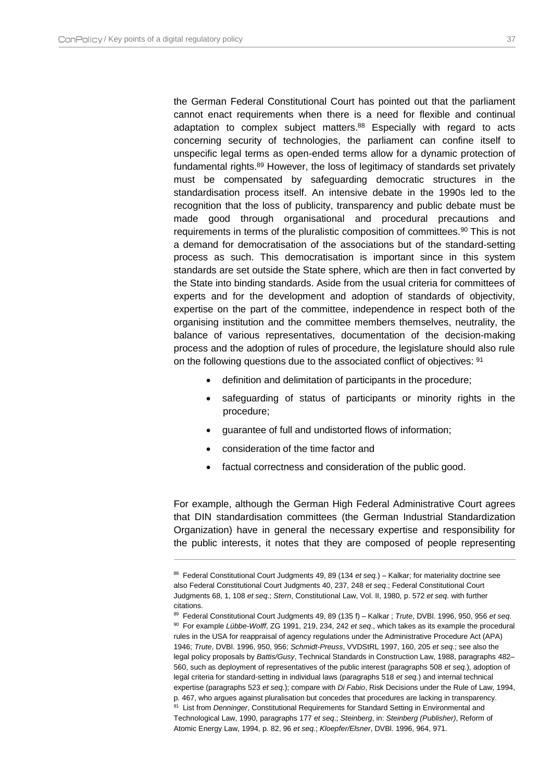$\overline{a}$ 

the German Federal Constitutional Court has pointed out that the parliament cannot enact requirements when there is a need for flexible and continual adaptation to complex subject matters. <sup>88</sup> Especially with regard to acts concerning security of technologies, the parliament can confine itself to unspecific legal terms as open-ended terms allow for a dynamic protection of fundamental rights.<sup>89</sup> However, the loss of legitimacy of standards set privately must be compensated by safeguarding democratic structures in the standardisation process itself. An intensive debate in the 1990s led to the recognition that the loss of publicity, transparency and public debate must be made good through organisational and procedural precautions and requirements in terms of the pluralistic composition of committees.<sup>90</sup> This is not a demand for democratisation of the associations but of the standard-setting process as such. This democratisation is important since in this system standards are set outside the State sphere, which are then in fact converted by the State into binding standards. Aside from the usual criteria for committees of experts and for the development and adoption of standards of objectivity, expertise on the part of the committee, independence in respect both of the organising institution and the committee members themselves, neutrality, the balance of various representatives, documentation of the decision-making process and the adoption of rules of procedure, the legislature should also rule on the following questions due to the associated conflict of objectives: <sup>91</sup>

- definition and delimitation of participants in the procedure;
- safeguarding of status of participants or minority rights in the procedure;
- guarantee of full and undistorted flows of information;
- consideration of the time factor and
- factual correctness and consideration of the public good.

For example, although the German High Federal Administrative Court agrees that DIN standardisation committees (the German Industrial Standardization Organization) have in general the necessary expertise and responsibility for the public interests, it notes that they are composed of people representing

<sup>88</sup> Federal Constitutional Court Judgments 49, 89 (134 *et seq.*) – Kalkar; for materiality doctrine see also Federal Constitutional Court Judgments 40, 237, 248 *et seq*.; Federal Constitutional Court Judgments 68, 1, 108 *et seq*.; *Stern*, Constitutional Law, Vol. II, 1980, p. 572 *et seq*. with further citations.

<sup>89</sup> Federal Constitutional Court Judgments 49, 89 (135 f) – Kalkar ; *Trute*, DVBl. 1996, 950, 956 *et seq*. <sup>90</sup> For example *Lübbe-Wolff*, ZG 1991, 219, 234, 242 *et seq*., which takes as its example the procedural rules in the USA for reappraisal of agency regulations under the Administrative Procedure Act (APA) 1946; *Trute*, DVBl. 1996, 950, 956; *Schmidt-Preuss*, VVDStRL 1997, 160, 205 *et seq*.; see also the legal policy proposals by *Battis/Gusy*, Technical Standards in Construction Law, 1988, paragraphs 482– 560, such as deployment of representatives of the public interest (paragraphs 508 *et seq.*), adoption of legal criteria for standard-setting in individual laws (paragraphs 518 *et seq.*) and internal technical expertise (paragraphs 523 *et seq.*); compare with *Di Fabio*, Risk Decisions under the Rule of Law, 1994, p. 467, who argues against pluralisation but concedes that procedures are lacking in transparency.

<sup>91</sup> List from *Denninger*, Constitutional Requirements for Standard Setting in Environmental and Technological Law, 1990, paragraphs 177 *et seq*.; *Steinberg*, in: *Steinberg (Publisher)*, Reform of Atomic Energy Law, 1994, p. 82, 96 *et seq.*; *Kloepfer/Elsner*, DVBl. 1996, 964, 971.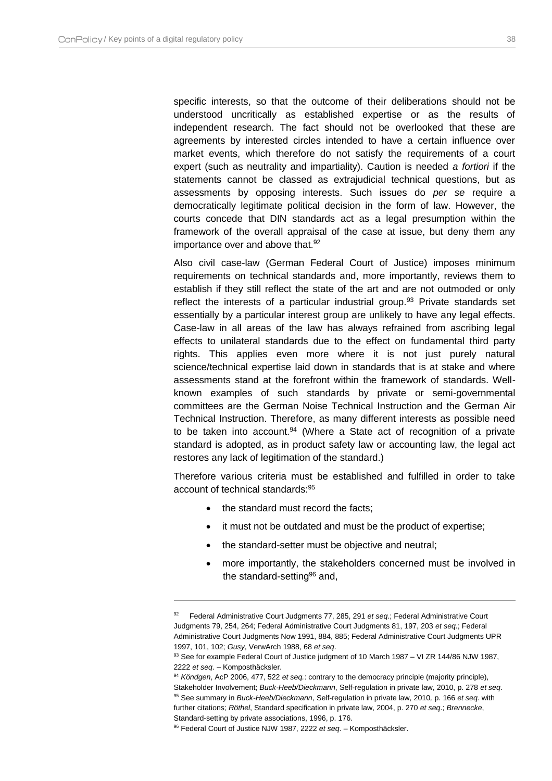specific interests, so that the outcome of their deliberations should not be understood uncritically as established expertise or as the results of independent research. The fact should not be overlooked that these are agreements by interested circles intended to have a certain influence over market events, which therefore do not satisfy the requirements of a court expert (such as neutrality and impartiality). Caution is needed *a fortiori* if the statements cannot be classed as extrajudicial technical questions, but as assessments by opposing interests. Such issues do *per se* require a democratically legitimate political decision in the form of law. However, the courts concede that DIN standards act as a legal presumption within the framework of the overall appraisal of the case at issue, but deny them any importance over and above that.<sup>92</sup>

Also civil case-law (German Federal Court of Justice) imposes minimum requirements on technical standards and, more importantly, reviews them to establish if they still reflect the state of the art and are not outmoded or only reflect the interests of a particular industrial group.<sup>93</sup> Private standards set essentially by a particular interest group are unlikely to have any legal effects. Case-law in all areas of the law has always refrained from ascribing legal effects to unilateral standards due to the effect on fundamental third party rights. This applies even more where it is not just purely natural science/technical expertise laid down in standards that is at stake and where assessments stand at the forefront within the framework of standards. Wellknown examples of such standards by private or semi-governmental committees are the German Noise Technical Instruction and the German Air Technical Instruction. Therefore, as many different interests as possible need to be taken into account.<sup>94</sup> (Where a State act of recognition of a private standard is adopted, as in product safety law or accounting law, the legal act restores any lack of legitimation of the standard.)

Therefore various criteria must be established and fulfilled in order to take account of technical standards:<sup>95</sup>

the standard must record the facts;

- it must not be outdated and must be the product of expertise;
- the standard-setter must be objective and neutral;
- more importantly, the stakeholders concerned must be involved in the standard-setting<sup>96</sup> and,

<sup>92</sup> Federal Administrative Court Judgments 77, 285, 291 *et seq*.; Federal Administrative Court Judgments 79, 254, 264; Federal Administrative Court Judgments 81, 197, 203 *et seq*.; Federal Administrative Court Judgments Now 1991, 884, 885; Federal Administrative Court Judgments UPR 1997, 101, 102; *Gusy*, VerwArch 1988, 68 *et seq*.

<sup>93</sup> See for example Federal Court of Justice judgment of 10 March 1987 – VI ZR 144/86 NJW 1987, 2222 *et seq*. – Komposthäcksler.

<sup>94</sup> *Köndgen*, AcP 2006, 477, 522 *et seq.*: contrary to the democracy principle (majority principle), Stakeholder Involvement; *Buck-Heeb/Dieckmann*, Self-regulation in private law, 2010, p. 278 *et seq*. <sup>95</sup> See summary in *Buck-Heeb/Dieckmann*, Self-regulation in private law, 2010*,* p. 166 *et seq*. with further citations; *Röthel*, Standard specification in private law, 2004, p. 270 *et seq*.; *Brennecke*, Standard-setting by private associations, 1996, p. 176.

<sup>96</sup> Federal Court of Justice NJW 1987, 2222 *et seq*. – Komposthäcksler.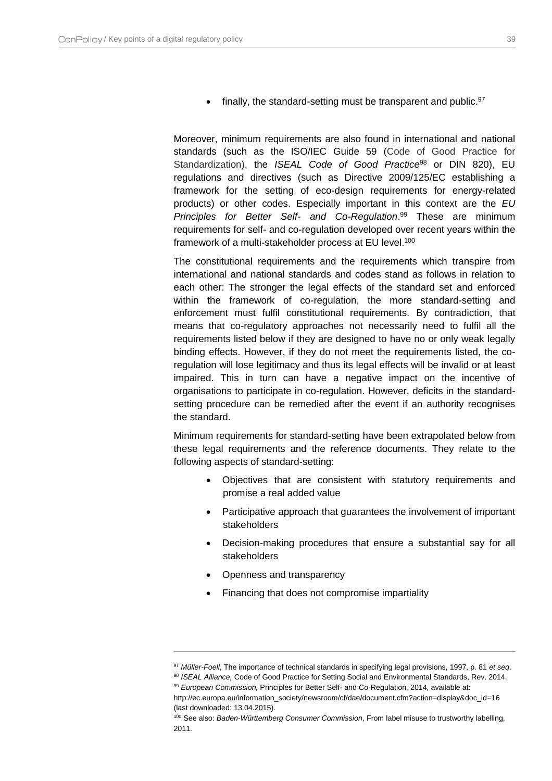finally, the standard-setting must be transparent and public.<sup>97</sup>

Moreover, minimum requirements are also found in international and national standards (such as the ISO/IEC Guide 59 (Code of Good Practice for Standardization), the *ISEAL Code of Good Practice*<sup>98</sup> or DIN 820), EU regulations and directives (such as Directive 2009/125/EC establishing a framework for the setting of eco-design requirements for energy-related products) or other codes. Especially important in this context are the *EU Principles for Better Self- and Co-Regulation*. <sup>99</sup> These are minimum requirements for self- and co-regulation developed over recent years within the framework of a multi-stakeholder process at EU level.<sup>100</sup>

The constitutional requirements and the requirements which transpire from international and national standards and codes stand as follows in relation to each other: The stronger the legal effects of the standard set and enforced within the framework of co-regulation, the more standard-setting and enforcement must fulfil constitutional requirements. By contradiction, that means that co-regulatory approaches not necessarily need to fulfil all the requirements listed below if they are designed to have no or only weak legally binding effects. However, if they do not meet the requirements listed, the coregulation will lose legitimacy and thus its legal effects will be invalid or at least impaired. This in turn can have a negative impact on the incentive of organisations to participate in co-regulation. However, deficits in the standardsetting procedure can be remedied after the event if an authority recognises the standard.

Minimum requirements for standard-setting have been extrapolated below from these legal requirements and the reference documents. They relate to the following aspects of standard-setting:

- Objectives that are consistent with statutory requirements and promise a real added value
- Participative approach that guarantees the involvement of important stakeholders
- Decision-making procedures that ensure a substantial say for all stakeholders
- Openness and transparency

 $\overline{a}$ 

Financing that does not compromise impartiality

<sup>97</sup> *Müller-Foell*, The importance of technical standards in specifying legal provisions, 1997, p. 81 *et seq*.

<sup>98</sup> *ISEAL Alliance,* Code of Good Practice for Setting Social and Environmental Standards, Rev. 2014. <sup>99</sup> *European Commission,* Principles for Better Self- and Co-Regulation, 2014*,* available at:

http://ec.europa.eu/information\_society/newsroom/cf/dae/document.cfm?action=display&doc\_id=16 (last downloaded: 13.04.2015).

<sup>100</sup> See also: *Baden-Württemberg Consumer Commission*, From label misuse to trustworthy labelling, 2011.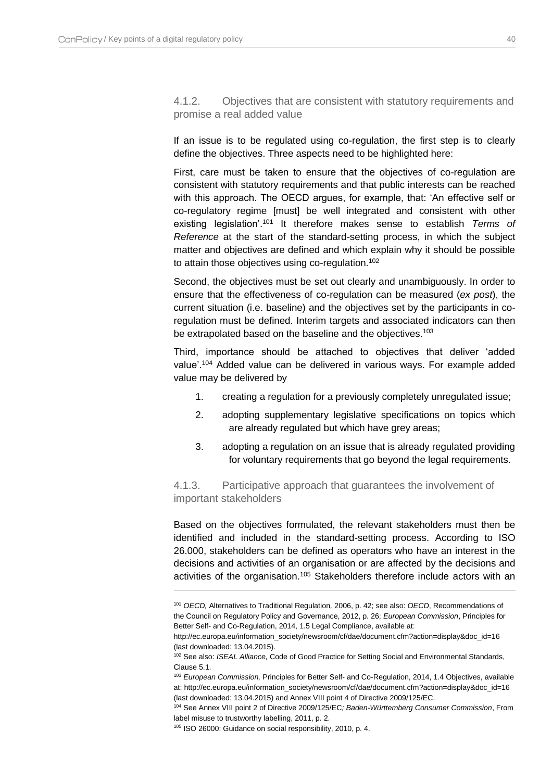<span id="page-40-0"></span>4.1.2. Objectives that are consistent with statutory requirements and promise a real added value

If an issue is to be regulated using co-regulation, the first step is to clearly define the objectives. Three aspects need to be highlighted here:

First, care must be taken to ensure that the objectives of co-regulation are consistent with statutory requirements and that public interests can be reached with this approach. The OECD argues, for example, that: 'An effective self or co-regulatory regime [must] be well integrated and consistent with other existing legislation'. <sup>101</sup> It therefore makes sense to establish *Terms of Reference* at the start of the standard-setting process, in which the subject matter and objectives are defined and which explain why it should be possible to attain those objectives using co-regulation.<sup>102</sup>

Second, the objectives must be set out clearly and unambiguously. In order to ensure that the effectiveness of co-regulation can be measured (*ex post*), the current situation (i.e. baseline) and the objectives set by the participants in coregulation must be defined. Interim targets and associated indicators can then be extrapolated based on the baseline and the objectives.<sup>103</sup>

Third, importance should be attached to objectives that deliver 'added value'.<sup>104</sup> Added value can be delivered in various ways. For example added value may be delivered by

- 1. creating a regulation for a previously completely unregulated issue;
- 2. adopting supplementary legislative specifications on topics which are already regulated but which have grey areas;
- 3. adopting a regulation on an issue that is already regulated providing for voluntary requirements that go beyond the legal requirements.

<span id="page-40-1"></span>4.1.3. Participative approach that guarantees the involvement of important stakeholders

Based on the objectives formulated, the relevant stakeholders must then be identified and included in the standard-setting process. According to ISO 26.000, stakeholders can be defined as operators who have an interest in the decisions and activities of an organisation or are affected by the decisions and activities of the organisation.<sup>105</sup> Stakeholders therefore include actors with an

<sup>101</sup> *OECD,* Alternatives to Traditional Regulation*,* 2006, p. 42; see also: *OECD*, Recommendations of the Council on Regulatory Policy and Governance, 2012, p. 26; *European Commission*, Principles for Better Self- and Co-Regulation, 2014, 1.5 Legal Compliance, available at:

http://ec.europa.eu/information\_society/newsroom/cf/dae/document.cfm?action=display&doc\_id=16 (last downloaded: 13.04.2015).

<sup>102</sup> See also: *ISEAL Alliance,* Code of Good Practice for Setting Social and Environmental Standards, Clause 5.1.

<sup>103</sup> *European Commission,* Principles for Better Self- and Co-Regulation, 2014, 1.4 Objectives, available at: http://ec.europa.eu/information\_society/newsroom/cf/dae/document.cfm?action=display&doc\_id=16 (last downloaded: 13.04.2015) and Annex VIII point 4 of Directive 2009/125/EC.

<sup>104</sup> See Annex VIII point 2 of Directive 2009/125/EC*; Baden-Württemberg Consumer Commission*, From label misuse to trustworthy labelling, 2011, p. 2.

<sup>105</sup> ISO 26000: Guidance on social responsibility, 2010, p. 4.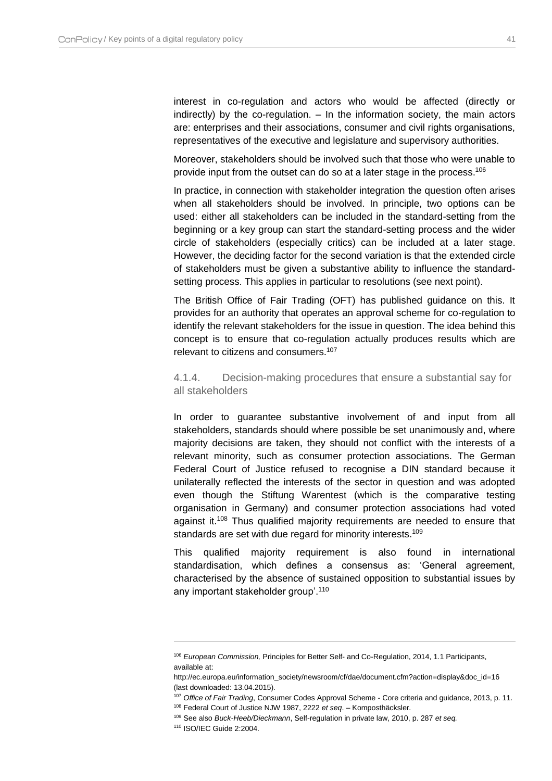interest in co-regulation and actors who would be affected (directly or indirectly) by the co-regulation. – In the information society, the main actors are: enterprises and their associations, consumer and civil rights organisations, representatives of the executive and legislature and supervisory authorities.

Moreover, stakeholders should be involved such that those who were unable to provide input from the outset can do so at a later stage in the process.<sup>106</sup>

In practice, in connection with stakeholder integration the question often arises when all stakeholders should be involved. In principle, two options can be used: either all stakeholders can be included in the standard-setting from the beginning or a key group can start the standard-setting process and the wider circle of stakeholders (especially critics) can be included at a later stage. However, the deciding factor for the second variation is that the extended circle of stakeholders must be given a substantive ability to influence the standardsetting process. This applies in particular to resolutions (see next point).

The British Office of Fair Trading (OFT) has published guidance on this. It provides for an authority that operates an approval scheme for co-regulation to identify the relevant stakeholders for the issue in question. The idea behind this concept is to ensure that co-regulation actually produces results which are relevant to citizens and consumers.<sup>107</sup>

#### <span id="page-41-0"></span>4.1.4. Decision-making procedures that ensure a substantial say for all stakeholders

In order to guarantee substantive involvement of and input from all stakeholders, standards should where possible be set unanimously and, where majority decisions are taken, they should not conflict with the interests of a relevant minority, such as consumer protection associations. The German Federal Court of Justice refused to recognise a DIN standard because it unilaterally reflected the interests of the sector in question and was adopted even though the Stiftung Warentest (which is the comparative testing organisation in Germany) and consumer protection associations had voted against it.<sup>108</sup> Thus qualified majority requirements are needed to ensure that standards are set with due regard for minority interests.<sup>109</sup>

This qualified majority requirement is also found in international standardisation, which defines a consensus as: 'General agreement, characterised by the absence of sustained opposition to substantial issues by any important stakeholder group'.<sup>110</sup>

<sup>106</sup> *European Commission,* Principles for Better Self- and Co-Regulation, 2014, 1.1 Participants, available at:

http://ec.europa.eu/information\_society/newsroom/cf/dae/document.cfm?action=display&doc\_id=16 (last downloaded: 13.04.2015).

<sup>107</sup> *Office of Fair Trading*, Consumer Codes Approval Scheme - Core criteria and guidance, 2013, p. 11.

<sup>108</sup> Federal Court of Justice NJW 1987, 2222 *et seq*. – Komposthäcksler.

<sup>109</sup> See also *Buck-Heeb/Dieckmann*, Self-regulation in private law, 2010, p. 287 *et seq.*

<sup>110</sup> ISO/IEC Guide 2:2004.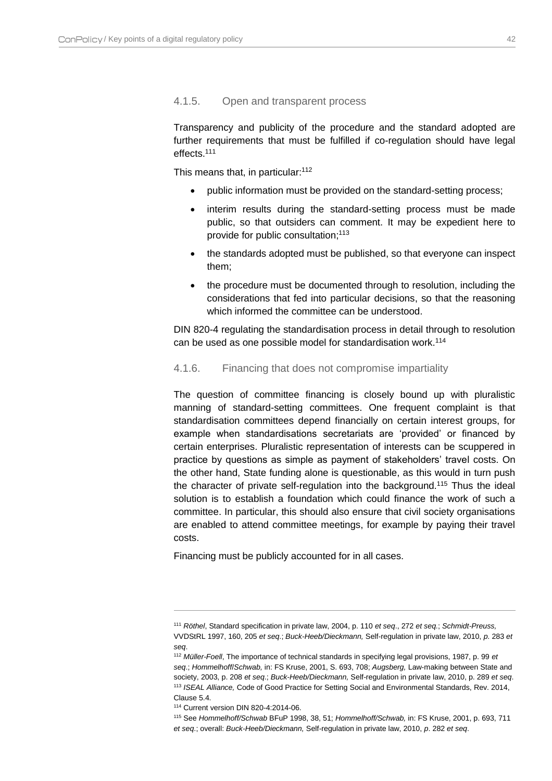#### <span id="page-42-0"></span>4.1.5. Open and transparent process

Transparency and publicity of the procedure and the standard adopted are further requirements that must be fulfilled if co-regulation should have legal effects.<sup>111</sup>

This means that, in particular:<sup>112</sup>

- public information must be provided on the standard-setting process;
- interim results during the standard-setting process must be made public, so that outsiders can comment. It may be expedient here to provide for public consultation;<sup>113</sup>
- the standards adopted must be published, so that everyone can inspect them;
- the procedure must be documented through to resolution, including the considerations that fed into particular decisions, so that the reasoning which informed the committee can be understood.

DIN 820-4 regulating the standardisation process in detail through to resolution can be used as one possible model for standardisation work.<sup>114</sup>

#### <span id="page-42-1"></span>4.1.6. Financing that does not compromise impartiality

The question of committee financing is closely bound up with pluralistic manning of standard-setting committees. One frequent complaint is that standardisation committees depend financially on certain interest groups, for example when standardisations secretariats are 'provided' or financed by certain enterprises. Pluralistic representation of interests can be scuppered in practice by questions as simple as payment of stakeholders' travel costs. On the other hand, State funding alone is questionable, as this would in turn push the character of private self-regulation into the background.<sup>115</sup> Thus the ideal solution is to establish a foundation which could finance the work of such a committee. In particular, this should also ensure that civil society organisations are enabled to attend committee meetings, for example by paying their travel costs.

Financing must be publicly accounted for in all cases.

<sup>111</sup> *Röthel*, Standard specification in private law, 2004, p. 110 *et seq*., 272 *et seq.*; *Schmidt-Preuss,*  VVDStRL 1997, 160, 205 *et seq*.; *Buck-Heeb/Dieckmann,* Self-regulation in private law, 2010, *p*. 283 *et seq*.

<sup>112</sup> *Müller-Foell*, The importance of technical standards in specifying legal provisions, 1987, p. 99 *et seq*.; *Hommelhoff*/*Schwab,* in: FS Kruse, 2001, S. 693, 708; *Augsberg,* Law-making between State and society, 2003, p. 208 *et seq*.; *Buck-Heeb/Dieckmann,* Self-regulation in private law, 2010, p. 289 *et seq*. <sup>113</sup> *ISEAL Alliance,* Code of Good Practice for Setting Social and Environmental Standards, Rev. 2014, Clause 5.4.

<sup>114</sup> Current version DIN 820-4:2014-06.

<sup>115</sup> See *Hommelhoff/Schwab* BFuP 1998, 38, 51; *Hommelhoff/Schwab,* in: FS Kruse, 2001, p. 693, 711 *et seq*.; overall: *Buck-Heeb/Dieckmann,* Self-regulation in private law, 2010, *p*. 282 *et seq*.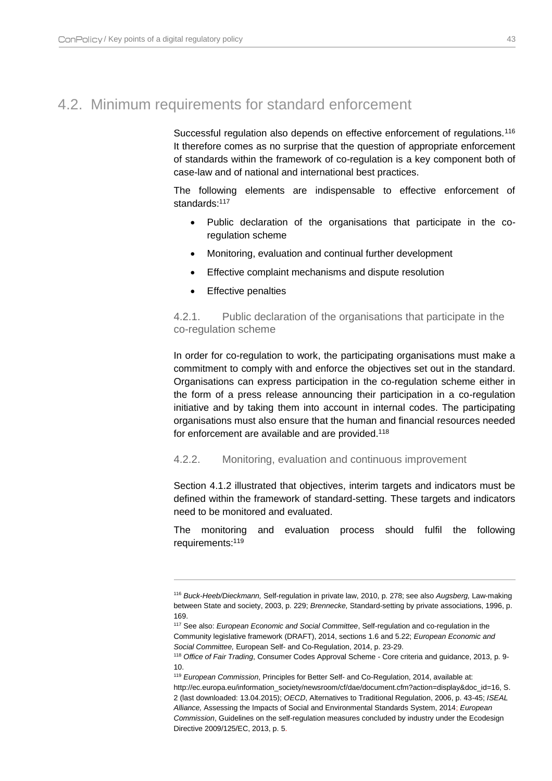## <span id="page-43-0"></span>4.2. Minimum requirements for standard enforcement

Successful regulation also depends on effective enforcement of regulations.<sup>116</sup> It therefore comes as no surprise that the question of appropriate enforcement of standards within the framework of co-regulation is a key component both of case-law and of national and international best practices.

The following elements are indispensable to effective enforcement of standards:<sup>117</sup>

- Public declaration of the organisations that participate in the coregulation scheme
- Monitoring, evaluation and continual further development
- Effective complaint mechanisms and dispute resolution
- Effective penalties

 $\overline{a}$ 

<span id="page-43-1"></span>4.2.1. Public declaration of the organisations that participate in the co-regulation scheme

In order for co-regulation to work, the participating organisations must make a commitment to comply with and enforce the objectives set out in the standard. Organisations can express participation in the co-regulation scheme either in the form of a press release announcing their participation in a co-regulation initiative and by taking them into account in internal codes. The participating organisations must also ensure that the human and financial resources needed for enforcement are available and are provided.<sup>118</sup>

#### <span id="page-43-2"></span>4.2.2. Monitoring, evaluation and continuous improvement

Section 4.1.2 illustrated that objectives, interim targets and indicators must be defined within the framework of standard-setting. These targets and indicators need to be monitored and evaluated.

The monitoring and evaluation process should fulfil the following requirements:<sup>119</sup>

<sup>116</sup> *Buck-Heeb/Dieckmann,* Self-regulation in private law, 2010, p. 278; see also *Augsberg,* Law-making between State and society, 2003, p. 229; *Brennecke,* Standard-setting by private associations, 1996, p. 169.

<sup>117</sup> See also: *European Economic and Social Committee*, Self-regulation and co-regulation in the Community legislative framework (DRAFT), 2014, sections 1.6 and 5.22; *European Economic and Social Committee,* European Self- and Co-Regulation, 2014, p. 23-29.

<sup>118</sup> *Office of Fair Trading*, Consumer Codes Approval Scheme - Core criteria and guidance, 2013, p. 9- 10.

<sup>119</sup> *European Commission*, Principles for Better Self- and Co-Regulation, 2014, available at:

http://ec.europa.eu/information\_society/newsroom/cf/dae/document.cfm?action=display&doc\_id=16, S. 2 (last downloaded: 13.04.2015); *OECD*, Alternatives to Traditional Regulation, 2006, p. 43-45; *ISEAL Alliance,* Assessing the Impacts of Social and Environmental Standards System, 2014; *European Commission*, Guidelines on the self-regulation measures concluded by industry under the Ecodesign Directive 2009/125/EC, 2013, p. 5.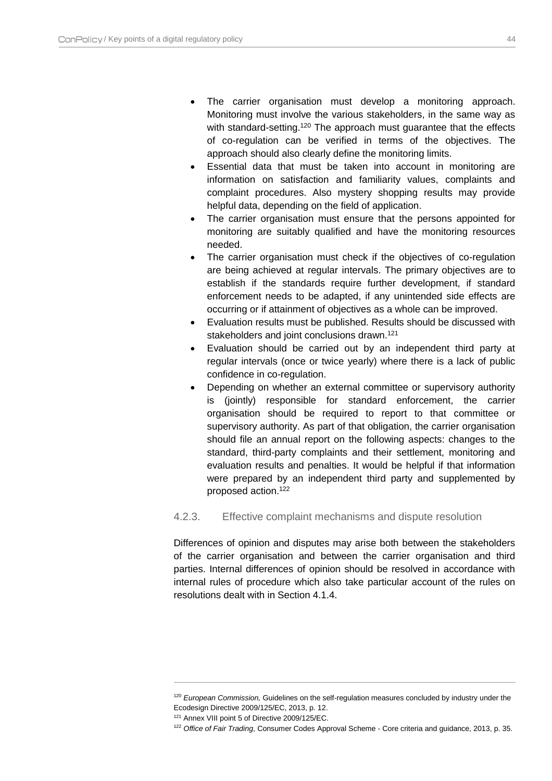- The carrier organisation must develop a monitoring approach. Monitoring must involve the various stakeholders, in the same way as with standard-setting.<sup>120</sup> The approach must guarantee that the effects of co-regulation can be verified in terms of the objectives. The approach should also clearly define the monitoring limits.
- Essential data that must be taken into account in monitoring are information on satisfaction and familiarity values, complaints and complaint procedures. Also mystery shopping results may provide helpful data, depending on the field of application.
- The carrier organisation must ensure that the persons appointed for monitoring are suitably qualified and have the monitoring resources needed.
- The carrier organisation must check if the objectives of co-regulation are being achieved at regular intervals. The primary objectives are to establish if the standards require further development, if standard enforcement needs to be adapted, if any unintended side effects are occurring or if attainment of objectives as a whole can be improved.
- Evaluation results must be published. Results should be discussed with stakeholders and joint conclusions drawn.<sup>121</sup>
- Evaluation should be carried out by an independent third party at regular intervals (once or twice yearly) where there is a lack of public confidence in co-regulation.
- Depending on whether an external committee or supervisory authority is (jointly) responsible for standard enforcement, the carrier organisation should be required to report to that committee or supervisory authority. As part of that obligation, the carrier organisation should file an annual report on the following aspects: changes to the standard, third-party complaints and their settlement, monitoring and evaluation results and penalties. It would be helpful if that information were prepared by an independent third party and supplemented by proposed action.<sup>122</sup>

#### <span id="page-44-0"></span>4.2.3. Effective complaint mechanisms and dispute resolution

Differences of opinion and disputes may arise both between the stakeholders of the carrier organisation and between the carrier organisation and third parties. Internal differences of opinion should be resolved in accordance with internal rules of procedure which also take particular account of the rules on resolutions dealt with in Section 4.1.4.

<sup>120</sup> *European Commission,* Guidelines on the self-regulation measures concluded by industry under the Ecodesign Directive 2009/125/EC, 2013, p. 12.

<sup>121</sup> Annex VIII point 5 of Directive 2009/125/EC.

<sup>122</sup> *Office of Fair Trading*, Consumer Codes Approval Scheme - Core criteria and guidance, 2013, p. 35.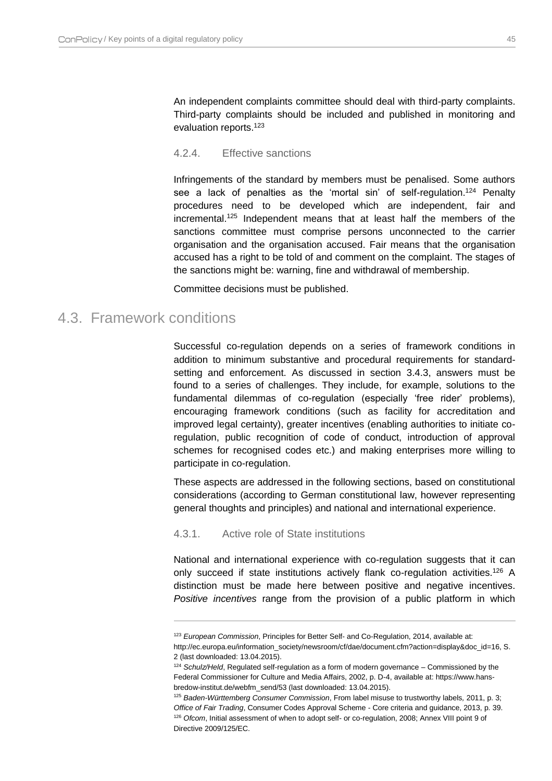An independent complaints committee should deal with third-party complaints. Third-party complaints should be included and published in monitoring and evaluation reports.<sup>123</sup>

#### <span id="page-45-0"></span>4.2.4. Effective sanctions

Infringements of the standard by members must be penalised. Some authors see a lack of penalties as the 'mortal sin' of self-regulation.<sup>124</sup> Penalty procedures need to be developed which are independent, fair and incremental.<sup>125</sup> Independent means that at least half the members of the sanctions committee must comprise persons unconnected to the carrier organisation and the organisation accused. Fair means that the organisation accused has a right to be told of and comment on the complaint. The stages of the sanctions might be: warning, fine and withdrawal of membership.

Committee decisions must be published.

### <span id="page-45-1"></span>4.3. Framework conditions

 $\overline{a}$ 

Successful co-regulation depends on a series of framework conditions in addition to minimum substantive and procedural requirements for standardsetting and enforcement. As discussed in section [3.4.3,](#page-30-0) answers must be found to a series of challenges. They include, for example, solutions to the fundamental dilemmas of co-regulation (especially 'free rider' problems), encouraging framework conditions (such as facility for accreditation and improved legal certainty), greater incentives (enabling authorities to initiate coregulation, public recognition of code of conduct, introduction of approval schemes for recognised codes etc.) and making enterprises more willing to participate in co-regulation.

These aspects are addressed in the following sections, based on constitutional considerations (according to German constitutional law, however representing general thoughts and principles) and national and international experience.

#### <span id="page-45-2"></span>4.3.1. Active role of State institutions

National and international experience with co-regulation suggests that it can only succeed if state institutions actively flank co-regulation activities.<sup>126</sup> A distinction must be made here between positive and negative incentives. *Positive incentives* range from the provision of a public platform in which

<sup>123</sup> *European Commission*, Principles for Better Self- and Co-Regulation, 2014, available at:

http://ec.europa.eu/information\_society/newsroom/cf/dae/document.cfm?action=display&doc\_id=16, S. 2 (last downloaded: 13.04.2015).

<sup>124</sup> *Schulz/Held*, Regulated self-regulation as a form of modern governance – Commissioned by the Federal Commissioner for Culture and Media Affairs, 2002, p. D-4, available at: https://www.hansbredow-institut.de/webfm\_send/53 (last downloaded: 13.04.2015).

<sup>125</sup> *Baden-Württemberg Consumer Commission*, From label misuse to trustworthy labels*,* 2011, p. 3; *Office of Fair Trading*, Consumer Codes Approval Scheme - Core criteria and guidance, 2013, p. 39. <sup>126</sup> *Ofcom*, Initial assessment of when to adopt self- or co-regulation, 2008; Annex VIII point 9 of Directive 2009/125/EC.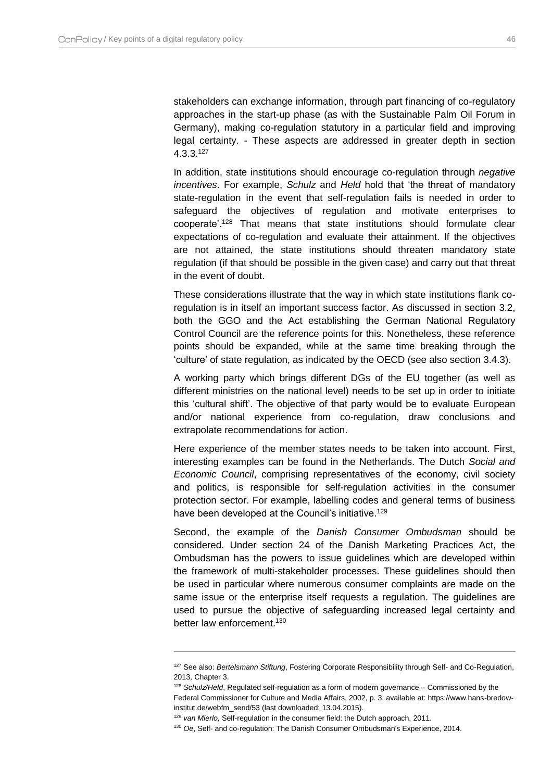stakeholders can exchange information, through part financing of co-regulatory approaches in the start-up phase (as with the Sustainable Palm Oil Forum in Germany), making co-regulation statutory in a particular field and improving legal certainty. - These aspects are addressed in greater depth in section  $4.3.3$ <sup>127</sup>

In addition, state institutions should encourage co-regulation through *negative incentives*. For example, *Schulz* and *Held* hold that 'the threat of mandatory state-regulation in the event that self-regulation fails is needed in order to safeguard the objectives of regulation and motivate enterprises to cooperate'.<sup>128</sup> That means that state institutions should formulate clear expectations of co-regulation and evaluate their attainment. If the objectives are not attained, the state institutions should threaten mandatory state regulation (if that should be possible in the given case) and carry out that threat in the event of doubt.

These considerations illustrate that the way in which state institutions flank coregulation is in itself an important success factor. As discussed in section [3.2,](#page-23-0) both the GGO and the Act establishing the German National Regulatory Control Council are the reference points for this. Nonetheless, these reference points should be expanded, while at the same time breaking through the 'culture' of state regulation, as indicated by the OECD (see also section [3.4.3\)](#page-30-0).

A working party which brings different DGs of the EU together (as well as different ministries on the national level) needs to be set up in order to initiate this 'cultural shift'. The objective of that party would be to evaluate European and/or national experience from co-regulation, draw conclusions and extrapolate recommendations for action.

Here experience of the member states needs to be taken into account. First, interesting examples can be found in the Netherlands. The Dutch *Social and Economic Council*, comprising representatives of the economy, civil society and politics, is responsible for self-regulation activities in the consumer protection sector. For example, labelling codes and general terms of business have been developed at the Council's initiative.<sup>129</sup>

Second, the example of the *Danish Consumer Ombudsman* should be considered. Under section 24 of the Danish Marketing Practices Act, the Ombudsman has the powers to issue guidelines which are developed within the framework of multi-stakeholder processes. These guidelines should then be used in particular where numerous consumer complaints are made on the same issue or the enterprise itself requests a regulation. The guidelines are used to pursue the objective of safeguarding increased legal certainty and better law enforcement. 130

<sup>127</sup> See also: *Bertelsmann Stiftung*, Fostering Corporate Responsibility through Self- and Co-Regulation, 2013, Chapter 3.

<sup>128</sup> *Schulz/Held*, Regulated self-regulation as a form of modern governance – Commissioned by the Federal Commissioner for Culture and Media Affairs, 2002, p. 3, available at: https://www.hans-bredowinstitut.de/webfm\_send/53 (last downloaded: 13.04.2015).

<sup>129</sup> *van Mierlo,* Self-regulation in the consumer field: the Dutch approach, 2011.

<sup>130</sup> *Oe*, Self- and co-regulation: The Danish Consumer Ombudsman's Experience, 2014.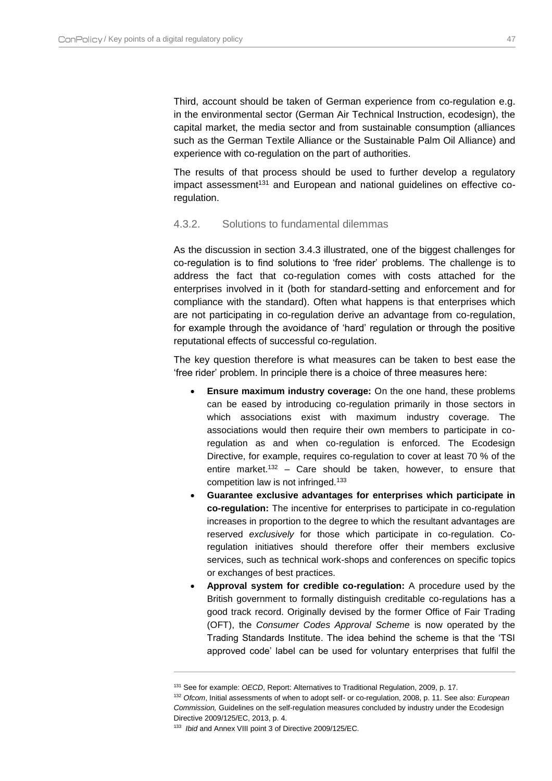Third, account should be taken of German experience from co-regulation e.g. in the environmental sector (German Air Technical Instruction, ecodesign), the capital market, the media sector and from sustainable consumption (alliances such as the German Textile Alliance or the Sustainable Palm Oil Alliance) and experience with co-regulation on the part of authorities.

The results of that process should be used to further develop a regulatory impact assessment<sup>131</sup> and European and national guidelines on effective coregulation.

#### <span id="page-47-0"></span>4.3.2. Solutions to fundamental dilemmas

As the discussion in section [3.4.3](#page-30-0) illustrated, one of the biggest challenges for co-regulation is to find solutions to 'free rider' problems. The challenge is to address the fact that co-regulation comes with costs attached for the enterprises involved in it (both for standard-setting and enforcement and for compliance with the standard). Often what happens is that enterprises which are not participating in co-regulation derive an advantage from co-regulation, for example through the avoidance of 'hard' regulation or through the positive reputational effects of successful co-regulation.

The key question therefore is what measures can be taken to best ease the 'free rider' problem. In principle there is a choice of three measures here:

- **Ensure maximum industry coverage:** On the one hand, these problems can be eased by introducing co-regulation primarily in those sectors in which associations exist with maximum industry coverage. The associations would then require their own members to participate in coregulation as and when co-regulation is enforced. The Ecodesign Directive, for example, requires co-regulation to cover at least 70 % of the entire market.<sup>132</sup> – Care should be taken, however, to ensure that competition law is not infringed.<sup>133</sup>
- **Guarantee exclusive advantages for enterprises which participate in co-regulation:** The incentive for enterprises to participate in co-regulation increases in proportion to the degree to which the resultant advantages are reserved *exclusively* for those which participate in co-regulation. Coregulation initiatives should therefore offer their members exclusive services, such as technical work-shops and conferences on specific topics or exchanges of best practices.
- **Approval system for credible co-regulation:** A procedure used by the British government to formally distinguish creditable co-regulations has a good track record. Originally devised by the former Office of Fair Trading (OFT), the *Consumer Codes Approval Scheme* is now operated by the Trading Standards Institute. The idea behind the scheme is that the 'TSI approved code' label can be used for voluntary enterprises that fulfil the

<sup>131</sup> See for example: *OECD*, Report: Alternatives to Traditional Regulation, 2009, p. 17.

<sup>132</sup> *Ofcom*, Initial assessments of when to adopt self- or co-regulation, 2008, p. 11. See also: *European Commission,* Guidelines on the self-regulation measures concluded by industry under the Ecodesign Directive 2009/125/EC, 2013, p. 4.

<sup>133</sup> *Ibid* and Annex VIII point 3 of Directive 2009/125/EC.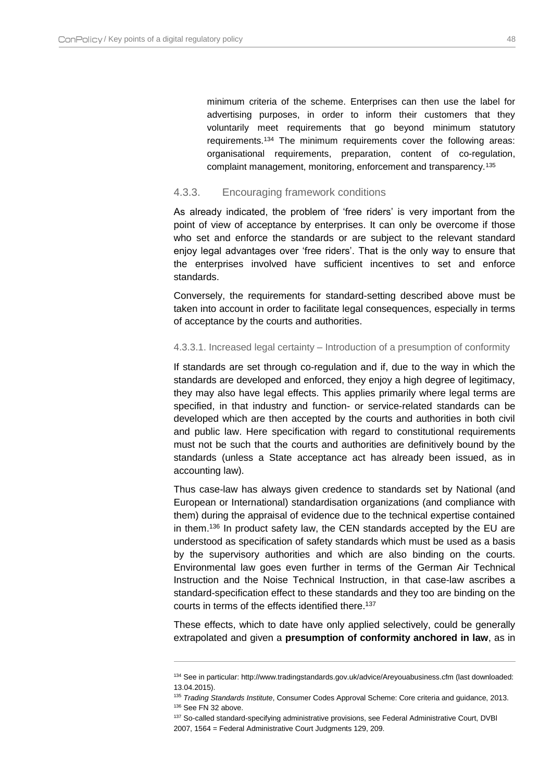minimum criteria of the scheme. Enterprises can then use the label for advertising purposes, in order to inform their customers that they voluntarily meet requirements that go beyond minimum statutory requirements.<sup>134</sup> The minimum requirements cover the following areas: organisational requirements, preparation, content of co-regulation, complaint management, monitoring, enforcement and transparency.<sup>135</sup>

#### <span id="page-48-0"></span>4.3.3. Encouraging framework conditions

As already indicated, the problem of 'free riders' is very important from the point of view of acceptance by enterprises. It can only be overcome if those who set and enforce the standards or are subject to the relevant standard enjoy legal advantages over 'free riders'. That is the only way to ensure that the enterprises involved have sufficient incentives to set and enforce standards.

Conversely, the requirements for standard-setting described above must be taken into account in order to facilitate legal consequences, especially in terms of acceptance by the courts and authorities.

#### 4.3.3.1. Increased legal certainty – Introduction of a presumption of conformity

If standards are set through co-regulation and if, due to the way in which the standards are developed and enforced, they enjoy a high degree of legitimacy, they may also have legal effects. This applies primarily where legal terms are specified, in that industry and function- or service-related standards can be developed which are then accepted by the courts and authorities in both civil and public law. Here specification with regard to constitutional requirements must not be such that the courts and authorities are definitively bound by the standards (unless a State acceptance act has already been issued, as in accounting law).

Thus case-law has always given credence to standards set by National (and European or International) standardisation organizations (and compliance with them) during the appraisal of evidence due to the technical expertise contained in them.<sup>136</sup> In product safety law, the CEN standards accepted by the EU are understood as specification of safety standards which must be used as a basis by the supervisory authorities and which are also binding on the courts. Environmental law goes even further in terms of the German Air Technical Instruction and the Noise Technical Instruction, in that case-law ascribes a standard-specification effect to these standards and they too are binding on the courts in terms of the effects identified there.<sup>137</sup>

These effects, which to date have only applied selectively, could be generally extrapolated and given a **presumption of conformity anchored in law**, as in

<sup>134</sup> See in particular: http://www.tradingstandards.gov.uk/advice/Areyouabusiness.cfm (last downloaded: 13.04.2015).

<sup>135</sup> *Trading Standards Institute*, Consumer Codes Approval Scheme: Core criteria and guidance, 2013.

<sup>136</sup> See FN 32 above.

<sup>137</sup> So-called standard-specifying administrative provisions, see Federal Administrative Court, DVBI 2007, 1564 = Federal Administrative Court Judgments 129, 209.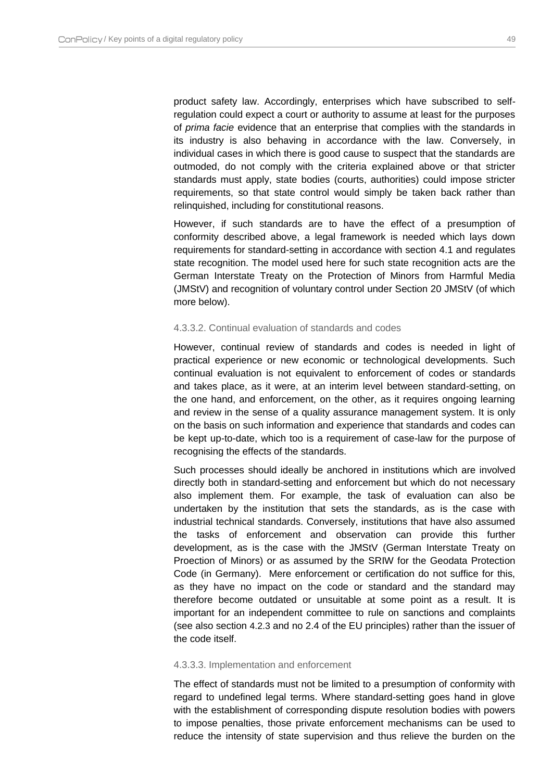product safety law. Accordingly, enterprises which have subscribed to selfregulation could expect a court or authority to assume at least for the purposes of *prima facie* evidence that an enterprise that complies with the standards in its industry is also behaving in accordance with the law. Conversely, in individual cases in which there is good cause to suspect that the standards are outmoded, do not comply with the criteria explained above or that stricter standards must apply, state bodies (courts, authorities) could impose stricter requirements, so that state control would simply be taken back rather than relinquished, including for constitutional reasons.

However, if such standards are to have the effect of a presumption of conformity described above, a legal framework is needed which lays down requirements for standard-setting in accordance with section [4.1](#page-36-1) and regulates state recognition. The model used here for such state recognition acts are the German Interstate Treaty on the Protection of Minors from Harmful Media (JMStV) and recognition of voluntary control under Section 20 JMStV (of which more below).

#### 4.3.3.2. Continual evaluation of standards and codes

However, continual review of standards and codes is needed in light of practical experience or new economic or technological developments. Such continual evaluation is not equivalent to enforcement of codes or standards and takes place, as it were, at an interim level between standard-setting, on the one hand, and enforcement, on the other, as it requires ongoing learning and review in the sense of a quality assurance management system. It is only on the basis on such information and experience that standards and codes can be kept up-to-date, which too is a requirement of case-law for the purpose of recognising the effects of the standards.

Such processes should ideally be anchored in institutions which are involved directly both in standard-setting and enforcement but which do not necessary also implement them. For example, the task of evaluation can also be undertaken by the institution that sets the standards, as is the case with industrial technical standards. Conversely, institutions that have also assumed the tasks of enforcement and observation can provide this further development, as is the case with the JMStV (German Interstate Treaty on Proection of Minors) or as assumed by the SRIW for the Geodata Protection Code (in Germany). Mere enforcement or certification do not suffice for this, as they have no impact on the code or standard and the standard may therefore become outdated or unsuitable at some point as a result. It is important for an independent committee to rule on sanctions and complaints (see also section [4.2.3](#page-44-0) and no 2.4 of the EU principles) rather than the issuer of the code itself.

#### <span id="page-49-0"></span>4.3.3.3. Implementation and enforcement

The effect of standards must not be limited to a presumption of conformity with regard to undefined legal terms. Where standard-setting goes hand in glove with the establishment of corresponding dispute resolution bodies with powers to impose penalties, those private enforcement mechanisms can be used to reduce the intensity of state supervision and thus relieve the burden on the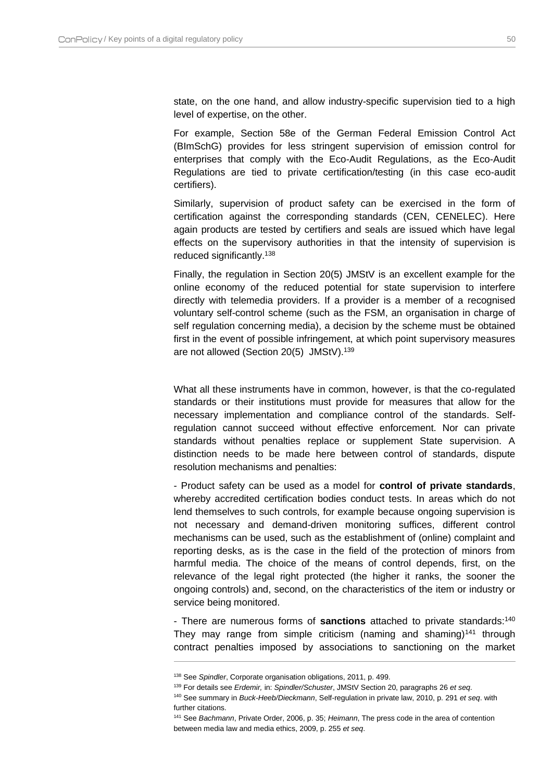state, on the one hand, and allow industry-specific supervision tied to a high level of expertise, on the other.

For example, Section 58e of the German Federal Emission Control Act (BImSchG) provides for less stringent supervision of emission control for enterprises that comply with the Eco-Audit Regulations, as the Eco-Audit Regulations are tied to private certification/testing (in this case eco-audit certifiers).

Similarly, supervision of product safety can be exercised in the form of certification against the corresponding standards (CEN, CENELEC). Here again products are tested by certifiers and seals are issued which have legal effects on the supervisory authorities in that the intensity of supervision is reduced significantly.<sup>138</sup>

Finally, the regulation in Section 20(5) JMStV is an excellent example for the online economy of the reduced potential for state supervision to interfere directly with telemedia providers. If a provider is a member of a recognised voluntary self-control scheme (such as the FSM, an organisation in charge of self regulation concerning media), a decision by the scheme must be obtained first in the event of possible infringement, at which point supervisory measures are not allowed (Section 20(5) JMStV).<sup>139</sup>

What all these instruments have in common, however, is that the co-regulated standards or their institutions must provide for measures that allow for the necessary implementation and compliance control of the standards. Selfregulation cannot succeed without effective enforcement. Nor can private standards without penalties replace or supplement State supervision. A distinction needs to be made here between control of standards, dispute resolution mechanisms and penalties:

- Product safety can be used as a model for **control of private standards**, whereby accredited certification bodies conduct tests. In areas which do not lend themselves to such controls, for example because ongoing supervision is not necessary and demand-driven monitoring suffices, different control mechanisms can be used, such as the establishment of (online) complaint and reporting desks, as is the case in the field of the protection of minors from harmful media. The choice of the means of control depends, first, on the relevance of the legal right protected (the higher it ranks, the sooner the ongoing controls) and, second, on the characteristics of the item or industry or service being monitored.

- There are numerous forms of **sanctions** attached to private standards:<sup>140</sup> They may range from simple criticism (naming and shaming)<sup>141</sup> through contract penalties imposed by associations to sanctioning on the market

<sup>138</sup> See *Spindler*, Corporate organisation obligations, 2011, p. 499.

<sup>139</sup> For details see *Erdemir,* in: *Spindler/Schuster*, JMStV Section 20, paragraphs 26 *et seq*.

<sup>140</sup> See summary in *Buck-Heeb/Dieckmann*, Self-regulation in private law, 2010, p. 291 *et seq*. with further citations.

<sup>141</sup> See *Bachmann*, Private Order, 2006, p. 35; *Heimann*, The press code in the area of contention between media law and media ethics, 2009, p. 255 *et seq*.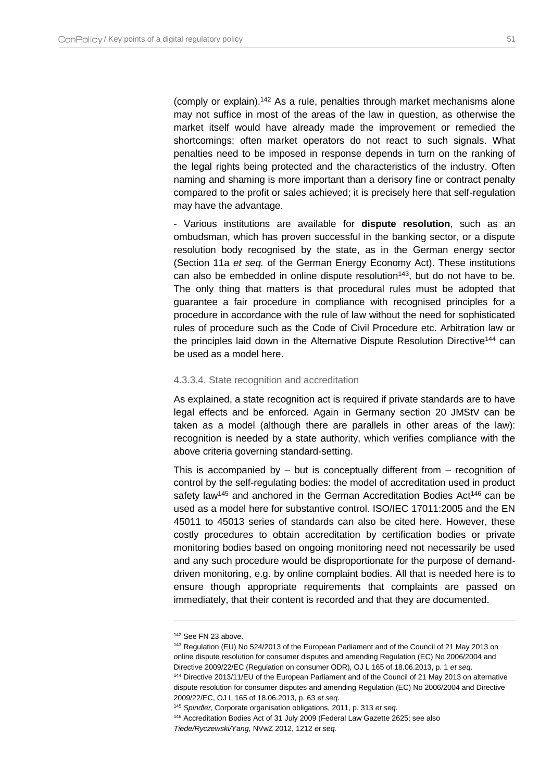(comply or explain). <sup>142</sup> As a rule, penalties through market mechanisms alone may not suffice in most of the areas of the law in question, as otherwise the market itself would have already made the improvement or remedied the shortcomings; often market operators do not react to such signals. What penalties need to be imposed in response depends in turn on the ranking of the legal rights being protected and the characteristics of the industry. Often naming and shaming is more important than a derisory fine or contract penalty compared to the profit or sales achieved; it is precisely here that self-regulation may have the advantage.

- Various institutions are available for **dispute resolution**, such as an ombudsman, which has proven successful in the banking sector, or a dispute resolution body recognised by the state, as in the German energy sector (Section 11a *et seq.* of the German Energy Economy Act). These institutions can also be embedded in online dispute resolution<sup> $143$ </sup>, but do not have to be. The only thing that matters is that procedural rules must be adopted that guarantee a fair procedure in compliance with recognised principles for a procedure in accordance with the rule of law without the need for sophisticated rules of procedure such as the Code of Civil Procedure etc. Arbitration law or the principles laid down in the Alternative Dispute Resolution Directive<sup>144</sup> can be used as a model here.

#### 4.3.3.4. State recognition and accreditation

As explained, a state recognition act is required if private standards are to have legal effects and be enforced. Again in Germany section 20 JMStV can be taken as a model (although there are parallels in other areas of the law): recognition is needed by a state authority, which verifies compliance with the above criteria governing standard-setting.

This is accompanied by – but is conceptually different from – recognition of control by the self-regulating bodies: the model of accreditation used in product safety law<sup>145</sup> and anchored in the German Accreditation Bodies Act<sup>146</sup> can be used as a model here for substantive control. ISO/IEC 17011:2005 and the EN 45011 to 45013 series of standards can also be cited here. However, these costly procedures to obtain accreditation by certification bodies or private monitoring bodies based on ongoing monitoring need not necessarily be used and any such procedure would be disproportionate for the purpose of demanddriven monitoring, e.g. by online complaint bodies. All that is needed here is to ensure though appropriate requirements that complaints are passed on immediately, that their content is recorded and that they are documented.

<sup>142</sup> See FN 23 above.

<sup>143</sup> Regulation (EU) No 524/2013 of the European Parliament and of the Council of 21 May 2013 on online dispute resolution for consumer disputes and amending Regulation (EC) No 2006/2004 and Directive 2009/22/EC (Regulation on consumer ODR), OJ L 165 of 18.06.2013, p. 1 *et seq*. <sup>144</sup> Directive 2013/11/EU of the European Parliament and of the Council of 21 May 2013 on alternative

dispute resolution for consumer disputes and amending Regulation (EC) No 2006/2004 and Directive 2009/22/EC, OJ L 165 of 18.06.2013, p. 63 *et seq*.

<sup>145</sup> *Spindler*, Corporate organisation obligations, 2011, p. 313 *et seq*.

<sup>146</sup> Accreditation Bodies Act of 31 July 2009 (Federal Law Gazette 2625; see also

*Tiede/Ryczewski/Yang,* NVwZ 2012, 1212 *et seq.*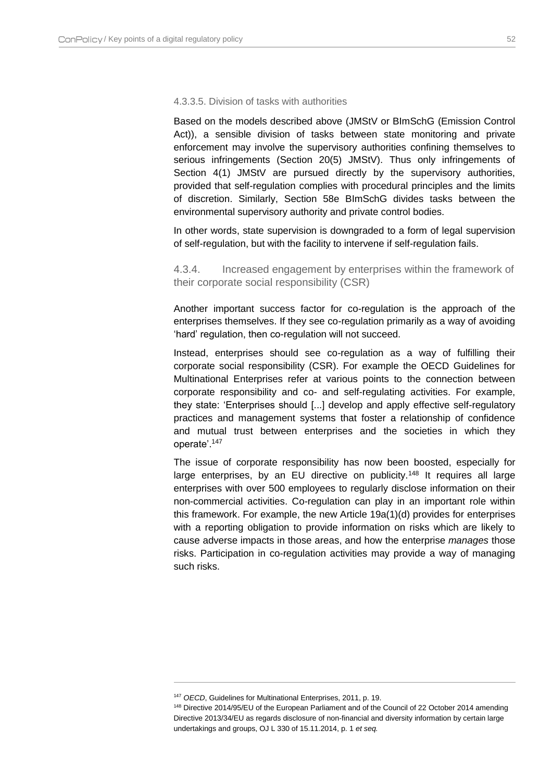#### 4.3.3.5. Division of tasks with authorities

Based on the models described above (JMStV or BImSchG (Emission Control Act)), a sensible division of tasks between state monitoring and private enforcement may involve the supervisory authorities confining themselves to serious infringements (Section 20(5) JMStV). Thus only infringements of Section 4(1) JMStV are pursued directly by the supervisory authorities, provided that self-regulation complies with procedural principles and the limits of discretion. Similarly, Section 58e BImSchG divides tasks between the environmental supervisory authority and private control bodies.

In other words, state supervision is downgraded to a form of legal supervision of self-regulation, but with the facility to intervene if self-regulation fails.

<span id="page-52-0"></span>4.3.4. Increased engagement by enterprises within the framework of their corporate social responsibility (CSR)

Another important success factor for co-regulation is the approach of the enterprises themselves. If they see co-regulation primarily as a way of avoiding 'hard' regulation, then co-regulation will not succeed.

Instead, enterprises should see co-regulation as a way of fulfilling their corporate social responsibility (CSR). For example the OECD Guidelines for Multinational Enterprises refer at various points to the connection between corporate responsibility and co- and self-regulating activities. For example, they state: 'Enterprises should [...] develop and apply effective self-regulatory practices and management systems that foster a relationship of confidence and mutual trust between enterprises and the societies in which they operate'.<sup>147</sup>

The issue of corporate responsibility has now been boosted, especially for large enterprises, by an EU directive on publicity.<sup>148</sup> It requires all large enterprises with over 500 employees to regularly disclose information on their non-commercial activities. Co-regulation can play in an important role within this framework. For example, the new Article 19a(1)(d) provides for enterprises with a reporting obligation to provide information on risks which are likely to cause adverse impacts in those areas, and how the enterprise *manages* those risks. Participation in co-regulation activities may provide a way of managing such risks.

<sup>147</sup> *OECD*, Guidelines for Multinational Enterprises, 2011, p. 19.

<sup>148</sup> Directive 2014/95/EU of the European Parliament and of the Council of 22 October 2014 amending Directive 2013/34/EU as regards disclosure of non-financial and diversity information by certain large undertakings and groups, OJ L 330 of 15.11.2014, p. 1 *et seq.*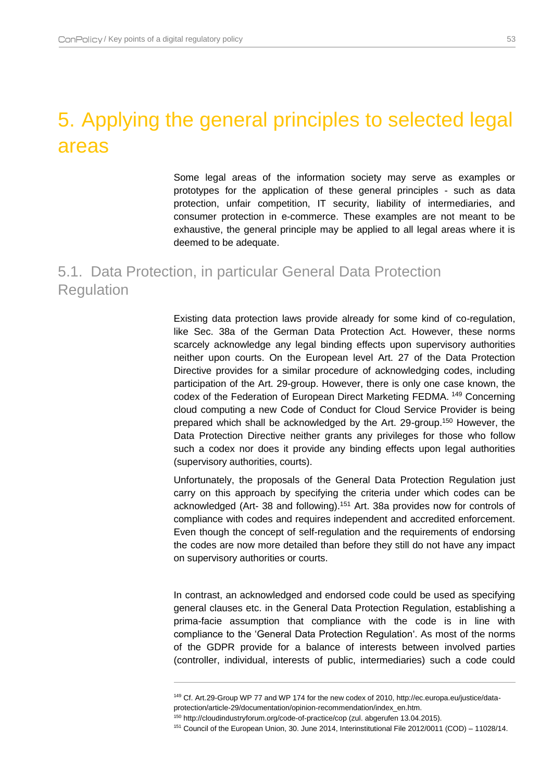## <span id="page-53-0"></span>5. Applying the general principles to selected legal areas

Some legal areas of the information society may serve as examples or prototypes for the application of these general principles - such as data protection, unfair competition, IT security, liability of intermediaries, and consumer protection in e-commerce. These examples are not meant to be exhaustive, the general principle may be applied to all legal areas where it is deemed to be adequate.

## <span id="page-53-1"></span>5.1. Data Protection, in particular General Data Protection **Regulation**

Existing data protection laws provide already for some kind of co-regulation, like Sec. 38a of the German Data Protection Act. However, these norms scarcely acknowledge any legal binding effects upon supervisory authorities neither upon courts. On the European level Art. 27 of the Data Protection Directive provides for a similar procedure of acknowledging codes, including participation of the Art. 29-group. However, there is only one case known, the codex of the Federation of European Direct Marketing FEDMA. <sup>149</sup> Concerning cloud computing a new Code of Conduct for Cloud Service Provider is being prepared which shall be acknowledged by the Art. 29-group.<sup>150</sup> However, the Data Protection Directive neither grants any privileges for those who follow such a codex nor does it provide any binding effects upon legal authorities (supervisory authorities, courts).

Unfortunately, the proposals of the General Data Protection Regulation just carry on this approach by specifying the criteria under which codes can be acknowledged (Art- 38 and following).<sup>151</sup> Art. 38a provides now for controls of compliance with codes and requires independent and accredited enforcement. Even though the concept of self-regulation and the requirements of endorsing the codes are now more detailed than before they still do not have any impact on supervisory authorities or courts.

In contrast, an acknowledged and endorsed code could be used as specifying general clauses etc. in the General Data Protection Regulation, establishing a prima-facie assumption that compliance with the code is in line with compliance to the 'General Data Protection Regulation'. As most of the norms of the GDPR provide for a balance of interests between involved parties (controller, individual, interests of public, intermediaries) such a code could

<sup>149</sup> Cf. Art.29-Group WP 77 and WP 174 for the new codex of 2010, http://ec.europa.eu/justice/dataprotection/article-29/documentation/opinion-recommendation/index\_en.htm.

<sup>150</sup> http://cloudindustryforum.org/code-of-practice/cop (zul. abgerufen 13.04.2015).

<sup>151</sup> Council of the European Union, 30. June 2014, Interinstitutional File 2012/0011 (COD) – 11028/14.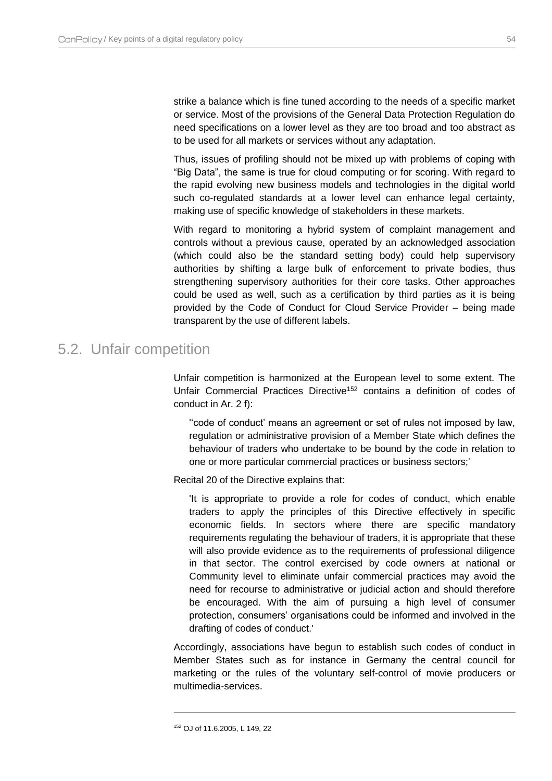strike a balance which is fine tuned according to the needs of a specific market or service. Most of the provisions of the General Data Protection Regulation do need specifications on a lower level as they are too broad and too abstract as to be used for all markets or services without any adaptation.

Thus, issues of profiling should not be mixed up with problems of coping with "Big Data", the same is true for cloud computing or for scoring. With regard to the rapid evolving new business models and technologies in the digital world such co-regulated standards at a lower level can enhance legal certainty, making use of specific knowledge of stakeholders in these markets.

With regard to monitoring a hybrid system of complaint management and controls without a previous cause, operated by an acknowledged association (which could also be the standard setting body) could help supervisory authorities by shifting a large bulk of enforcement to private bodies, thus strengthening supervisory authorities for their core tasks. Other approaches could be used as well, such as a certification by third parties as it is being provided by the Code of Conduct for Cloud Service Provider – being made transparent by the use of different labels.

### <span id="page-54-0"></span>5.2. Unfair competition

Unfair competition is harmonized at the European level to some extent. The Unfair Commercial Practices Directive<sup>152</sup> contains a definition of codes of conduct in Ar. 2 f):

''code of conduct' means an agreement or set of rules not imposed by law, regulation or administrative provision of a Member State which defines the behaviour of traders who undertake to be bound by the code in relation to one or more particular commercial practices or business sectors;'

Recital 20 of the Directive explains that:

'It is appropriate to provide a role for codes of conduct, which enable traders to apply the principles of this Directive effectively in specific economic fields. In sectors where there are specific mandatory requirements regulating the behaviour of traders, it is appropriate that these will also provide evidence as to the requirements of professional diligence in that sector. The control exercised by code owners at national or Community level to eliminate unfair commercial practices may avoid the need for recourse to administrative or judicial action and should therefore be encouraged. With the aim of pursuing a high level of consumer protection, consumers' organisations could be informed and involved in the drafting of codes of conduct.'

Accordingly, associations have begun to establish such codes of conduct in Member States such as for instance in Germany the central council for marketing or the rules of the voluntary self-control of movie producers or multimedia-services.

<sup>152</sup> OJ of 11.6.2005, L 149, 22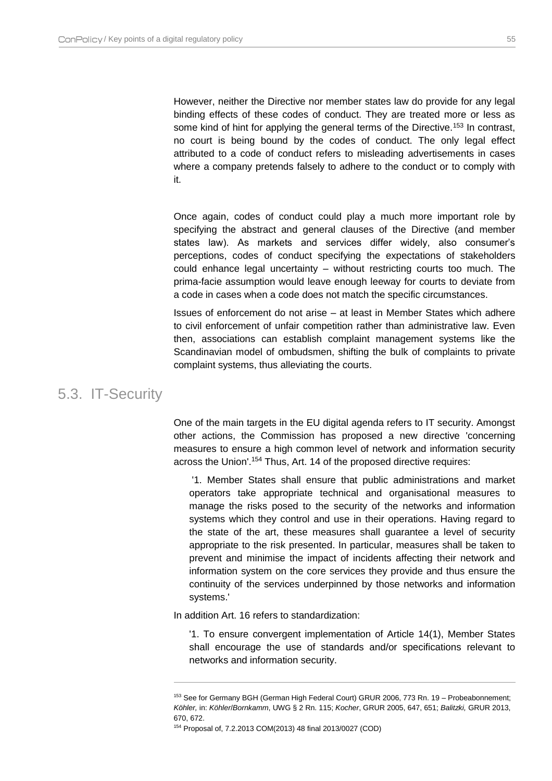However, neither the Directive nor member states law do provide for any legal binding effects of these codes of conduct. They are treated more or less as some kind of hint for applying the general terms of the Directive.<sup>153</sup> In contrast, no court is being bound by the codes of conduct. The only legal effect attributed to a code of conduct refers to misleading advertisements in cases where a company pretends falsely to adhere to the conduct or to comply with it.

Once again, codes of conduct could play a much more important role by specifying the abstract and general clauses of the Directive (and member states law). As markets and services differ widely, also consumer's perceptions, codes of conduct specifying the expectations of stakeholders could enhance legal uncertainty – without restricting courts too much. The prima-facie assumption would leave enough leeway for courts to deviate from a code in cases when a code does not match the specific circumstances.

Issues of enforcement do not arise – at least in Member States which adhere to civil enforcement of unfair competition rather than administrative law. Even then, associations can establish complaint management systems like the Scandinavian model of ombudsmen, shifting the bulk of complaints to private complaint systems, thus alleviating the courts.

### <span id="page-55-0"></span>5.3. IT-Security

One of the main targets in the EU digital agenda refers to IT security. Amongst other actions, the Commission has proposed a new directive 'concerning measures to ensure a high common level of network and information security across the Union'. <sup>154</sup> Thus, Art. 14 of the proposed directive requires:

'1. Member States shall ensure that public administrations and market operators take appropriate technical and organisational measures to manage the risks posed to the security of the networks and information systems which they control and use in their operations. Having regard to the state of the art, these measures shall guarantee a level of security appropriate to the risk presented. In particular, measures shall be taken to prevent and minimise the impact of incidents affecting their network and information system on the core services they provide and thus ensure the continuity of the services underpinned by those networks and information systems.'

In addition Art. 16 refers to standardization:

 $\overline{a}$ 

'1. To ensure convergent implementation of Article 14(1), Member States shall encourage the use of standards and/or specifications relevant to networks and information security.

<sup>153</sup> See for Germany BGH (German High Federal Court) GRUR 2006, 773 Rn. 19 – Probeabonnement; *Köhler,* in: *Köhler*/*Bornkamm*, UWG § 2 Rn. 115; *Kocher*, GRUR 2005, 647, 651; *Balitzki,* GRUR 2013, 670, 672.

<sup>154</sup> Proposal of, 7.2.2013 COM(2013) 48 final 2013/0027 (COD)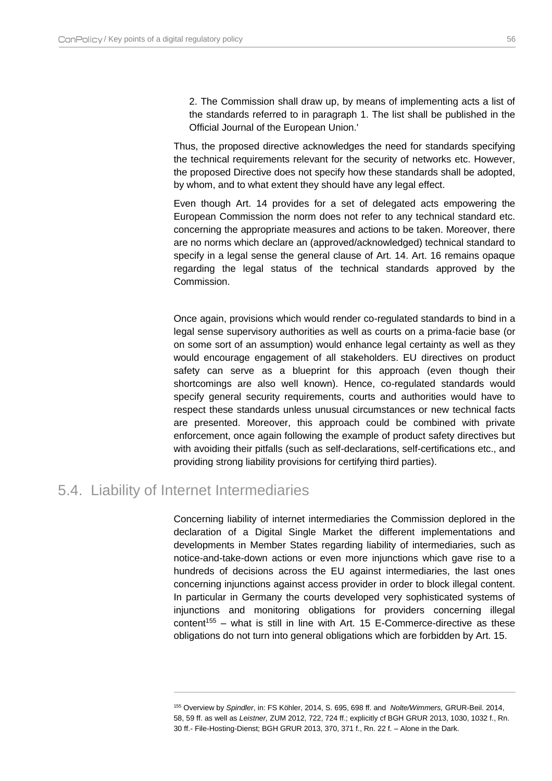2. The Commission shall draw up, by means of implementing acts a list of the standards referred to in paragraph 1. The list shall be published in the Official Journal of the European Union.'

Thus, the proposed directive acknowledges the need for standards specifying the technical requirements relevant for the security of networks etc. However, the proposed Directive does not specify how these standards shall be adopted, by whom, and to what extent they should have any legal effect.

Even though Art. 14 provides for a set of delegated acts empowering the European Commission the norm does not refer to any technical standard etc. concerning the appropriate measures and actions to be taken. Moreover, there are no norms which declare an (approved/acknowledged) technical standard to specify in a legal sense the general clause of Art. 14. Art. 16 remains opaque regarding the legal status of the technical standards approved by the Commission.

Once again, provisions which would render co-regulated standards to bind in a legal sense supervisory authorities as well as courts on a prima-facie base (or on some sort of an assumption) would enhance legal certainty as well as they would encourage engagement of all stakeholders. EU directives on product safety can serve as a blueprint for this approach (even though their shortcomings are also well known). Hence, co-regulated standards would specify general security requirements, courts and authorities would have to respect these standards unless unusual circumstances or new technical facts are presented. Moreover, this approach could be combined with private enforcement, once again following the example of product safety directives but with avoiding their pitfalls (such as self-declarations, self-certifications etc., and providing strong liability provisions for certifying third parties).

### <span id="page-56-0"></span>5.4. Liability of Internet Intermediaries

 $\overline{a}$ 

Concerning liability of internet intermediaries the Commission deplored in the declaration of a Digital Single Market the different implementations and developments in Member States regarding liability of intermediaries, such as notice-and-take-down actions or even more injunctions which gave rise to a hundreds of decisions across the EU against intermediaries, the last ones concerning injunctions against access provider in order to block illegal content. In particular in Germany the courts developed very sophisticated systems of injunctions and monitoring obligations for providers concerning illegal content<sup>155</sup> – what is still in line with Art. 15 E-Commerce-directive as these obligations do not turn into general obligations which are forbidden by Art. 15.

<sup>155</sup> Overview by *Spindler*, in: FS Köhler, 2014, S. 695, 698 ff. and *Nolte/Wimmers,* GRUR-Beil. 2014, 58, 59 ff. as well as *Leistner,* ZUM 2012, 722, 724 ff.; explicitly cf BGH GRUR 2013, 1030, 1032 f., Rn. 30 ff.- File-Hosting-Dienst; BGH GRUR 2013, 370, 371 f., Rn. 22 f. – Alone in the Dark.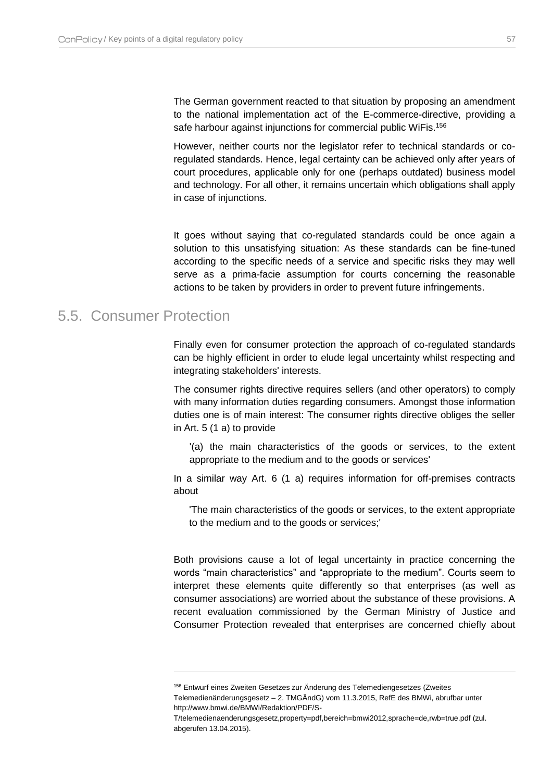The German government reacted to that situation by proposing an amendment to the national implementation act of the E-commerce-directive, providing a safe harbour against injunctions for commercial public WiFis.<sup>156</sup>

However, neither courts nor the legislator refer to technical standards or coregulated standards. Hence, legal certainty can be achieved only after years of court procedures, applicable only for one (perhaps outdated) business model and technology. For all other, it remains uncertain which obligations shall apply in case of injunctions.

It goes without saying that co-regulated standards could be once again a solution to this unsatisfying situation: As these standards can be fine-tuned according to the specific needs of a service and specific risks they may well serve as a prima-facie assumption for courts concerning the reasonable actions to be taken by providers in order to prevent future infringements.

## <span id="page-57-0"></span>5.5. Consumer Protection

 $\overline{a}$ 

Finally even for consumer protection the approach of co-regulated standards can be highly efficient in order to elude legal uncertainty whilst respecting and integrating stakeholders' interests.

The consumer rights directive requires sellers (and other operators) to comply with many information duties regarding consumers. Amongst those information duties one is of main interest: The consumer rights directive obliges the seller in Art. 5 (1 a) to provide

'(a) the main characteristics of the goods or services, to the extent appropriate to the medium and to the goods or services'

In a similar way Art. 6 (1 a) requires information for off-premises contracts about

'The main characteristics of the goods or services, to the extent appropriate to the medium and to the goods or services;'

Both provisions cause a lot of legal uncertainty in practice concerning the words "main characteristics" and "appropriate to the medium". Courts seem to interpret these elements quite differently so that enterprises (as well as consumer associations) are worried about the substance of these provisions. A recent evaluation commissioned by the German Ministry of Justice and Consumer Protection revealed that enterprises are concerned chiefly about

<sup>156</sup> Entwurf eines Zweiten Gesetzes zur Änderung des Telemediengesetzes (Zweites Telemedienänderungsgesetz – 2. TMGÄndG) vom 11.3.2015, RefE des BMWi, abrufbar unter http://www.bmwi.de/BMWi/Redaktion/PDF/S-

T/telemedienaenderungsgesetz,property=pdf,bereich=bmwi2012,sprache=de,rwb=true.pdf (zul. abgerufen 13.04.2015).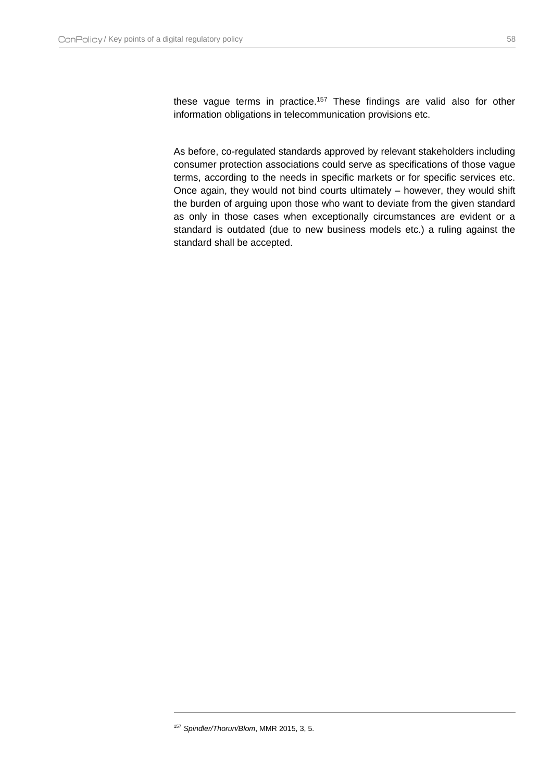these vague terms in practice.<sup>157</sup> These findings are valid also for other information obligations in telecommunication provisions etc.

As before, co-regulated standards approved by relevant stakeholders including consumer protection associations could serve as specifications of those vague terms, according to the needs in specific markets or for specific services etc. Once again, they would not bind courts ultimately – however, they would shift the burden of arguing upon those who want to deviate from the given standard as only in those cases when exceptionally circumstances are evident or a standard is outdated (due to new business models etc.) a ruling against the standard shall be accepted.

<sup>157</sup> *Spindler/Thorun/Blom*, MMR 2015, 3, 5.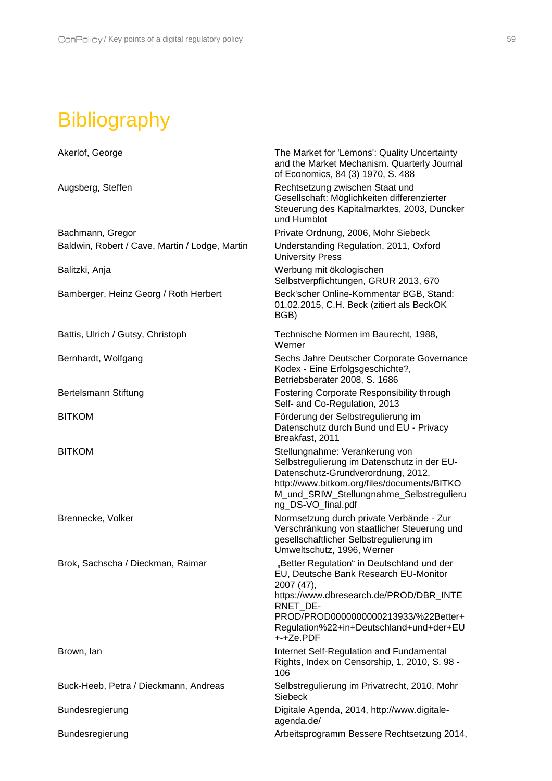# <span id="page-59-0"></span>Bibliography

| Akerlof, George                                | The Market for 'Lemons': Quality Uncertainty<br>and the Market Mechanism. Quarterly Journal<br>of Economics, 84 (3) 1970, S. 488                                                                                                                         |
|------------------------------------------------|----------------------------------------------------------------------------------------------------------------------------------------------------------------------------------------------------------------------------------------------------------|
| Augsberg, Steffen                              | Rechtsetzung zwischen Staat und<br>Gesellschaft: Möglichkeiten differenzierter<br>Steuerung des Kapitalmarktes, 2003, Duncker<br>und Humblot                                                                                                             |
| Bachmann, Gregor                               | Private Ordnung, 2006, Mohr Siebeck                                                                                                                                                                                                                      |
| Baldwin, Robert / Cave, Martin / Lodge, Martin | Understanding Regulation, 2011, Oxford<br><b>University Press</b>                                                                                                                                                                                        |
| Balitzki, Anja                                 | Werbung mit ökologischen<br>Selbstverpflichtungen, GRUR 2013, 670                                                                                                                                                                                        |
| Bamberger, Heinz Georg / Roth Herbert          | Beck'scher Online-Kommentar BGB, Stand:<br>01.02.2015, C.H. Beck (zitiert als BeckOK<br>BGB)                                                                                                                                                             |
| Battis, Ulrich / Gutsy, Christoph              | Technische Normen im Baurecht, 1988,<br>Werner                                                                                                                                                                                                           |
| Bernhardt, Wolfgang                            | Sechs Jahre Deutscher Corporate Governance<br>Kodex - Eine Erfolgsgeschichte?,<br>Betriebsberater 2008, S. 1686                                                                                                                                          |
| Bertelsmann Stiftung                           | Fostering Corporate Responsibility through<br>Self- and Co-Regulation, 2013                                                                                                                                                                              |
| <b>BITKOM</b>                                  | Förderung der Selbstregulierung im<br>Datenschutz durch Bund und EU - Privacy<br>Breakfast, 2011                                                                                                                                                         |
| <b>BITKOM</b>                                  | Stellungnahme: Verankerung von<br>Selbstregulierung im Datenschutz in der EU-<br>Datenschutz-Grundverordnung, 2012,<br>http://www.bitkom.org/files/documents/BITKO<br>M_und_SRIW_Stellungnahme_Selbstregulieru<br>ng_DS-VO_final.pdf                     |
| Brennecke, Volker                              | Normsetzung durch private Verbände - Zur<br>Verschränkung von staatlicher Steuerung und<br>gesellschaftlicher Selbstregulierung im<br>Umweltschutz, 1996, Werner                                                                                         |
| Brok, Sachscha / Dieckman, Raimar              | "Better Regulation" in Deutschland und der<br>EU, Deutsche Bank Research EU-Monitor<br>2007 (47),<br>https://www.dbresearch.de/PROD/DBR_INTE<br>RNET DE-<br>PROD/PROD0000000000213933/%22Better+<br>Regulation%22+in+Deutschland+und+der+EU<br>+-+Ze.PDF |
| Brown, lan                                     | Internet Self-Regulation and Fundamental<br>Rights, Index on Censorship, 1, 2010, S. 98 -<br>106                                                                                                                                                         |
| Buck-Heeb, Petra / Dieckmann, Andreas          | Selbstregulierung im Privatrecht, 2010, Mohr<br><b>Siebeck</b>                                                                                                                                                                                           |
| Bundesregierung                                | Digitale Agenda, 2014, http://www.digitale-<br>agenda.de/                                                                                                                                                                                                |
| Bundesregierung                                | Arbeitsprogramm Bessere Rechtsetzung 2014,                                                                                                                                                                                                               |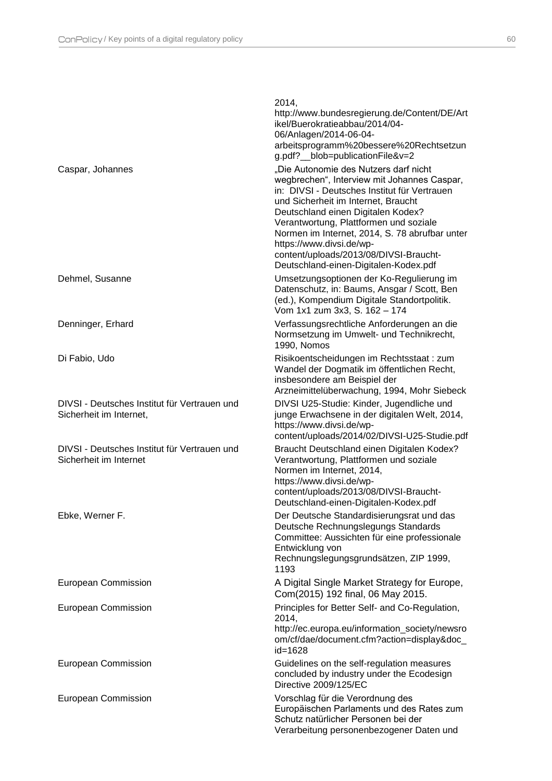| ٠ | . . |  |
|---|-----|--|
|   |     |  |
| × |     |  |

|                                                                         | 2014,<br>http://www.bundesregierung.de/Content/DE/Art<br>ikel/Buerokratieabbau/2014/04-<br>06/Anlagen/2014-06-04-<br>arbeitsprogramm%20bessere%20Rechtsetzun<br>g.pdf?__blob=publicationFile&v=2                                                                                                                                                                                                                             |
|-------------------------------------------------------------------------|------------------------------------------------------------------------------------------------------------------------------------------------------------------------------------------------------------------------------------------------------------------------------------------------------------------------------------------------------------------------------------------------------------------------------|
| Caspar, Johannes                                                        | "Die Autonomie des Nutzers darf nicht<br>wegbrechen", Interview mit Johannes Caspar,<br>in: DIVSI - Deutsches Institut für Vertrauen<br>und Sicherheit im Internet, Braucht<br>Deutschland einen Digitalen Kodex?<br>Verantwortung, Plattformen und soziale<br>Normen im Internet, 2014, S. 78 abrufbar unter<br>https://www.divsi.de/wp-<br>content/uploads/2013/08/DIVSI-Braucht-<br>Deutschland-einen-Digitalen-Kodex.pdf |
| Dehmel, Susanne                                                         | Umsetzungsoptionen der Ko-Regulierung im<br>Datenschutz, in: Baums, Ansgar / Scott, Ben<br>(ed.), Kompendium Digitale Standortpolitik.<br>Vom 1x1 zum 3x3, S. 162 - 174                                                                                                                                                                                                                                                      |
| Denninger, Erhard                                                       | Verfassungsrechtliche Anforderungen an die<br>Normsetzung im Umwelt- und Technikrecht,<br>1990, Nomos                                                                                                                                                                                                                                                                                                                        |
| Di Fabio, Udo                                                           | Risikoentscheidungen im Rechtsstaat: zum<br>Wandel der Dogmatik im öffentlichen Recht,<br>insbesondere am Beispiel der<br>Arzneimittelüberwachung, 1994, Mohr Siebeck                                                                                                                                                                                                                                                        |
| DIVSI - Deutsches Institut für Vertrauen und<br>Sicherheit im Internet, | DIVSI U25-Studie: Kinder, Jugendliche und<br>junge Erwachsene in der digitalen Welt, 2014,<br>https://www.divsi.de/wp-<br>content/uploads/2014/02/DIVSI-U25-Studie.pdf                                                                                                                                                                                                                                                       |
| DIVSI - Deutsches Institut für Vertrauen und<br>Sicherheit im Internet  | Braucht Deutschland einen Digitalen Kodex?<br>Verantwortung, Plattformen und soziale<br>Normen im Internet, 2014,<br>https://www.divsi.de/wp-<br>content/uploads/2013/08/DIVSI-Braucht-<br>Deutschland-einen-Digitalen-Kodex.pdf                                                                                                                                                                                             |
| Ebke, Werner F.                                                         | Der Deutsche Standardisierungsrat und das<br>Deutsche Rechnungslegungs Standards<br>Committee: Aussichten für eine professionale<br>Entwicklung von<br>Rechnungslegungsgrundsätzen, ZIP 1999,<br>1193                                                                                                                                                                                                                        |
| <b>European Commission</b>                                              | A Digital Single Market Strategy for Europe,<br>Com(2015) 192 final, 06 May 2015.                                                                                                                                                                                                                                                                                                                                            |
| European Commission                                                     | Principles for Better Self- and Co-Regulation,<br>2014,<br>http://ec.europa.eu/information_society/newsro<br>om/cf/dae/document.cfm?action=display&doc_<br>id=1628                                                                                                                                                                                                                                                           |
| <b>European Commission</b>                                              | Guidelines on the self-regulation measures<br>concluded by industry under the Ecodesign<br>Directive 2009/125/EC                                                                                                                                                                                                                                                                                                             |
| European Commission                                                     | Vorschlag für die Verordnung des<br>Europäischen Parlaments und des Rates zum<br>Schutz natürlicher Personen bei der<br>Verarbeitung personenbezogener Daten und                                                                                                                                                                                                                                                             |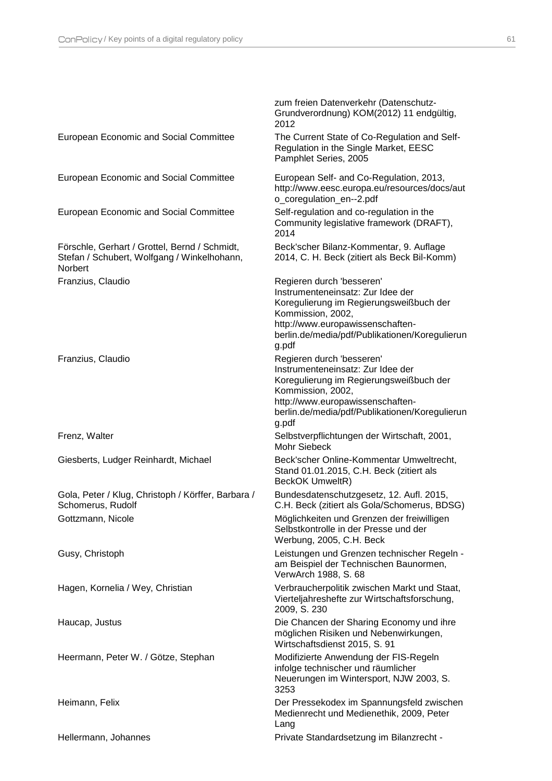|                                                                                                                | zum freien Datenverkehr (Datenschutz-<br>Grundverordnung) KOM(2012) 11 endgültig,<br>2012                                                                                                                                     |
|----------------------------------------------------------------------------------------------------------------|-------------------------------------------------------------------------------------------------------------------------------------------------------------------------------------------------------------------------------|
| European Economic and Social Committee                                                                         | The Current State of Co-Regulation and Self-<br>Regulation in the Single Market, EESC<br>Pamphlet Series, 2005                                                                                                                |
| European Economic and Social Committee                                                                         | European Self- and Co-Regulation, 2013,<br>http://www.eesc.europa.eu/resources/docs/aut<br>o_coregulation_en--2.pdf                                                                                                           |
| European Economic and Social Committee                                                                         | Self-regulation and co-regulation in the<br>Community legislative framework (DRAFT),<br>2014                                                                                                                                  |
| Förschle, Gerhart / Grottel, Bernd / Schmidt,<br>Stefan / Schubert, Wolfgang / Winkelhohann,<br><b>Norbert</b> | Beck'scher Bilanz-Kommentar, 9. Auflage<br>2014, C. H. Beck (zitiert als Beck Bil-Komm)                                                                                                                                       |
| Franzius, Claudio                                                                                              | Regieren durch 'besseren'<br>Instrumenteneinsatz: Zur Idee der<br>Koregulierung im Regierungsweißbuch der<br>Kommission, 2002,<br>http://www.europawissenschaften-<br>berlin.de/media/pdf/Publikationen/Koregulierun<br>g.pdf |
| Franzius, Claudio                                                                                              | Regieren durch 'besseren'<br>Instrumenteneinsatz: Zur Idee der<br>Koregulierung im Regierungsweißbuch der<br>Kommission, 2002,<br>http://www.europawissenschaften-<br>berlin.de/media/pdf/Publikationen/Koregulierun<br>g.pdf |
| Frenz, Walter                                                                                                  | Selbstverpflichtungen der Wirtschaft, 2001,<br><b>Mohr Siebeck</b>                                                                                                                                                            |
| Giesberts, Ludger Reinhardt, Michael                                                                           | Beck'scher Online-Kommentar Umweltrecht,<br>Stand 01.01.2015, C.H. Beck (zitiert als<br>BeckOK UmweltR)                                                                                                                       |
| Gola, Peter / Klug, Christoph / Körffer, Barbara /<br>Schomerus, Rudolf                                        | Bundesdatenschutzgesetz, 12. Aufl. 2015,<br>C.H. Beck (zitiert als Gola/Schomerus, BDSG)                                                                                                                                      |
| Gottzmann, Nicole                                                                                              | Möglichkeiten und Grenzen der freiwilligen<br>Selbstkontrolle in der Presse und der<br>Werbung, 2005, C.H. Beck                                                                                                               |
| Gusy, Christoph                                                                                                | Leistungen und Grenzen technischer Regeln -<br>am Beispiel der Technischen Baunormen,<br>VerwArch 1988, S. 68                                                                                                                 |
| Hagen, Kornelia / Wey, Christian                                                                               | Verbraucherpolitik zwischen Markt und Staat,<br>Vierteljahreshefte zur Wirtschaftsforschung,<br>2009, S. 230                                                                                                                  |
| Haucap, Justus                                                                                                 | Die Chancen der Sharing Economy und ihre<br>möglichen Risiken und Nebenwirkungen,<br>Wirtschaftsdienst 2015, S. 91                                                                                                            |
| Heermann, Peter W. / Götze, Stephan                                                                            | Modifizierte Anwendung der FIS-Regeln<br>infolge technischer und räumlicher<br>Neuerungen im Wintersport, NJW 2003, S.<br>3253                                                                                                |
| Heimann, Felix                                                                                                 | Der Pressekodex im Spannungsfeld zwischen<br>Medienrecht und Medienethik, 2009, Peter<br>Lang                                                                                                                                 |
| Hellermann, Johannes                                                                                           | Private Standardsetzung im Bilanzrecht -                                                                                                                                                                                      |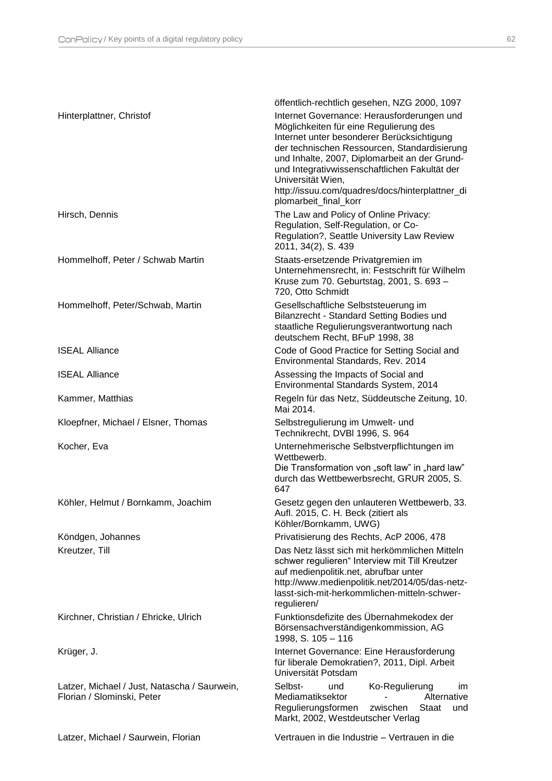|                                                                            | öffentlich-rechtlich gesehen, NZG 2000, 1097                                                                                                                                                                                                                                                                                                                                          |
|----------------------------------------------------------------------------|---------------------------------------------------------------------------------------------------------------------------------------------------------------------------------------------------------------------------------------------------------------------------------------------------------------------------------------------------------------------------------------|
| Hinterplattner, Christof                                                   | Internet Governance: Herausforderungen und<br>Möglichkeiten für eine Regulierung des<br>Internet unter besonderer Berücksichtigung<br>der technischen Ressourcen, Standardisierung<br>und Inhalte, 2007, Diplomarbeit an der Grund-<br>und Integrativwissenschaftlichen Fakultät der<br>Universität Wien,<br>http://issuu.com/quadres/docs/hinterplattner_di<br>plomarbeit final korr |
| Hirsch, Dennis                                                             | The Law and Policy of Online Privacy:<br>Regulation, Self-Regulation, or Co-<br>Regulation?, Seattle University Law Review<br>2011, 34(2), S. 439                                                                                                                                                                                                                                     |
| Hommelhoff, Peter / Schwab Martin                                          | Staats-ersetzende Privatgremien im<br>Unternehmensrecht, in: Festschrift für Wilhelm<br>Kruse zum 70. Geburtstag, 2001, S. 693 -<br>720, Otto Schmidt                                                                                                                                                                                                                                 |
| Hommelhoff, Peter/Schwab, Martin                                           | Gesellschaftliche Selbststeuerung im<br>Bilanzrecht - Standard Setting Bodies und<br>staatliche Regulierungsverantwortung nach<br>deutschem Recht, BFuP 1998, 38                                                                                                                                                                                                                      |
| <b>ISEAL Alliance</b>                                                      | Code of Good Practice for Setting Social and<br>Environmental Standards, Rev. 2014                                                                                                                                                                                                                                                                                                    |
| <b>ISEAL Alliance</b>                                                      | Assessing the Impacts of Social and<br>Environmental Standards System, 2014                                                                                                                                                                                                                                                                                                           |
| Kammer, Matthias                                                           | Regeln für das Netz, Süddeutsche Zeitung, 10.<br>Mai 2014.                                                                                                                                                                                                                                                                                                                            |
| Kloepfner, Michael / Elsner, Thomas                                        | Selbstregulierung im Umwelt- und<br>Technikrecht, DVBI 1996, S. 964                                                                                                                                                                                                                                                                                                                   |
| Kocher, Eva                                                                | Unternehmerische Selbstverpflichtungen im<br>Wettbewerb.<br>Die Transformation von "soft law" in "hard law"<br>durch das Wettbewerbsrecht, GRUR 2005, S.<br>647                                                                                                                                                                                                                       |
| Köhler, Helmut / Bornkamm, Joachim                                         | Gesetz gegen den unlauteren Wettbewerb, 33.<br>Aufl. 2015, C. H. Beck (zitiert als<br>Köhler/Bornkamm, UWG)                                                                                                                                                                                                                                                                           |
| Köndgen, Johannes                                                          | Privatisierung des Rechts, AcP 2006, 478                                                                                                                                                                                                                                                                                                                                              |
| Kreutzer, Till                                                             | Das Netz lässt sich mit herkömmlichen Mitteln<br>schwer regulieren" Interview mit Till Kreutzer<br>auf medienpolitik.net, abrufbar unter<br>http://www.medienpolitik.net/2014/05/das-netz-<br>lasst-sich-mit-herkommlichen-mitteln-schwer-<br>regulieren/                                                                                                                             |
| Kirchner, Christian / Ehricke, Ulrich                                      | Funktionsdefizite des Übernahmekodex der<br>Börsensachverständigenkommission, AG<br>1998, S. 105 - 116                                                                                                                                                                                                                                                                                |
| Krüger, J.                                                                 | Internet Governance: Eine Herausforderung<br>für liberale Demokratien?, 2011, Dipl. Arbeit<br>Universität Potsdam                                                                                                                                                                                                                                                                     |
| Latzer, Michael / Just, Natascha / Saurwein,<br>Florian / Slominski, Peter | Selbst-<br>Ko-Regulierung<br>und<br>im.<br>Mediamatiksektor<br>Alternative<br>Regulierungsformen<br>zwischen<br><b>Staat</b><br>und<br>Markt, 2002, Westdeutscher Verlag                                                                                                                                                                                                              |
| Latzer, Michael / Saurwein, Florian                                        | Vertrauen in die Industrie - Vertrauen in die                                                                                                                                                                                                                                                                                                                                         |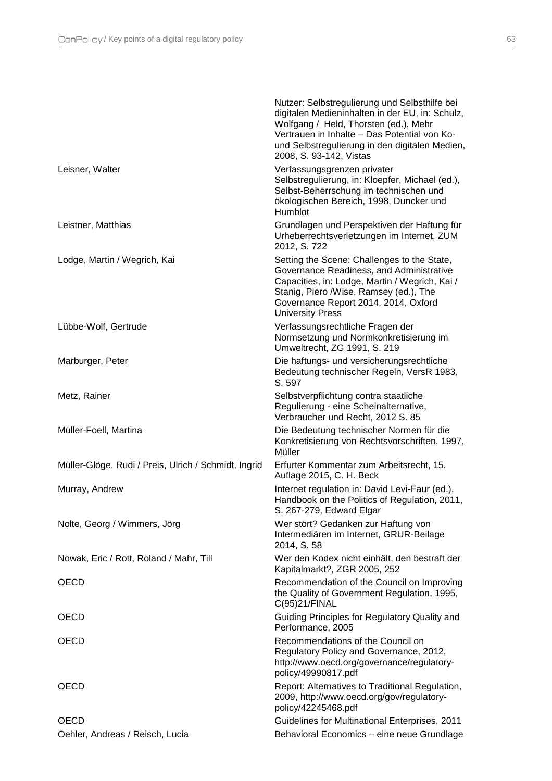|                                                      | Nutzer: Selbstregulierung und Selbsthilfe bei<br>digitalen Medieninhalten in der EU, in: Schulz,<br>Wolfgang / Held, Thorsten (ed.), Mehr<br>Vertrauen in Inhalte - Das Potential von Ko-<br>und Selbstregulierung in den digitalen Medien,<br>2008, S. 93-142, Vistas |
|------------------------------------------------------|------------------------------------------------------------------------------------------------------------------------------------------------------------------------------------------------------------------------------------------------------------------------|
| Leisner, Walter                                      | Verfassungsgrenzen privater<br>Selbstregulierung, in: Kloepfer, Michael (ed.),<br>Selbst-Beherrschung im technischen und<br>ökologischen Bereich, 1998, Duncker und<br>Humblot                                                                                         |
| Leistner, Matthias                                   | Grundlagen und Perspektiven der Haftung für<br>Urheberrechtsverletzungen im Internet, ZUM<br>2012, S. 722                                                                                                                                                              |
| Lodge, Martin / Wegrich, Kai                         | Setting the Scene: Challenges to the State,<br>Governance Readiness, and Administrative<br>Capacities, in: Lodge, Martin / Wegrich, Kai /<br>Stanig, Piero /Wise, Ramsey (ed.), The<br>Governance Report 2014, 2014, Oxford<br><b>University Press</b>                 |
| Lübbe-Wolf, Gertrude                                 | Verfassungsrechtliche Fragen der<br>Normsetzung und Normkonkretisierung im<br>Umweltrecht, ZG 1991, S. 219                                                                                                                                                             |
| Marburger, Peter                                     | Die haftungs- und versicherungsrechtliche<br>Bedeutung technischer Regeln, VersR 1983,<br>S. 597                                                                                                                                                                       |
| Metz, Rainer                                         | Selbstverpflichtung contra staatliche<br>Regulierung - eine Scheinalternative,<br>Verbraucher und Recht, 2012 S. 85                                                                                                                                                    |
| Müller-Foell, Martina                                | Die Bedeutung technischer Normen für die<br>Konkretisierung von Rechtsvorschriften, 1997,<br>Müller                                                                                                                                                                    |
| Müller-Glöge, Rudi / Preis, Ulrich / Schmidt, Ingrid | Erfurter Kommentar zum Arbeitsrecht, 15.<br>Auflage 2015, C. H. Beck                                                                                                                                                                                                   |
| Murray, Andrew                                       | Internet regulation in: David Levi-Faur (ed.),<br>Handbook on the Politics of Regulation, 2011,<br>S. 267-279, Edward Elgar                                                                                                                                            |
| Nolte, Georg / Wimmers, Jörg                         | Wer stört? Gedanken zur Haftung von<br>Intermediären im Internet, GRUR-Beilage<br>2014, S. 58                                                                                                                                                                          |
| Nowak, Eric / Rott, Roland / Mahr, Till              | Wer den Kodex nicht einhält, den bestraft der<br>Kapitalmarkt?, ZGR 2005, 252                                                                                                                                                                                          |
| OECD                                                 | Recommendation of the Council on Improving<br>the Quality of Government Regulation, 1995,<br>C(95)21/FINAL                                                                                                                                                             |
| <b>OECD</b>                                          | Guiding Principles for Regulatory Quality and<br>Performance, 2005                                                                                                                                                                                                     |
| OECD                                                 | Recommendations of the Council on<br>Regulatory Policy and Governance, 2012,<br>http://www.oecd.org/governance/regulatory-<br>policy/49990817.pdf                                                                                                                      |
| OECD                                                 | Report: Alternatives to Traditional Regulation,<br>2009, http://www.oecd.org/gov/regulatory-<br>policy/42245468.pdf                                                                                                                                                    |
| OECD                                                 | Guidelines for Multinational Enterprises, 2011                                                                                                                                                                                                                         |
| Oehler, Andreas / Reisch, Lucia                      | Behavioral Economics - eine neue Grundlage                                                                                                                                                                                                                             |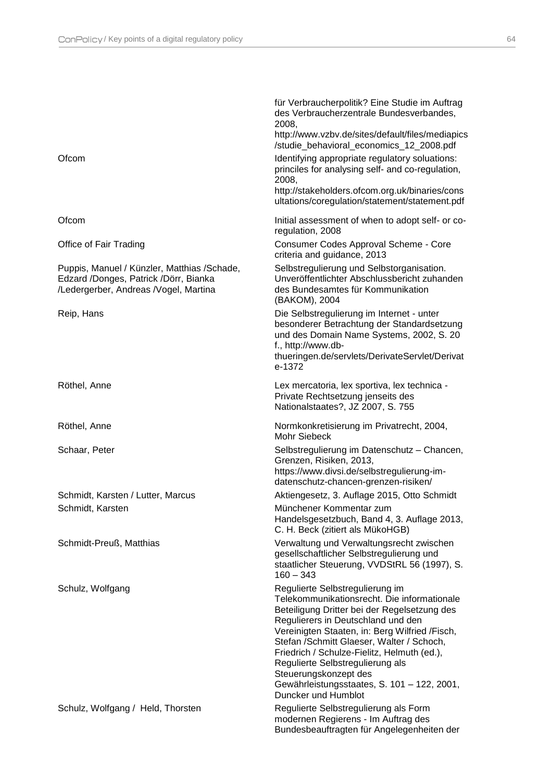|                                                                                                                                | für Verbraucherpolitik? Eine Studie im Auftrag<br>des Verbraucherzentrale Bundesverbandes,<br>2008,<br>http://www.vzbv.de/sites/default/files/mediapics<br>/studie_behavioral_economics_12_2008.pdf                                                                                                                                                                                                                                                    |
|--------------------------------------------------------------------------------------------------------------------------------|--------------------------------------------------------------------------------------------------------------------------------------------------------------------------------------------------------------------------------------------------------------------------------------------------------------------------------------------------------------------------------------------------------------------------------------------------------|
| Ofcom                                                                                                                          | Identifying appropriate regulatory soluations:<br>princiles for analysing self- and co-regulation,<br>2008,<br>http://stakeholders.ofcom.org.uk/binaries/cons<br>ultations/coregulation/statement/statement.pdf                                                                                                                                                                                                                                        |
| Ofcom                                                                                                                          | Initial assessment of when to adopt self- or co-<br>regulation, 2008                                                                                                                                                                                                                                                                                                                                                                                   |
| Office of Fair Trading                                                                                                         | Consumer Codes Approval Scheme - Core<br>criteria and guidance, 2013                                                                                                                                                                                                                                                                                                                                                                                   |
| Puppis, Manuel / Künzler, Matthias / Schade,<br>Edzard /Donges, Patrick /Dörr, Bianka<br>/Ledergerber, Andreas /Vogel, Martina | Selbstregulierung und Selbstorganisation.<br>Unveröffentlichter Abschlussbericht zuhanden<br>des Bundesamtes für Kommunikation<br>(BAKOM), 2004                                                                                                                                                                                                                                                                                                        |
| Reip, Hans                                                                                                                     | Die Selbstregulierung im Internet - unter<br>besonderer Betrachtung der Standardsetzung<br>und des Domain Name Systems, 2002, S. 20<br>f., http://www.db-<br>thueringen.de/servlets/DerivateServlet/Derivat<br>e-1372                                                                                                                                                                                                                                  |
| Röthel, Anne                                                                                                                   | Lex mercatoria, lex sportiva, lex technica -<br>Private Rechtsetzung jenseits des<br>Nationalstaates?, JZ 2007, S. 755                                                                                                                                                                                                                                                                                                                                 |
| Röthel, Anne                                                                                                                   | Normkonkretisierung im Privatrecht, 2004,<br>Mohr Siebeck                                                                                                                                                                                                                                                                                                                                                                                              |
| Schaar, Peter                                                                                                                  | Selbstregulierung im Datenschutz - Chancen,<br>Grenzen, Risiken, 2013,<br>https://www.divsi.de/selbstregulierung-im-<br>datenschutz-chancen-grenzen-risiken/                                                                                                                                                                                                                                                                                           |
| Schmidt, Karsten / Lutter, Marcus                                                                                              | Aktiengesetz, 3. Auflage 2015, Otto Schmidt                                                                                                                                                                                                                                                                                                                                                                                                            |
| Schmidt, Karsten                                                                                                               | Münchener Kommentar zum<br>Handelsgesetzbuch, Band 4, 3. Auflage 2013,<br>C. H. Beck (zitiert als MükoHGB)                                                                                                                                                                                                                                                                                                                                             |
| Schmidt-Preuß, Matthias                                                                                                        | Verwaltung und Verwaltungsrecht zwischen<br>gesellschaftlicher Selbstregulierung und<br>staatlicher Steuerung, VVDStRL 56 (1997), S.<br>$160 - 343$                                                                                                                                                                                                                                                                                                    |
| Schulz, Wolfgang                                                                                                               | Regulierte Selbstregulierung im<br>Telekommunikationsrecht. Die informationale<br>Beteiligung Dritter bei der Regelsetzung des<br>Regulierers in Deutschland und den<br>Vereinigten Staaten, in: Berg Wilfried /Fisch,<br>Stefan / Schmitt Glaeser, Walter / Schoch,<br>Friedrich / Schulze-Fielitz, Helmuth (ed.),<br>Regulierte Selbstregulierung als<br>Steuerungskonzept des<br>Gewährleistungsstaates, S. 101 - 122, 2001,<br>Duncker und Humblot |
| Schulz, Wolfgang / Held, Thorsten                                                                                              | Regulierte Selbstregulierung als Form<br>modernen Regierens - Im Auftrag des<br>Bundesbeauftragten für Angelegenheiten der                                                                                                                                                                                                                                                                                                                             |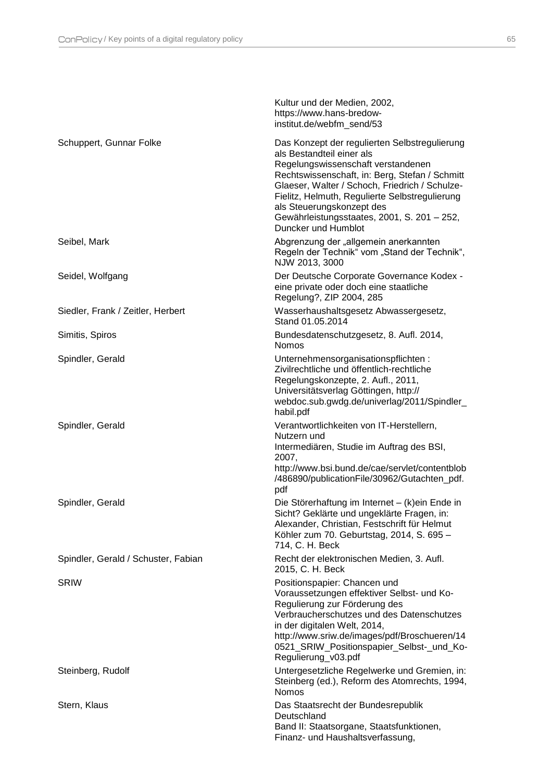|                                     | Kultur und der Medien, 2002,<br>https://www.hans-bredow-<br>institut.de/webfm_send/53                                                                                                                                                                                                                                                                                     |
|-------------------------------------|---------------------------------------------------------------------------------------------------------------------------------------------------------------------------------------------------------------------------------------------------------------------------------------------------------------------------------------------------------------------------|
| Schuppert, Gunnar Folke             | Das Konzept der regulierten Selbstregulierung<br>als Bestandteil einer als<br>Regelungswissenschaft verstandenen<br>Rechtswissenschaft, in: Berg, Stefan / Schmitt<br>Glaeser, Walter / Schoch, Friedrich / Schulze-<br>Fielitz, Helmuth, Regulierte Selbstregulierung<br>als Steuerungskonzept des<br>Gewährleistungsstaates, 2001, S. 201 - 252,<br>Duncker und Humblot |
| Seibel, Mark                        | Abgrenzung der "allgemein anerkannten<br>Regeln der Technik" vom "Stand der Technik",<br>NJW 2013, 3000                                                                                                                                                                                                                                                                   |
| Seidel, Wolfgang                    | Der Deutsche Corporate Governance Kodex -<br>eine private oder doch eine staatliche<br>Regelung?, ZIP 2004, 285                                                                                                                                                                                                                                                           |
| Siedler, Frank / Zeitler, Herbert   | Wasserhaushaltsgesetz Abwassergesetz,<br>Stand 01.05.2014                                                                                                                                                                                                                                                                                                                 |
| Simitis, Spiros                     | Bundesdatenschutzgesetz, 8. Aufl. 2014,<br><b>Nomos</b>                                                                                                                                                                                                                                                                                                                   |
| Spindler, Gerald                    | Unternehmensorganisationspflichten:<br>Zivilrechtliche und öffentlich-rechtliche<br>Regelungskonzepte, 2. Aufl., 2011,<br>Universitätsverlag Göttingen, http://<br>webdoc.sub.gwdg.de/univerlag/2011/Spindler_<br>habil.pdf                                                                                                                                               |
| Spindler, Gerald                    | Verantwortlichkeiten von IT-Herstellern,<br>Nutzern und<br>Intermediären, Studie im Auftrag des BSI,<br>2007,<br>http://www.bsi.bund.de/cae/servlet/contentblob<br>/486890/publicationFile/30962/Gutachten_pdf.<br>pdf                                                                                                                                                    |
| Spindler, Gerald                    | Die Störerhaftung im Internet – (k)ein Ende in<br>Sicht? Geklärte und ungeklärte Fragen, in:<br>Alexander, Christian, Festschrift für Helmut<br>Köhler zum 70. Geburtstag, 2014, S. 695 -<br>714, C. H. Beck                                                                                                                                                              |
| Spindler, Gerald / Schuster, Fabian | Recht der elektronischen Medien, 3. Aufl.<br>2015, C. H. Beck                                                                                                                                                                                                                                                                                                             |
| <b>SRIW</b>                         | Positionspapier: Chancen und<br>Voraussetzungen effektiver Selbst- und Ko-<br>Regulierung zur Förderung des<br>Verbraucherschutzes und des Datenschutzes<br>in der digitalen Welt, 2014,<br>http://www.sriw.de/images/pdf/Broschueren/14<br>0521_SRIW_Positionspapier_Selbst-_und_Ko-<br>Regulierung_v03.pdf                                                              |
| Steinberg, Rudolf                   | Untergesetzliche Regelwerke und Gremien, in:<br>Steinberg (ed.), Reform des Atomrechts, 1994,<br><b>Nomos</b>                                                                                                                                                                                                                                                             |
| Stern, Klaus                        | Das Staatsrecht der Bundesrepublik<br>Deutschland<br>Band II: Staatsorgane, Staatsfunktionen,<br>Finanz- und Haushaltsverfassung,                                                                                                                                                                                                                                         |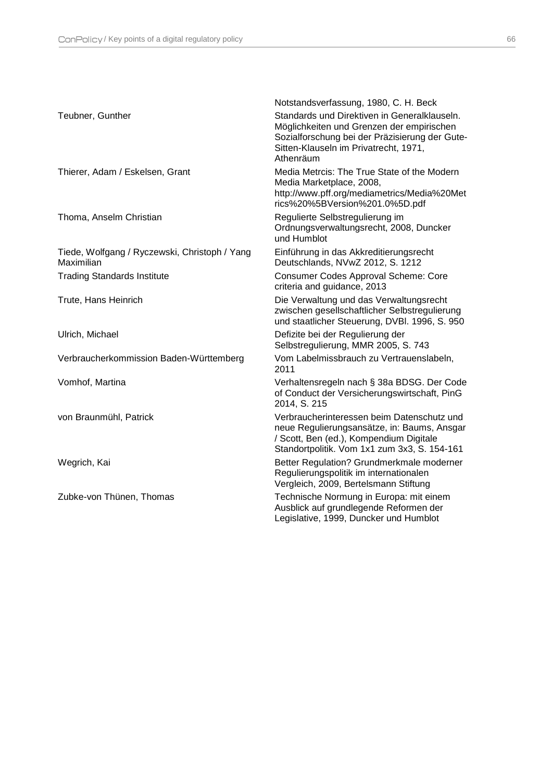|                                                             | Notstandsverfassung, 1980, C. H. Beck                                                                                                                                                             |
|-------------------------------------------------------------|---------------------------------------------------------------------------------------------------------------------------------------------------------------------------------------------------|
| Teubner, Gunther                                            | Standards und Direktiven in Generalklauseln.<br>Möglichkeiten und Grenzen der empirischen<br>Sozialforschung bei der Präzisierung der Gute-<br>Sitten-Klauseln im Privatrecht, 1971,<br>Athenräum |
| Thierer, Adam / Eskelsen, Grant                             | Media Metrcis: The True State of the Modern<br>Media Marketplace, 2008,<br>http://www.pff.org/mediametrics/Media%20Met<br>rics%20%5BVersion%201.0%5D.pdf                                          |
| Thoma, Anselm Christian                                     | Regulierte Selbstregulierung im<br>Ordnungsverwaltungsrecht, 2008, Duncker<br>und Humblot                                                                                                         |
| Tiede, Wolfgang / Ryczewski, Christoph / Yang<br>Maximilian | Einführung in das Akkreditierungsrecht<br>Deutschlands, NVwZ 2012, S. 1212                                                                                                                        |
| <b>Trading Standards Institute</b>                          | <b>Consumer Codes Approval Scheme: Core</b><br>criteria and guidance, 2013                                                                                                                        |
| Trute, Hans Heinrich                                        | Die Verwaltung und das Verwaltungsrecht<br>zwischen gesellschaftlicher Selbstregulierung<br>und staatlicher Steuerung, DVBI. 1996, S. 950                                                         |
| Ulrich, Michael                                             | Defizite bei der Regulierung der<br>Selbstregulierung, MMR 2005, S. 743                                                                                                                           |
| Verbraucherkommission Baden-Württemberg                     | Vom Labelmissbrauch zu Vertrauenslabeln,<br>2011                                                                                                                                                  |
| Vomhof, Martina                                             | Verhaltensregeln nach § 38a BDSG. Der Code<br>of Conduct der Versicherungswirtschaft, PinG<br>2014, S. 215                                                                                        |
| von Braunmühl, Patrick                                      | Verbraucherinteressen beim Datenschutz und<br>neue Regulierungsansätze, in: Baums, Ansgar<br>/ Scott, Ben (ed.), Kompendium Digitale<br>Standortpolitik. Vom 1x1 zum 3x3, S. 154-161              |
| Wegrich, Kai                                                | Better Regulation? Grundmerkmale moderner<br>Regulierungspolitik im internationalen<br>Vergleich, 2009, Bertelsmann Stiftung                                                                      |
| Zubke-von Thünen, Thomas                                    | Technische Normung in Europa: mit einem<br>Ausblick auf grundlegende Reformen der<br>Legislative, 1999, Duncker und Humblot                                                                       |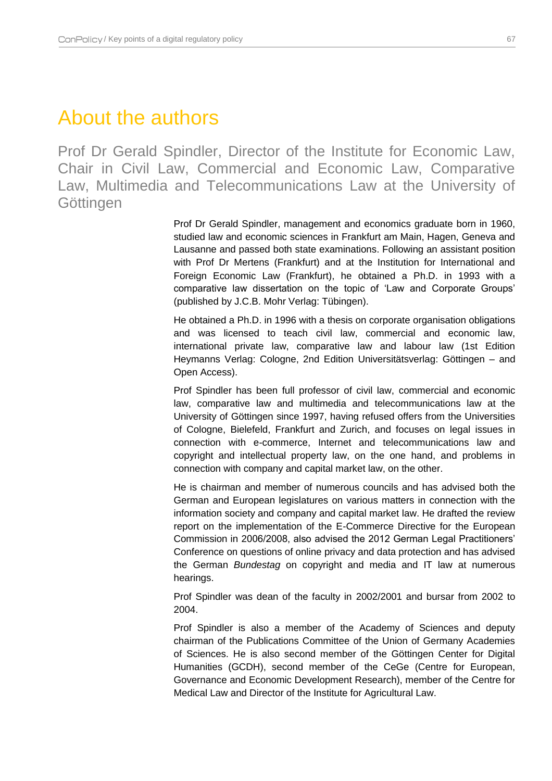## <span id="page-67-0"></span>About the authors

Prof Dr Gerald Spindler, Director of the Institute for Economic Law, Chair in Civil Law, Commercial and Economic Law, Comparative Law, Multimedia and Telecommunications Law at the University of **Göttingen** 

> Prof Dr Gerald Spindler, management and economics graduate born in 1960, studied law and economic sciences in Frankfurt am Main, Hagen, Geneva and Lausanne and passed both state examinations. Following an assistant position with Prof Dr Mertens (Frankfurt) and at the Institution for International and Foreign Economic Law (Frankfurt), he obtained a Ph.D. in 1993 with a comparative law dissertation on the topic of 'Law and Corporate Groups' (published by J.C.B. Mohr Verlag: Tübingen).

> He obtained a Ph.D. in 1996 with a thesis on corporate organisation obligations and was licensed to teach civil law, commercial and economic law, international private law, comparative law and labour law (1st Edition Heymanns Verlag: Cologne, 2nd Edition Universitätsverlag: Göttingen – and Open Access).

> Prof Spindler has been full professor of civil law, commercial and economic law, comparative law and multimedia and telecommunications law at the University of Göttingen since 1997, having refused offers from the Universities of Cologne, Bielefeld, Frankfurt and Zurich, and focuses on legal issues in connection with e-commerce, Internet and telecommunications law and copyright and intellectual property law, on the one hand, and problems in connection with company and capital market law, on the other.

> He is chairman and member of numerous councils and has advised both the German and European legislatures on various matters in connection with the information society and company and capital market law. He drafted the review report on the implementation of the E-Commerce Directive for the European Commission in 2006/2008, also advised the 2012 German Legal Practitioners' Conference on questions of online privacy and data protection and has advised the German *Bundestag* on copyright and media and IT law at numerous hearings.

> Prof Spindler was dean of the faculty in 2002/2001 and bursar from 2002 to 2004.

> Prof Spindler is also a member of the Academy of Sciences and deputy chairman of the Publications Committee of the Union of Germany Academies of Sciences. He is also second member of the Göttingen Center for Digital Humanities (GCDH), second member of the CeGe (Centre for European, Governance and Economic Development Research), member of the Centre for Medical Law and Director of the Institute for Agricultural Law.